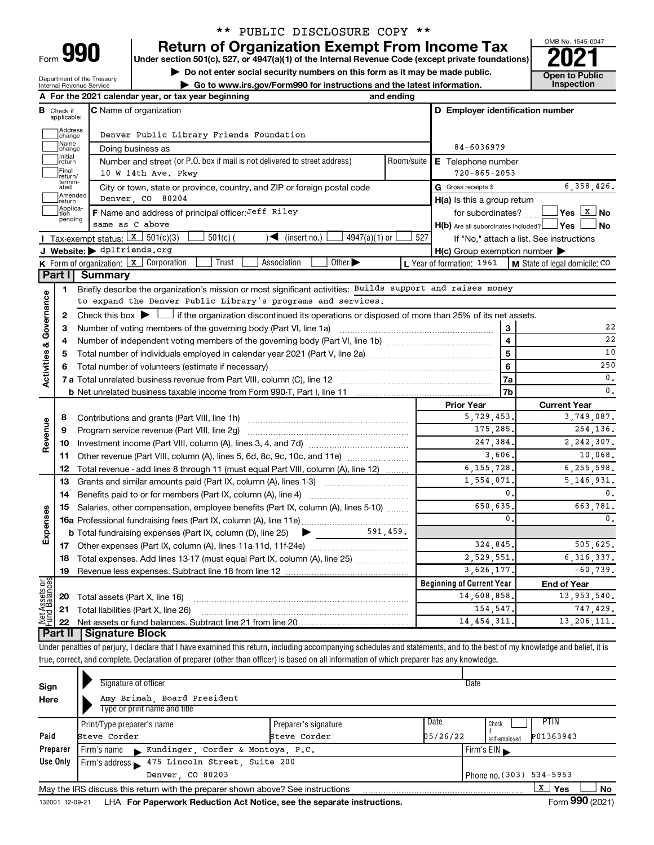| Form |  |
|------|--|
|      |  |

Department of the Treasury Internal Revenue Service

## \*\* PUBLIC DISCLOSURE COPY \*\*

**990 Return of Organization Exempt From Income Tax Punce 1845-004 2021** 

**▶ Do not enter social security numbers on this form as it may be made public. Open to Public**<br> **▶ Go to www.irs.gov/Form990 for instructions and the latest information.** Inspection ▶ Go to www.irs.gov/Form990 for instructions and the latest information.



|                                |                         | A For the 2021 calendar year, or tax year beginning                                                                                         | and ending |                                                     |                                          |
|--------------------------------|-------------------------|---------------------------------------------------------------------------------------------------------------------------------------------|------------|-----------------------------------------------------|------------------------------------------|
| В                              | Check if<br>applicable: | <b>C</b> Name of organization                                                                                                               |            | D Employer identification number                    |                                          |
|                                | ]Address<br>]change     | Denver Public Library Friends Foundation                                                                                                    |            |                                                     |                                          |
|                                | Name<br> change         | Doing business as                                                                                                                           |            | 84-6036979                                          |                                          |
|                                | Initial<br>return       | Room/suite<br>E Telephone number                                                                                                            |            |                                                     |                                          |
|                                | Final<br>return/        |                                                                                                                                             |            |                                                     |                                          |
|                                | termin-<br>ated         | City or town, state or province, country, and ZIP or foreign postal code                                                                    |            | G Gross receipts \$                                 | 6, 358, 426.                             |
|                                | Amended<br> return      | Denver CO 80204                                                                                                                             |            | H(a) Is this a group return                         |                                          |
|                                | Applica-<br>pending     | <b>F</b> Name and address of principal officer: Jeff Riley                                                                                  |            | for subordinates?                                   |                                          |
|                                |                         | same as C above                                                                                                                             |            | $H(b)$ Are all subordinates included? $\Box$ Yes    | ∣No                                      |
|                                |                         | <b>I</b> Tax-exempt status: $\boxed{\textbf{x}}$ 501(c)(3)<br>$501(c)$ (<br>$\sqrt{\frac{1}{1}}$ (insert no.)<br>$4947(a)(1)$ or            | 527        |                                                     | If "No," attach a list. See instructions |
|                                |                         | J Website: b dplfriends.org                                                                                                                 |            | $H(c)$ Group exemption number $\blacktriangleright$ |                                          |
|                                |                         | Other $\blacktriangleright$<br><b>K</b> Form of organization: $\boxed{x}$ Corporation<br>Trust<br>Association                               |            | L Year of formation: 1961                           | M State of legal domicile: CO            |
|                                | Part I                  | <b>Summary</b>                                                                                                                              |            |                                                     |                                          |
|                                | 1                       | Briefly describe the organization's mission or most significant activities: Builds support and raises money                                 |            |                                                     |                                          |
|                                |                         | to expand the Denver Public Library's programs and services.                                                                                |            |                                                     |                                          |
| Governance                     | 2                       | Check this box $\blacktriangleright$ $\Box$ if the organization discontinued its operations or disposed of more than 25% of its net assets. |            |                                                     |                                          |
|                                | 3                       | Number of voting members of the governing body (Part VI, line 1a)                                                                           |            | 3                                                   | 22                                       |
|                                | 4                       |                                                                                                                                             |            | $\overline{\mathbf{4}}$                             | 22                                       |
|                                | 5                       |                                                                                                                                             | 5          | 10                                                  |                                          |
| <b>Activities &amp;</b>        | 6                       |                                                                                                                                             |            | 6                                                   | 250                                      |
|                                |                         |                                                                                                                                             | 7a         | $\mathbf{0}$ .                                      |                                          |
|                                |                         |                                                                                                                                             |            | 7 <sub>b</sub>                                      | 0.                                       |
|                                |                         |                                                                                                                                             |            | <b>Prior Year</b><br>5,729,453                      | <b>Current Year</b>                      |
| Revenue                        | 8                       | Contributions and grants (Part VIII, line 1h)                                                                                               |            | 175,285.                                            | 3,749,087.<br>254,136.                   |
|                                | 9                       | Program service revenue (Part VIII, line 2g)                                                                                                |            | 247,384.                                            | 2, 242, 307.                             |
|                                | 10<br>11                | Other revenue (Part VIII, column (A), lines 5, 6d, 8c, 9c, 10c, and 11e)                                                                    |            | 3,606,                                              | 10,068.                                  |
|                                | 12                      | Total revenue - add lines 8 through 11 (must equal Part VIII, column (A), line 12)                                                          |            | 6, 155, 728,                                        | 6,255,598.                               |
|                                | 13                      | Grants and similar amounts paid (Part IX, column (A), lines 1-3)                                                                            |            | 1,554,071.                                          | 5, 146, 931.                             |
|                                | 14                      | Benefits paid to or for members (Part IX, column (A), line 4)                                                                               |            | 0.                                                  | 0.                                       |
|                                | 15                      | Salaries, other compensation, employee benefits (Part IX, column (A), lines 5-10)                                                           |            | 650,635.                                            | 663,781.                                 |
| Expenses                       |                         |                                                                                                                                             |            | $\mathbf{0}$                                        | 0.                                       |
|                                |                         |                                                                                                                                             |            |                                                     |                                          |
|                                | 17                      |                                                                                                                                             |            | 324,845.                                            | 505.625.                                 |
|                                | 18                      | Total expenses. Add lines 13-17 (must equal Part IX, column (A), line 25) <i></i>                                                           |            | 2,529,551.                                          | 6, 316, 337.                             |
|                                | 19                      |                                                                                                                                             |            | 3,626,177.                                          | $-60,739.$                               |
|                                |                         |                                                                                                                                             |            | <b>Beginning of Current Year</b>                    | <b>End of Year</b>                       |
| Net Assets or<br>Fund Balances | 20                      | Total assets (Part X, line 16)                                                                                                              |            | 14,608,858.                                         | 13,953,540.                              |
|                                | 21                      | Total liabilities (Part X, line 26)                                                                                                         |            | 154,547.                                            | 747,429.                                 |
|                                | 22                      |                                                                                                                                             |            | 14, 454, 311.                                       | 13, 206, 111.                            |
|                                | Part II                 | <b>Signature Block</b>                                                                                                                      |            |                                                     |                                          |
|                                |                         |                                                                                                                                             |            |                                                     |                                          |

Under penalties of perjury, I declare that I have examined this return, including accompanying schedules and statements, and to the best of my knowledge and belief, it is true, correct, and complete. Declaration of preparer (other than officer) is based on all information of which preparer has any knowledge.

| Sign<br>Here    | Signature of officer<br>Amy Brimah, Board President<br>Type or print name and title |                                      |                                    | Date                     |                 |           |  |  |
|-----------------|-------------------------------------------------------------------------------------|--------------------------------------|------------------------------------|--------------------------|-----------------|-----------|--|--|
| Paid            | Print/Type preparer's name<br>Steve Corder                                          | Preparer's signature<br>Steve Corder | Check<br>05/26/22<br>self-emploved | <b>PTIN</b><br>P01363943 |                 |           |  |  |
| Preparer        | Kundinger, Corder & Montoya, P.C.<br>. Firm's name                                  |                                      |                                    | Firm's $EIN$             |                 |           |  |  |
| Use Only        | 475 Lincoln Street, Suite 200<br>Firm's address                                     |                                      |                                    |                          |                 |           |  |  |
|                 | Denver, CO 80203<br>Phone no. (303) 534-5953                                        |                                      |                                    |                          |                 |           |  |  |
|                 | May the IRS discuss this return with the preparer shown above? See instructions     |                                      |                                    |                          | x<br>Yes        | <b>No</b> |  |  |
| 132001 12-09-21 | LHA For Paperwork Reduction Act Notice, see the separate instructions.              |                                      |                                    |                          | Form 990 (2021) |           |  |  |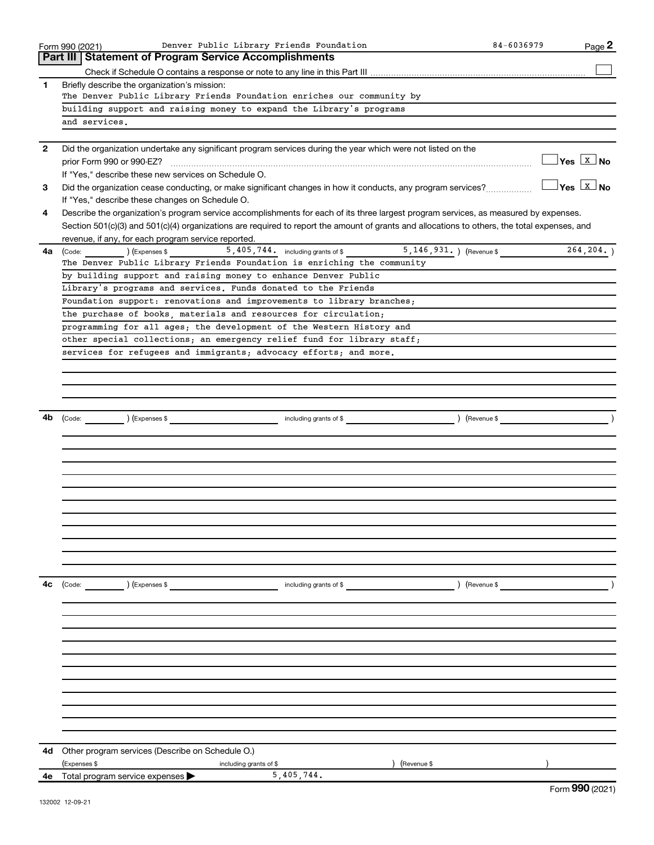|              | Denver Public Library Friends Foundation<br>Form 990 (2021)                                                                                       | 84-6036979 | Page 2                              |
|--------------|---------------------------------------------------------------------------------------------------------------------------------------------------|------------|-------------------------------------|
|              | <b>Part III   Statement of Program Service Accomplishments</b>                                                                                    |            |                                     |
|              |                                                                                                                                                   |            |                                     |
| 1            | Briefly describe the organization's mission:                                                                                                      |            |                                     |
|              | The Denver Public Library Friends Foundation enriches our community by                                                                            |            |                                     |
|              | building support and raising money to expand the Library's programs                                                                               |            |                                     |
|              | and services.                                                                                                                                     |            |                                     |
|              |                                                                                                                                                   |            |                                     |
| $\mathbf{2}$ | Did the organization undertake any significant program services during the year which were not listed on the                                      |            |                                     |
|              |                                                                                                                                                   |            | $\exists$ Yes $\boxed{\text{x}}$ No |
|              | If "Yes," describe these new services on Schedule O.                                                                                              |            |                                     |
| 3            |                                                                                                                                                   |            | $ Yes X $ No                        |
|              | If "Yes," describe these changes on Schedule O.                                                                                                   |            |                                     |
| 4            | Describe the organization's program service accomplishments for each of its three largest program services, as measured by expenses.              |            |                                     |
|              | Section 501(c)(3) and 501(c)(4) organizations are required to report the amount of grants and allocations to others, the total expenses, and      |            |                                     |
|              | revenue, if any, for each program service reported.                                                                                               |            |                                     |
| 4a l         | $\left($ Expenses \$<br>(Code:                                                                                                                    |            | 264,204.                            |
|              | The Denver Public Library Friends Foundation is enriching the community                                                                           |            |                                     |
|              | by building support and raising money to enhance Denver Public                                                                                    |            |                                     |
|              | Library's programs and services. Funds donated to the Friends                                                                                     |            |                                     |
|              | Foundation support: renovations and improvements to library branches;                                                                             |            |                                     |
|              | the purchase of books, materials and resources for circulation;                                                                                   |            |                                     |
|              | programming for all ages; the development of the Western History and                                                                              |            |                                     |
|              | other special collections; an emergency relief fund for library staff;                                                                            |            |                                     |
|              | services for refugees and immigrants; advocacy efforts; and more.                                                                                 |            |                                     |
|              |                                                                                                                                                   |            |                                     |
|              |                                                                                                                                                   |            |                                     |
|              |                                                                                                                                                   |            |                                     |
|              |                                                                                                                                                   |            |                                     |
| 4b           | (Expenses \$<br>) (Revenue \$<br>including grants of \$<br>$\begin{array}{ c c }\n\hline\n\text{Code:} & \text{\quad} & \text{\quad} \end{array}$ |            |                                     |
|              |                                                                                                                                                   |            |                                     |
|              |                                                                                                                                                   |            |                                     |
|              |                                                                                                                                                   |            |                                     |
|              |                                                                                                                                                   |            |                                     |
|              |                                                                                                                                                   |            |                                     |
|              |                                                                                                                                                   |            |                                     |
|              |                                                                                                                                                   |            |                                     |
|              |                                                                                                                                                   |            |                                     |
|              |                                                                                                                                                   |            |                                     |
|              |                                                                                                                                                   |            |                                     |
|              |                                                                                                                                                   |            |                                     |
|              |                                                                                                                                                   |            |                                     |
| 4с           | (Expenses \$<br>including grants of \$<br>) (Revenue \$<br>(Code:                                                                                 |            |                                     |
|              |                                                                                                                                                   |            |                                     |
|              |                                                                                                                                                   |            |                                     |
|              |                                                                                                                                                   |            |                                     |
|              |                                                                                                                                                   |            |                                     |
|              |                                                                                                                                                   |            |                                     |
|              |                                                                                                                                                   |            |                                     |
|              |                                                                                                                                                   |            |                                     |
|              |                                                                                                                                                   |            |                                     |
|              |                                                                                                                                                   |            |                                     |
|              |                                                                                                                                                   |            |                                     |
|              |                                                                                                                                                   |            |                                     |
|              |                                                                                                                                                   |            |                                     |
| 4d           | Other program services (Describe on Schedule O.)                                                                                                  |            |                                     |
|              | (Expenses \$<br>(Revenue \$<br>including grants of \$                                                                                             |            |                                     |
| 4е           | 5,405,744.<br>Total program service expenses                                                                                                      |            | $F_{\text{arm}}$ QQ $\Omega$ (2021) |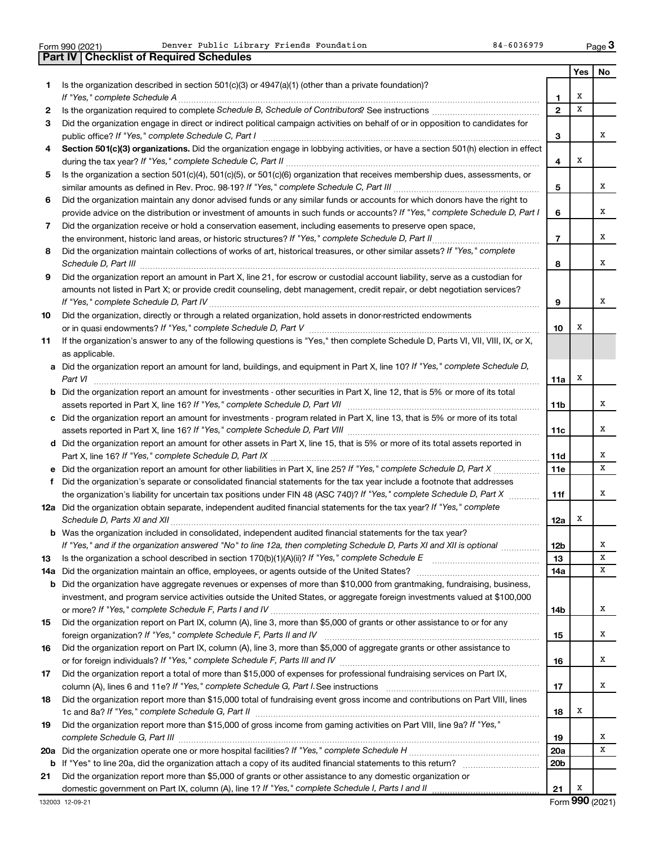|  | Form 990 (2021) |
|--|-----------------|

Form 990 (2021) **Page Public Library Friends Foundation** 84-6036979 Page

|     | <b>Checklist of Required Schedules</b><br><b>Part IV</b>                                                                                                                                                                            |                 |     |     |
|-----|-------------------------------------------------------------------------------------------------------------------------------------------------------------------------------------------------------------------------------------|-----------------|-----|-----|
|     |                                                                                                                                                                                                                                     |                 | Yes | No. |
| 1   | Is the organization described in section $501(c)(3)$ or $4947(a)(1)$ (other than a private foundation)?                                                                                                                             |                 |     |     |
|     |                                                                                                                                                                                                                                     | 1               | х   |     |
| 2   |                                                                                                                                                                                                                                     | $\mathbf{2}$    | x   |     |
| З   | Did the organization engage in direct or indirect political campaign activities on behalf of or in opposition to candidates for                                                                                                     |                 |     |     |
|     |                                                                                                                                                                                                                                     | 3               |     | x   |
| 4   | Section 501(c)(3) organizations. Did the organization engage in lobbying activities, or have a section 501(h) election in effect                                                                                                    |                 |     |     |
|     |                                                                                                                                                                                                                                     | 4               | X   |     |
| 5   | Is the organization a section 501(c)(4), 501(c)(5), or 501(c)(6) organization that receives membership dues, assessments, or                                                                                                        |                 |     |     |
|     |                                                                                                                                                                                                                                     | 5               |     | x   |
| 6   | Did the organization maintain any donor advised funds or any similar funds or accounts for which donors have the right to                                                                                                           |                 |     |     |
|     | provide advice on the distribution or investment of amounts in such funds or accounts? If "Yes," complete Schedule D, Part I                                                                                                        | 6               |     | x   |
| 7   | Did the organization receive or hold a conservation easement, including easements to preserve open space,                                                                                                                           |                 |     |     |
|     |                                                                                                                                                                                                                                     | $\overline{7}$  |     | x   |
| 8   | Did the organization maintain collections of works of art, historical treasures, or other similar assets? If "Yes," complete                                                                                                        |                 |     |     |
|     | Schedule D, Part III <b>Marting Community</b> Construction of the Construction of the Construction of the Construction of the Construction of the Construction of the Construction of the Construction of the Construction of the C | 8               |     | x   |
| 9   | Did the organization report an amount in Part X, line 21, for escrow or custodial account liability, serve as a custodian for                                                                                                       |                 |     |     |
|     | amounts not listed in Part X; or provide credit counseling, debt management, credit repair, or debt negotiation services?                                                                                                           |                 |     |     |
|     |                                                                                                                                                                                                                                     | 9               |     | x   |
| 10  | Did the organization, directly or through a related organization, hold assets in donor-restricted endowments                                                                                                                        |                 |     |     |
|     |                                                                                                                                                                                                                                     | 10              | х   |     |
| 11  | If the organization's answer to any of the following questions is "Yes," then complete Schedule D, Parts VI, VII, VIII, IX, or X,                                                                                                   |                 |     |     |
|     | as applicable.                                                                                                                                                                                                                      |                 |     |     |
|     | a Did the organization report an amount for land, buildings, and equipment in Part X, line 10? If "Yes," complete Schedule D,                                                                                                       |                 |     |     |
|     | Part VI                                                                                                                                                                                                                             | 11a             | х   |     |
|     | <b>b</b> Did the organization report an amount for investments - other securities in Part X, line 12, that is 5% or more of its total                                                                                               |                 |     |     |
|     |                                                                                                                                                                                                                                     | 11 <sub>b</sub> |     | x   |
|     | c Did the organization report an amount for investments - program related in Part X, line 13, that is 5% or more of its total                                                                                                       |                 |     |     |
|     |                                                                                                                                                                                                                                     | 11c             |     | x   |
|     | d Did the organization report an amount for other assets in Part X, line 15, that is 5% or more of its total assets reported in                                                                                                     |                 |     |     |
|     |                                                                                                                                                                                                                                     | 11d             |     | х   |
|     |                                                                                                                                                                                                                                     | 11e             |     | x   |
|     | f Did the organization's separate or consolidated financial statements for the tax year include a footnote that addresses                                                                                                           |                 |     |     |
|     | the organization's liability for uncertain tax positions under FIN 48 (ASC 740)? If "Yes," complete Schedule D, Part X                                                                                                              | 11f             |     | x   |
|     | 12a Did the organization obtain separate, independent audited financial statements for the tax year? If "Yes," complete                                                                                                             |                 |     |     |
|     |                                                                                                                                                                                                                                     | 12a             | х   |     |
|     | <b>b</b> Was the organization included in consolidated, independent audited financial statements for the tax year?                                                                                                                  |                 |     |     |
|     | If "Yes," and if the organization answered "No" to line 12a, then completing Schedule D, Parts XI and XII is optional                                                                                                               | 12b             |     | х   |
| 13  |                                                                                                                                                                                                                                     | 13              |     | x   |
| 14a |                                                                                                                                                                                                                                     | 14a             |     | x   |
| b   | Did the organization have aggregate revenues or expenses of more than \$10,000 from grantmaking, fundraising, business,                                                                                                             |                 |     |     |
|     | investment, and program service activities outside the United States, or aggregate foreign investments valued at \$100,000                                                                                                          |                 |     |     |
|     |                                                                                                                                                                                                                                     | 14b             |     | х   |
| 15  | Did the organization report on Part IX, column (A), line 3, more than \$5,000 of grants or other assistance to or for any                                                                                                           |                 |     |     |
|     |                                                                                                                                                                                                                                     | 15              |     | x   |
| 16  | Did the organization report on Part IX, column (A), line 3, more than \$5,000 of aggregate grants or other assistance to                                                                                                            |                 |     |     |
|     |                                                                                                                                                                                                                                     | 16              |     | x   |
| 17  | Did the organization report a total of more than \$15,000 of expenses for professional fundraising services on Part IX,                                                                                                             |                 |     |     |
|     |                                                                                                                                                                                                                                     | 17              |     | x   |
| 18  | Did the organization report more than \$15,000 total of fundraising event gross income and contributions on Part VIII, lines                                                                                                        |                 |     |     |
|     |                                                                                                                                                                                                                                     | 18              | х   |     |
| 19  | Did the organization report more than \$15,000 of gross income from gaming activities on Part VIII, line 9a? If "Yes,"                                                                                                              |                 |     |     |
|     |                                                                                                                                                                                                                                     | 19              |     | x   |
|     |                                                                                                                                                                                                                                     | <b>20a</b>      |     | x   |
| b   |                                                                                                                                                                                                                                     | 20 <sub>b</sub> |     |     |
| 21  | Did the organization report more than \$5,000 of grants or other assistance to any domestic organization or                                                                                                                         |                 |     |     |
|     |                                                                                                                                                                                                                                     | 21              | х   |     |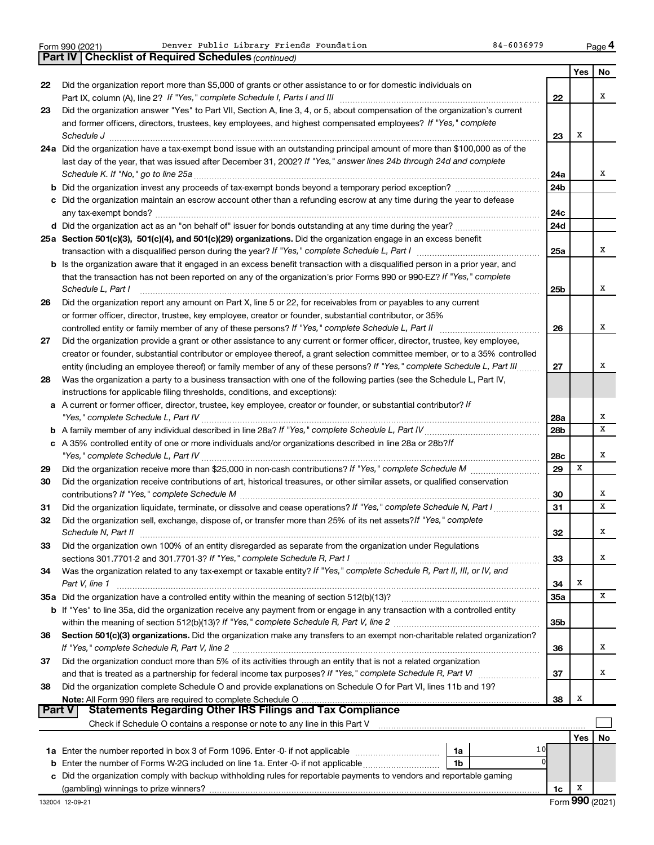*(continued)* **Part IV Checklist of Required Schedules**

|               |                                                                                                                                                                                                       |            | Yes | No |
|---------------|-------------------------------------------------------------------------------------------------------------------------------------------------------------------------------------------------------|------------|-----|----|
| 22            | Did the organization report more than \$5,000 of grants or other assistance to or for domestic individuals on                                                                                         |            |     |    |
|               |                                                                                                                                                                                                       | 22         |     | х  |
| 23            | Did the organization answer "Yes" to Part VII, Section A, line 3, 4, or 5, about compensation of the organization's current                                                                           |            |     |    |
|               | and former officers, directors, trustees, key employees, and highest compensated employees? If "Yes," complete                                                                                        |            |     |    |
|               | Schedule J                                                                                                                                                                                            | 23         | х   |    |
|               | 24a Did the organization have a tax-exempt bond issue with an outstanding principal amount of more than \$100,000 as of the                                                                           |            |     |    |
|               | last day of the year, that was issued after December 31, 2002? If "Yes," answer lines 24b through 24d and complete                                                                                    |            |     |    |
|               | Schedule K. If "No," go to line 25a                                                                                                                                                                   | 24a        |     | х  |
|               |                                                                                                                                                                                                       | 24b        |     |    |
|               | c Did the organization maintain an escrow account other than a refunding escrow at any time during the year to defease                                                                                |            |     |    |
|               |                                                                                                                                                                                                       | 24c        |     |    |
|               |                                                                                                                                                                                                       | 24d        |     |    |
|               | 25a Section 501(c)(3), 501(c)(4), and 501(c)(29) organizations. Did the organization engage in an excess benefit                                                                                      |            |     |    |
|               |                                                                                                                                                                                                       | 25a        |     | x  |
|               | b Is the organization aware that it engaged in an excess benefit transaction with a disqualified person in a prior year, and                                                                          |            |     |    |
|               | that the transaction has not been reported on any of the organization's prior Forms 990 or 990-EZ? If "Yes," complete                                                                                 |            |     |    |
|               | Schedule L, Part I                                                                                                                                                                                    | 25b        |     | х  |
| 26            | Did the organization report any amount on Part X, line 5 or 22, for receivables from or payables to any current                                                                                       |            |     |    |
|               | or former officer, director, trustee, key employee, creator or founder, substantial contributor, or 35%                                                                                               |            |     |    |
|               | controlled entity or family member of any of these persons? If "Yes," complete Schedule L, Part II                                                                                                    | 26         |     | х  |
| 27            | Did the organization provide a grant or other assistance to any current or former officer, director, trustee, key employee,                                                                           |            |     |    |
|               | creator or founder, substantial contributor or employee thereof, a grant selection committee member, or to a 35% controlled                                                                           |            |     | х  |
|               | entity (including an employee thereof) or family member of any of these persons? If "Yes," complete Schedule L, Part III.                                                                             | 27         |     |    |
| 28            | Was the organization a party to a business transaction with one of the following parties (see the Schedule L, Part IV,<br>instructions for applicable filing thresholds, conditions, and exceptions): |            |     |    |
|               | a A current or former officer, director, trustee, key employee, creator or founder, or substantial contributor? If                                                                                    |            |     |    |
|               |                                                                                                                                                                                                       | 28a        |     | х  |
|               |                                                                                                                                                                                                       | 28b        |     | х  |
|               | c A 35% controlled entity of one or more individuals and/or organizations described in line 28a or 28b?/f                                                                                             |            |     |    |
|               |                                                                                                                                                                                                       | 28c        |     | х  |
| 29            |                                                                                                                                                                                                       | 29         | X   |    |
| 30            | Did the organization receive contributions of art, historical treasures, or other similar assets, or qualified conservation                                                                           |            |     |    |
|               |                                                                                                                                                                                                       | 30         |     | X  |
| 31            |                                                                                                                                                                                                       | 31         |     | х  |
| 32            | Did the organization sell, exchange, dispose of, or transfer more than 25% of its net assets? If "Yes," complete                                                                                      |            |     |    |
|               | Schedule N, Part II                                                                                                                                                                                   | 32         |     | х  |
| 33            | Did the organization own 100% of an entity disregarded as separate from the organization under Regulations                                                                                            |            |     |    |
|               |                                                                                                                                                                                                       | 33         |     | X  |
| 34            | Was the organization related to any tax-exempt or taxable entity? If "Yes," complete Schedule R, Part II, III, or IV, and                                                                             |            |     |    |
|               | Part V, line 1                                                                                                                                                                                        | 34         | X   |    |
|               | 35a Did the organization have a controlled entity within the meaning of section 512(b)(13)?                                                                                                           | <b>35a</b> |     | x  |
|               | b If "Yes" to line 35a, did the organization receive any payment from or engage in any transaction with a controlled entity                                                                           |            |     |    |
|               |                                                                                                                                                                                                       | 35b        |     |    |
| 36            | Section 501(c)(3) organizations. Did the organization make any transfers to an exempt non-charitable related organization?                                                                            |            |     |    |
|               |                                                                                                                                                                                                       | 36         |     | x  |
| 37            | Did the organization conduct more than 5% of its activities through an entity that is not a related organization                                                                                      |            |     |    |
|               |                                                                                                                                                                                                       | 37         |     | x  |
| 38            | Did the organization complete Schedule O and provide explanations on Schedule O for Part VI, lines 11b and 19?                                                                                        |            |     |    |
|               |                                                                                                                                                                                                       | 38         | X   |    |
| <b>Part V</b> | <b>Statements Regarding Other IRS Filings and Tax Compliance</b>                                                                                                                                      |            |     |    |
|               |                                                                                                                                                                                                       |            |     |    |
|               |                                                                                                                                                                                                       |            | Yes | No |
|               | 10<br>1a                                                                                                                                                                                              |            |     |    |
| b             | Enter the number of Forms W-2G included on line 1a. Enter -0- if not applicable<br>1b                                                                                                                 |            |     |    |
| c             | Did the organization comply with backup withholding rules for reportable payments to vendors and reportable gaming                                                                                    |            |     |    |
|               |                                                                                                                                                                                                       | 1c         | x   |    |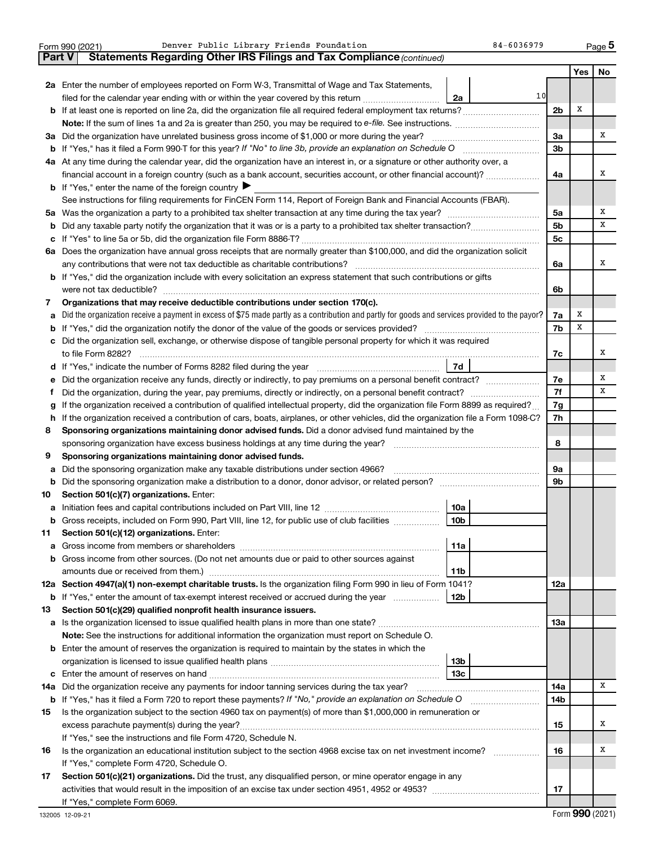|                                                                | Denver Public Library Friends Foundation<br>$84 - 6036979$<br>Form 990 (2021)                                                                                                                                                                                          |                 |        | Page 5 |  |  |  |
|----------------------------------------------------------------|------------------------------------------------------------------------------------------------------------------------------------------------------------------------------------------------------------------------------------------------------------------------|-----------------|--------|--------|--|--|--|
| Part V                                                         | Statements Regarding Other IRS Filings and Tax Compliance (continued)                                                                                                                                                                                                  |                 |        |        |  |  |  |
|                                                                |                                                                                                                                                                                                                                                                        |                 | Yes    | No     |  |  |  |
|                                                                | 2a Enter the number of employees reported on Form W-3, Transmittal of Wage and Tax Statements,                                                                                                                                                                         |                 |        |        |  |  |  |
|                                                                | 10<br>filed for the calendar year ending with or within the year covered by this return<br>2a                                                                                                                                                                          |                 |        |        |  |  |  |
|                                                                |                                                                                                                                                                                                                                                                        | 2 <sub>b</sub>  | X      |        |  |  |  |
|                                                                |                                                                                                                                                                                                                                                                        |                 |        |        |  |  |  |
| За                                                             | Did the organization have unrelated business gross income of \$1,000 or more during the year?                                                                                                                                                                          | За              |        | х      |  |  |  |
| b                                                              |                                                                                                                                                                                                                                                                        | 3 <sub>b</sub>  |        |        |  |  |  |
|                                                                | 4a At any time during the calendar year, did the organization have an interest in, or a signature or other authority over, a                                                                                                                                           |                 |        |        |  |  |  |
|                                                                | financial account in a foreign country (such as a bank account, securities account, or other financial account)?                                                                                                                                                       | 4a              |        | х      |  |  |  |
|                                                                | <b>b</b> If "Yes," enter the name of the foreign country $\blacktriangleright$                                                                                                                                                                                         |                 |        |        |  |  |  |
|                                                                | See instructions for filing requirements for FinCEN Form 114, Report of Foreign Bank and Financial Accounts (FBAR).                                                                                                                                                    |                 |        |        |  |  |  |
| 5a                                                             |                                                                                                                                                                                                                                                                        | 5а              |        | х      |  |  |  |
| b                                                              |                                                                                                                                                                                                                                                                        | 5 <sub>b</sub>  |        | х      |  |  |  |
| с                                                              |                                                                                                                                                                                                                                                                        | 5c              |        |        |  |  |  |
|                                                                | 6a Does the organization have annual gross receipts that are normally greater than \$100,000, and did the organization solicit                                                                                                                                         |                 |        |        |  |  |  |
|                                                                | any contributions that were not tax deductible as charitable contributions?                                                                                                                                                                                            | 6a              |        | х      |  |  |  |
|                                                                | b If "Yes," did the organization include with every solicitation an express statement that such contributions or gifts                                                                                                                                                 |                 |        |        |  |  |  |
|                                                                | were not tax deductible?                                                                                                                                                                                                                                               | 6b              |        |        |  |  |  |
| 7                                                              | Organizations that may receive deductible contributions under section 170(c).                                                                                                                                                                                          |                 |        |        |  |  |  |
| a                                                              | Did the organization receive a payment in excess of \$75 made partly as a contribution and partly for goods and services provided to the payor?                                                                                                                        | 7a              | х<br>x |        |  |  |  |
| b                                                              |                                                                                                                                                                                                                                                                        | 7b              |        |        |  |  |  |
| с                                                              | Did the organization sell, exchange, or otherwise dispose of tangible personal property for which it was required                                                                                                                                                      |                 |        | х      |  |  |  |
|                                                                | to file Form 8282?                                                                                                                                                                                                                                                     | 7c              |        |        |  |  |  |
| d                                                              | 7d                                                                                                                                                                                                                                                                     |                 |        | х      |  |  |  |
| е                                                              | Did the organization receive any funds, directly or indirectly, to pay premiums on a personal benefit contract?                                                                                                                                                        | 7e<br>7f        |        | x      |  |  |  |
| f                                                              |                                                                                                                                                                                                                                                                        |                 |        |        |  |  |  |
| g<br>h                                                         | If the organization received a contribution of qualified intellectual property, did the organization file Form 8899 as required?<br>If the organization received a contribution of cars, boats, airplanes, or other vehicles, did the organization file a Form 1098-C? | 7g<br>7h        |        |        |  |  |  |
| 8                                                              | Sponsoring organizations maintaining donor advised funds. Did a donor advised fund maintained by the                                                                                                                                                                   |                 |        |        |  |  |  |
|                                                                | sponsoring organization have excess business holdings at any time during the year?                                                                                                                                                                                     | 8               |        |        |  |  |  |
| 9                                                              | Sponsoring organizations maintaining donor advised funds.                                                                                                                                                                                                              |                 |        |        |  |  |  |
| а                                                              | Did the sponsoring organization make any taxable distributions under section 4966?                                                                                                                                                                                     | 9a              |        |        |  |  |  |
| b                                                              |                                                                                                                                                                                                                                                                        | 9b              |        |        |  |  |  |
| 10                                                             | Section 501(c)(7) organizations. Enter:                                                                                                                                                                                                                                |                 |        |        |  |  |  |
| а                                                              | <b>10a</b>                                                                                                                                                                                                                                                             |                 |        |        |  |  |  |
| b                                                              | Gross receipts, included on Form 990, Part VIII, line 12, for public use of club facilities<br>10b                                                                                                                                                                     |                 |        |        |  |  |  |
| 11                                                             | Section 501(c)(12) organizations. Enter:                                                                                                                                                                                                                               |                 |        |        |  |  |  |
| а                                                              | 11a                                                                                                                                                                                                                                                                    |                 |        |        |  |  |  |
| b                                                              | Gross income from other sources. (Do not net amounts due or paid to other sources against                                                                                                                                                                              |                 |        |        |  |  |  |
|                                                                | amounts due or received from them.)<br>11b                                                                                                                                                                                                                             |                 |        |        |  |  |  |
|                                                                | 12a Section 4947(a)(1) non-exempt charitable trusts. Is the organization filing Form 990 in lieu of Form 1041?                                                                                                                                                         | <b>12a</b>      |        |        |  |  |  |
|                                                                | 12 <sub>b</sub><br><b>b</b> If "Yes," enter the amount of tax-exempt interest received or accrued during the year                                                                                                                                                      |                 |        |        |  |  |  |
| 13                                                             | Section 501(c)(29) qualified nonprofit health insurance issuers.                                                                                                                                                                                                       |                 |        |        |  |  |  |
| а                                                              |                                                                                                                                                                                                                                                                        | 13a             |        |        |  |  |  |
|                                                                | Note: See the instructions for additional information the organization must report on Schedule O.                                                                                                                                                                      |                 |        |        |  |  |  |
| b                                                              | Enter the amount of reserves the organization is required to maintain by the states in which the                                                                                                                                                                       |                 |        |        |  |  |  |
|                                                                | 13 <sub>b</sub>                                                                                                                                                                                                                                                        |                 |        |        |  |  |  |
| с                                                              | 13 <sub>c</sub>                                                                                                                                                                                                                                                        |                 |        |        |  |  |  |
| 14a                                                            | Did the organization receive any payments for indoor tanning services during the tax year?                                                                                                                                                                             | 14a             |        | х      |  |  |  |
|                                                                | b If "Yes," has it filed a Form 720 to report these payments? If "No," provide an explanation on Schedule O                                                                                                                                                            | 14 <sub>b</sub> |        |        |  |  |  |
| 15                                                             | Is the organization subject to the section 4960 tax on payment(s) of more than \$1,000,000 in remuneration or                                                                                                                                                          |                 |        |        |  |  |  |
|                                                                |                                                                                                                                                                                                                                                                        |                 |        |        |  |  |  |
| If "Yes," see the instructions and file Form 4720, Schedule N. |                                                                                                                                                                                                                                                                        |                 |        |        |  |  |  |
| 16                                                             | Is the organization an educational institution subject to the section 4968 excise tax on net investment income?                                                                                                                                                        | 16              |        | х      |  |  |  |
|                                                                | If "Yes," complete Form 4720, Schedule O.                                                                                                                                                                                                                              |                 |        |        |  |  |  |
| 17                                                             | Section 501(c)(21) organizations. Did the trust, any disqualified person, or mine operator engage in any                                                                                                                                                               |                 |        |        |  |  |  |
|                                                                |                                                                                                                                                                                                                                                                        | 17              |        |        |  |  |  |
|                                                                | If "Yes," complete Form 6069.                                                                                                                                                                                                                                          |                 |        |        |  |  |  |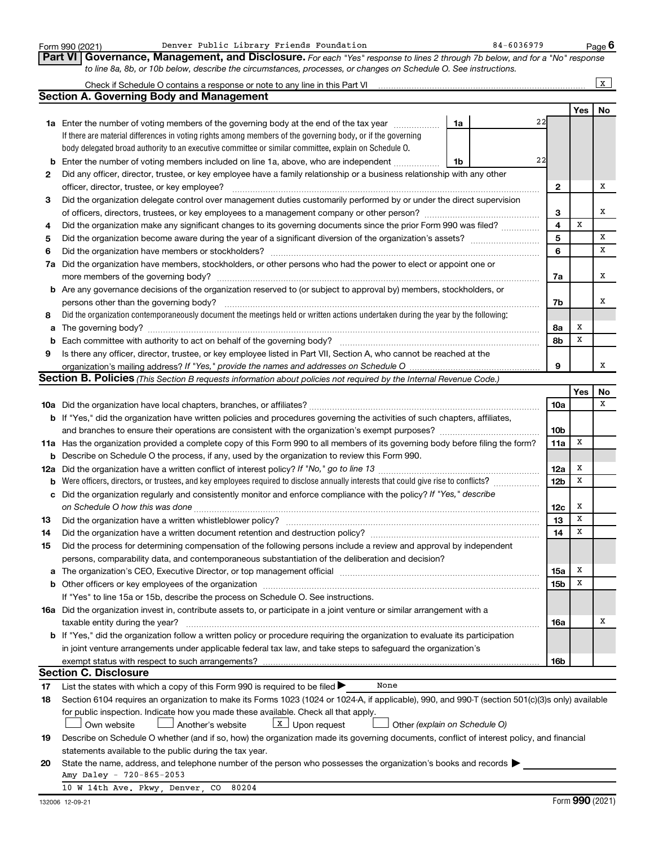|     | Denver Public Library Friends Foundation<br>Form 990 (2021)                                                                                                                                                                   |    | 84-6036979 |                 |             | Page 6 |
|-----|-------------------------------------------------------------------------------------------------------------------------------------------------------------------------------------------------------------------------------|----|------------|-----------------|-------------|--------|
|     | <b>Part VI</b><br>Governance, Management, and Disclosure. For each "Yes" response to lines 2 through 7b below, and for a "No" response                                                                                        |    |            |                 |             |        |
|     | to line 8a, 8b, or 10b below, describe the circumstances, processes, or changes on Schedule O. See instructions.                                                                                                              |    |            |                 |             |        |
|     | Check if Schedule O contains a response or note to any line in this Part VI [11] [12] [12] [12] [12] Check if Schedule O contains a response or note to any line in this Part VI                                              |    |            |                 |             | X      |
|     | <b>Section A. Governing Body and Management</b>                                                                                                                                                                               |    |            |                 |             |        |
|     |                                                                                                                                                                                                                               |    |            |                 | Yes         | No     |
|     | 1a Enter the number of voting members of the governing body at the end of the tax year                                                                                                                                        | 1a | 22         |                 |             |        |
|     | If there are material differences in voting rights among members of the governing body, or if the governing                                                                                                                   |    |            |                 |             |        |
|     | body delegated broad authority to an executive committee or similar committee, explain on Schedule O.                                                                                                                         |    |            |                 |             |        |
|     | Enter the number of voting members included on line 1a, above, who are independent                                                                                                                                            |    | 22         |                 |             |        |
| b   |                                                                                                                                                                                                                               | 1b |            |                 |             |        |
| 2   | Did any officer, director, trustee, or key employee have a family relationship or a business relationship with any other                                                                                                      |    |            |                 |             |        |
|     | officer, director, trustee, or key employee?                                                                                                                                                                                  |    |            | $\mathbf{2}$    |             | Х      |
| 3   | Did the organization delegate control over management duties customarily performed by or under the direct supervision                                                                                                         |    |            |                 |             |        |
|     |                                                                                                                                                                                                                               |    |            | 3               |             | х      |
| 4   | Did the organization make any significant changes to its governing documents since the prior Form 990 was filed?                                                                                                              |    |            | $\overline{4}$  | X           |        |
| 5   |                                                                                                                                                                                                                               |    |            | 5               |             | х      |
| 6   | Did the organization have members or stockholders?                                                                                                                                                                            |    |            | 6               |             | х      |
| 7a  | Did the organization have members, stockholders, or other persons who had the power to elect or appoint one or                                                                                                                |    |            |                 |             |        |
|     | more members of the governing body?                                                                                                                                                                                           |    |            | 7a              |             | х      |
|     | <b>b</b> Are any governance decisions of the organization reserved to (or subject to approval by) members, stockholders, or                                                                                                   |    |            |                 |             |        |
|     | persons other than the governing body?                                                                                                                                                                                        |    |            | 7b              |             | х      |
| 8   | Did the organization contemporaneously document the meetings held or written actions undertaken during the year by the following:                                                                                             |    |            |                 |             |        |
| a   | The governing body?                                                                                                                                                                                                           |    |            | 8а              | х           |        |
| b   |                                                                                                                                                                                                                               |    |            | 8b              | х           |        |
| 9   | Is there any officer, director, trustee, or key employee listed in Part VII, Section A, who cannot be reached at the                                                                                                          |    |            |                 |             |        |
|     |                                                                                                                                                                                                                               |    |            | 9               |             | х      |
|     | <b>Section B. Policies</b> (This Section B requests information about policies not required by the Internal Revenue Code.)                                                                                                    |    |            |                 |             |        |
|     |                                                                                                                                                                                                                               |    |            |                 | Yes         | No     |
|     |                                                                                                                                                                                                                               |    |            | 10a             |             | x      |
|     | b If "Yes," did the organization have written policies and procedures governing the activities of such chapters, affiliates,                                                                                                  |    |            |                 |             |        |
|     |                                                                                                                                                                                                                               |    |            | 10 <sub>b</sub> |             |        |
|     | 11a Has the organization provided a complete copy of this Form 990 to all members of its governing body before filing the form?                                                                                               |    |            | 11a             | Х           |        |
| b   | Describe on Schedule O the process, if any, used by the organization to review this Form 990.                                                                                                                                 |    |            |                 |             |        |
| 12a |                                                                                                                                                                                                                               |    |            | 12a             | Х           |        |
| b   | Were officers, directors, or trustees, and key employees required to disclose annually interests that could give rise to conflicts?                                                                                           |    |            | 12 <sub>b</sub> | х           |        |
| с   | Did the organization regularly and consistently monitor and enforce compliance with the policy? If "Yes," describe                                                                                                            |    |            |                 |             |        |
|     |                                                                                                                                                                                                                               |    |            | 12c             | x           |        |
|     | Did the organization have a written whistleblower policy?                                                                                                                                                                     |    |            | 13              | $\mathbf X$ |        |
| 13  |                                                                                                                                                                                                                               |    |            |                 | Х           |        |
| 14  | Did the organization have a written document retention and destruction policy? [11] manufaction in the organization have a written document retention and destruction policy?                                                 |    |            | 14              |             |        |
| 15  | Did the process for determining compensation of the following persons include a review and approval by independent                                                                                                            |    |            |                 |             |        |
|     | persons, comparability data, and contemporaneous substantiation of the deliberation and decision?                                                                                                                             |    |            |                 |             |        |
| a   | The organization's CEO, Executive Director, or top management official manufactured content of the organization's CEO, Executive Director, or top management official manufactured and the state of the state of the state of |    |            | 15a             | х           |        |
| b   | Other officers or key employees of the organization                                                                                                                                                                           |    |            | 15 <sub>b</sub> | Х           |        |
|     | If "Yes" to line 15a or 15b, describe the process on Schedule O. See instructions.                                                                                                                                            |    |            |                 |             |        |
|     | 16a Did the organization invest in, contribute assets to, or participate in a joint venture or similar arrangement with a                                                                                                     |    |            |                 |             |        |
|     | taxable entity during the year?                                                                                                                                                                                               |    |            | 16a             |             | Х      |
|     | b If "Yes," did the organization follow a written policy or procedure requiring the organization to evaluate its participation                                                                                                |    |            |                 |             |        |
|     | in joint venture arrangements under applicable federal tax law, and take steps to safeguard the organization's                                                                                                                |    |            |                 |             |        |
|     | exempt status with respect to such arrangements?                                                                                                                                                                              |    |            | 16b             |             |        |
|     | <b>Section C. Disclosure</b>                                                                                                                                                                                                  |    |            |                 |             |        |
| 17  | List the states with which a copy of this Form 990 is required to be filed ><br>None                                                                                                                                          |    |            |                 |             |        |
| 18  | Section 6104 requires an organization to make its Forms 1023 (1024 or 1024-A, if applicable), 990, and 990-T (section 501(c)(3)s only) available                                                                              |    |            |                 |             |        |
|     | for public inspection. Indicate how you made these available. Check all that apply.                                                                                                                                           |    |            |                 |             |        |
|     | $x \mid$ Upon request<br>Another's website<br>Other (explain on Schedule O)<br>Own website                                                                                                                                    |    |            |                 |             |        |
| 19  | Describe on Schedule O whether (and if so, how) the organization made its governing documents, conflict of interest policy, and financial                                                                                     |    |            |                 |             |        |
|     | statements available to the public during the tax year.                                                                                                                                                                       |    |            |                 |             |        |
| 20  | State the name, address, and telephone number of the person who possesses the organization's books and records                                                                                                                |    |            |                 |             |        |
|     | Amy Daley - 720-865-2053                                                                                                                                                                                                      |    |            |                 |             |        |
|     | 10 W 14th Ave. Pkwy, Denver, CO<br>80204                                                                                                                                                                                      |    |            |                 |             |        |
|     |                                                                                                                                                                                                                               |    |            |                 |             |        |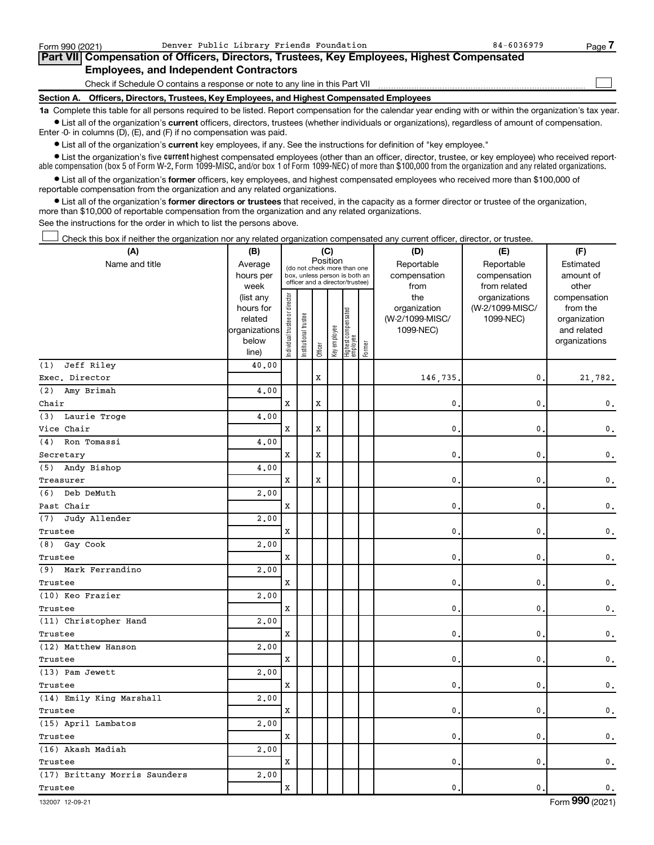| Form 990 (2021) | Denver Public Library Friends Foundation                                                   | 84-6036979 | Page 7 |
|-----------------|--------------------------------------------------------------------------------------------|------------|--------|
|                 | Part VII Compensation of Officers, Directors, Trustees, Key Employees, Highest Compensated |            |        |
|                 | <b>Employees, and Independent Contractors</b>                                              |            |        |
|                 | Check if Schedule O contains a response or note to any line in this Part VII               |            |        |
|                 | Section A. Officers, Directors, Trustees, Key Employees, and Highest Compensated Employees |            |        |

**1a**  Complete this table for all persons required to be listed. Report compensation for the calendar year ending with or within the organization's tax year.  $\bullet$  List all of the organization's current officers, directors, trustees (whether individuals or organizations), regardless of amount of compensation.

Enter -0- in columns (D), (E), and (F) if no compensation was paid.

**•** List all of the organization's **current** key employees, if any. See the instructions for definition of "key employee."

• List the organization's five *current* highest compensated employees (other than an officer, director, trustee, or key employee) who received reportable compensation (box 5 of Form W-2, Form 1099-MISC, and/or box 1 of Form 1099-NEC) of more than \$100,000 from the organization and any related organizations.

 $\bullet$  List all of the organization's former officers, key employees, and highest compensated employees who received more than \$100,000 of reportable compensation from the organization and any related organizations.

**•** List all of the organization's former directors or trustees that received, in the capacity as a former director or trustee of the organization, more than \$10,000 of reportable compensation from the organization and any related organizations.

See the instructions for the order in which to list the persons above.

Check this box if neither the organization nor any related organization compensated any current officer, director, or trustee. †

| (A)                           | (B)                    | (C)                           |                       |          |              |                                                                  | (D)    | (E)                 | (F)                              |                          |
|-------------------------------|------------------------|-------------------------------|-----------------------|----------|--------------|------------------------------------------------------------------|--------|---------------------|----------------------------------|--------------------------|
| Name and title                | Average                |                               |                       | Position |              | (do not check more than one                                      |        | Reportable          | Reportable                       | Estimated                |
|                               | hours per              |                               |                       |          |              | box, unless person is both an<br>officer and a director/trustee) |        | compensation        | compensation                     | amount of                |
|                               | week                   |                               |                       |          |              |                                                                  |        | from                | from related                     | other                    |
|                               | (list any<br>hours for |                               |                       |          |              |                                                                  |        | the<br>organization | organizations<br>(W-2/1099-MISC/ | compensation<br>from the |
|                               | related                |                               |                       |          |              |                                                                  |        | (W-2/1099-MISC/     | 1099-NEC)                        | organization             |
|                               | organizations          |                               |                       |          |              |                                                                  |        | 1099-NEC)           |                                  | and related              |
|                               | below                  | ndividual trustee or director | Institutional trustee |          | Key employee | Highest compensated<br>employee                                  |        |                     |                                  | organizations            |
|                               | line)                  |                               |                       | Officer  |              |                                                                  | Former |                     |                                  |                          |
| Jeff Riley<br>(1)             | 40.00                  |                               |                       |          |              |                                                                  |        |                     |                                  |                          |
| Exec. Director                |                        |                               |                       | X        |              |                                                                  |        | 146,735.            | $\mathbf{0}$                     | 21.782.                  |
| (2)<br>Amy Brimah             | 4,00                   |                               |                       |          |              |                                                                  |        |                     |                                  |                          |
| Chair                         |                        | $\mathbf x$                   |                       | X        |              |                                                                  |        | $\mathbf{0}$        | 0                                | 0.                       |
| Laurie Troge<br>(3)           | 4.00                   |                               |                       |          |              |                                                                  |        |                     |                                  |                          |
| Vice Chair                    |                        | $\mathbf x$                   |                       | X        |              |                                                                  |        | $\mathbf{0}$        | 0                                | 0.                       |
| Ron Tomassi<br>(4)            | 4.00                   |                               |                       |          |              |                                                                  |        |                     |                                  |                          |
| Secretary                     |                        | $\mathbf x$                   |                       | X        |              |                                                                  |        | $\mathbf{0}$        | 0                                | 0.                       |
| (5) Andy Bishop               | 4.00                   |                               |                       |          |              |                                                                  |        |                     |                                  |                          |
| Treasurer                     |                        | X                             |                       | X        |              |                                                                  |        | $\mathbf{0}$ .      | 0                                | 0.                       |
| Deb DeMuth<br>(6)             | 2.00                   |                               |                       |          |              |                                                                  |        |                     |                                  |                          |
| Past Chair                    |                        | X                             |                       |          |              |                                                                  |        | $\mathbf{0}$        | 0                                | 0.                       |
| Judy Allender<br>(7)          | 2,00                   |                               |                       |          |              |                                                                  |        |                     |                                  |                          |
| Trustee                       |                        | $\mathbf x$                   |                       |          |              |                                                                  |        | $\mathbf{0}$ .      | 0                                | 0.                       |
| Gay Cook<br>(8)               | 2.00                   |                               |                       |          |              |                                                                  |        |                     |                                  |                          |
| Trustee                       |                        | $\mathbf x$                   |                       |          |              |                                                                  |        | $\mathbf{0}$ .      | 0                                | 0.                       |
| (9) Mark Ferrandino           | 2.00                   |                               |                       |          |              |                                                                  |        |                     |                                  |                          |
| Trustee                       |                        | $\mathbf x$                   |                       |          |              |                                                                  |        | $\mathbf{0}$ .      | $\mathbf{0}$                     | 0.                       |
| (10) Keo Frazier              | 2,00                   |                               |                       |          |              |                                                                  |        |                     |                                  |                          |
| Trustee                       |                        | $\mathbf x$                   |                       |          |              |                                                                  |        | $\mathbf{0}$ .      | 0                                | 0.                       |
| (11) Christopher Hand         | 2,00                   |                               |                       |          |              |                                                                  |        |                     |                                  |                          |
| Trustee                       |                        | $\mathbf x$                   |                       |          |              |                                                                  |        | $\mathbf 0$ .       | 0                                | 0.                       |
| (12) Matthew Hanson           | 2,00                   |                               |                       |          |              |                                                                  |        |                     |                                  |                          |
| Trustee                       |                        | $\mathbf x$                   |                       |          |              |                                                                  |        | $\mathbf{0}$ .      | 0                                | $\mathbf 0$ .            |
| (13) Pam Jewett               | 2,00                   |                               |                       |          |              |                                                                  |        |                     |                                  |                          |
| Trustee                       |                        | X                             |                       |          |              |                                                                  |        | 0.                  | $\mathbf{0}$                     | 0.                       |
| (14) Emily King Marshall      | 2,00                   |                               |                       |          |              |                                                                  |        |                     |                                  |                          |
| Trustee                       |                        | $\mathbf x$                   |                       |          |              |                                                                  |        | $\mathbf{0}$ .      | 0                                | $\mathbf 0$ .            |
| (15) April Lambatos           | 2,00                   |                               |                       |          |              |                                                                  |        |                     |                                  |                          |
| Trustee                       |                        | $\mathbf x$                   |                       |          |              |                                                                  |        | $\mathbf{0}$ .      | $\mathbf 0$                      | $\mathbf 0$ .            |
| (16) Akash Madiah             | 2.00                   |                               |                       |          |              |                                                                  |        |                     |                                  |                          |
| Trustee                       |                        | $\mathbf x$                   |                       |          |              |                                                                  |        | $\mathbf{0}$ .      | 0                                | 0.                       |
| (17) Brittany Morris Saunders | 2,00                   |                               |                       |          |              |                                                                  |        |                     |                                  |                          |
| Trustee                       |                        | X                             |                       |          |              |                                                                  |        | $\mathbf{0}$ .      | 0                                | $\mathbf 0$ .            |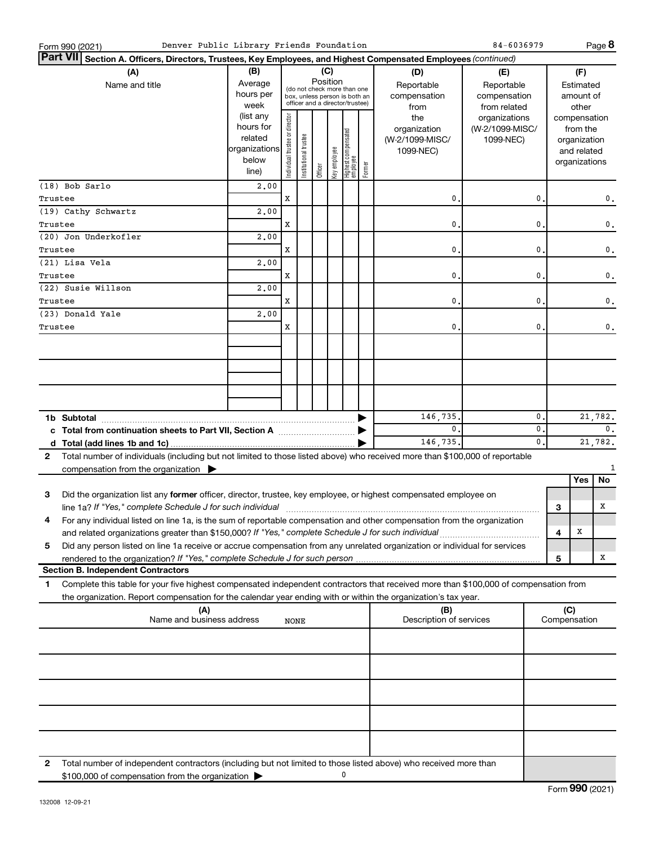| Denver Public Library Friends Foundation<br>Form 990 (2021)                                                                                                                                                                              |                                                                                                        |                                |                       |         |                 |                                                                                                 |        |                                                     | 84-6036979                                        |                |         |                                                                          | Page 8         |
|------------------------------------------------------------------------------------------------------------------------------------------------------------------------------------------------------------------------------------------|--------------------------------------------------------------------------------------------------------|--------------------------------|-----------------------|---------|-----------------|-------------------------------------------------------------------------------------------------|--------|-----------------------------------------------------|---------------------------------------------------|----------------|---------|--------------------------------------------------------------------------|----------------|
| ∣Part VII                                                                                                                                                                                                                                | Section A. Officers, Directors, Trustees, Key Employees, and Highest Compensated Employees (continued) |                                |                       |         |                 |                                                                                                 |        |                                                     |                                                   |                |         |                                                                          |                |
| (A)<br>Name and title                                                                                                                                                                                                                    | (B)<br>Average<br>hours per<br>week                                                                    |                                |                       |         | (C)<br>Position | (do not check more than one<br>box, unless person is both an<br>officer and a director/trustee) |        | (D)<br>Reportable<br>compensation<br>from           | (E)<br>Reportable<br>compensation<br>from related |                |         | (F)<br>Estimated<br>amount of<br>other                                   |                |
|                                                                                                                                                                                                                                          | (list any<br>hours for<br>related<br>organizations<br>below<br>line)                                   | Individual trustee or director | Institutional trustee | Officer | Key employee    | Highest compensated<br> employee                                                                | Former | the<br>organization<br>(W-2/1099-MISC/<br>1099-NEC) | organizations<br>(W-2/1099-MISC/<br>1099-NEC)     |                |         | compensation<br>from the<br>organization<br>and related<br>organizations |                |
| (18) Bob Sarlo                                                                                                                                                                                                                           | 2,00                                                                                                   |                                |                       |         |                 |                                                                                                 |        |                                                     |                                                   |                |         |                                                                          |                |
| Trustee                                                                                                                                                                                                                                  |                                                                                                        | X                              |                       |         |                 |                                                                                                 |        | 0                                                   |                                                   | 0              |         |                                                                          | 0.             |
| (19) Cathy Schwartz                                                                                                                                                                                                                      | 2,00                                                                                                   |                                |                       |         |                 |                                                                                                 |        |                                                     |                                                   |                |         |                                                                          |                |
| Trustee<br>(20) Jon Underkofler                                                                                                                                                                                                          | 2,00                                                                                                   | x                              |                       |         |                 |                                                                                                 |        | $\mathbf{0}$                                        |                                                   | 0              |         |                                                                          | $\mathbf 0$ .  |
| Trustee                                                                                                                                                                                                                                  |                                                                                                        | x                              |                       |         |                 |                                                                                                 |        | $\mathbf{0}$                                        |                                                   | 0              |         |                                                                          | $\mathbf 0$ .  |
| (21) Lisa Vela                                                                                                                                                                                                                           | 2,00                                                                                                   |                                |                       |         |                 |                                                                                                 |        |                                                     |                                                   |                |         |                                                                          |                |
| Trustee                                                                                                                                                                                                                                  |                                                                                                        | x                              |                       |         |                 |                                                                                                 |        | $\mathbf{0}$                                        |                                                   | 0              |         |                                                                          | $\mathbf{0}$ . |
| (22) Susie Willson                                                                                                                                                                                                                       | 2,00                                                                                                   |                                |                       |         |                 |                                                                                                 |        |                                                     |                                                   |                |         |                                                                          |                |
| Trustee<br>(23) Donald Yale                                                                                                                                                                                                              | 2,00                                                                                                   | x                              |                       |         |                 |                                                                                                 |        | $\mathbf{0}$                                        |                                                   | 0              |         |                                                                          | $\mathbf{0}$ . |
| Trustee                                                                                                                                                                                                                                  |                                                                                                        | x                              |                       |         |                 |                                                                                                 |        | $\mathbf 0$ .                                       |                                                   | 0              |         |                                                                          | $\mathbf{0}$ . |
|                                                                                                                                                                                                                                          |                                                                                                        |                                |                       |         |                 |                                                                                                 |        |                                                     |                                                   |                |         |                                                                          |                |
|                                                                                                                                                                                                                                          |                                                                                                        |                                |                       |         |                 |                                                                                                 |        |                                                     |                                                   |                |         |                                                                          |                |
|                                                                                                                                                                                                                                          |                                                                                                        |                                |                       |         |                 |                                                                                                 |        |                                                     |                                                   |                |         |                                                                          |                |
| 1b Subtotal                                                                                                                                                                                                                              | 146,735.                                                                                               |                                |                       |         |                 |                                                                                                 |        | 0                                                   |                                                   |                | 21,782. |                                                                          |                |
| c Total from continuation sheets to Part VII, Section A manufactured by                                                                                                                                                                  |                                                                                                        |                                |                       |         |                 |                                                                                                 |        | 0.                                                  |                                                   | 0              |         |                                                                          | $\mathbf{0}$ . |
|                                                                                                                                                                                                                                          |                                                                                                        |                                |                       |         |                 |                                                                                                 |        | 146,735.                                            |                                                   | $\mathbf{0}$ . |         |                                                                          | 21,782.        |
| Total number of individuals (including but not limited to those listed above) who received more than \$100,000 of reportable<br>2<br>compensation from the organization $\blacktriangleright$                                            |                                                                                                        |                                |                       |         |                 |                                                                                                 |        |                                                     |                                                   |                |         |                                                                          | 1              |
|                                                                                                                                                                                                                                          |                                                                                                        |                                |                       |         |                 |                                                                                                 |        |                                                     |                                                   |                |         | Yes                                                                      | No             |
| Did the organization list any former officer, director, trustee, key employee, or highest compensated employee on<br>3<br>line 1a? If "Yes," complete Schedule J for such individual manufactured contains and the set of the schedule J |                                                                                                        |                                |                       |         |                 |                                                                                                 |        |                                                     |                                                   |                | 3       |                                                                          | х              |
| For any individual listed on line 1a, is the sum of reportable compensation and other compensation from the organization                                                                                                                 |                                                                                                        |                                |                       |         |                 |                                                                                                 |        |                                                     |                                                   |                |         |                                                                          |                |
| and related organizations greater than \$150,000? If "Yes," complete Schedule J for such individual                                                                                                                                      |                                                                                                        |                                |                       |         |                 |                                                                                                 |        |                                                     |                                                   |                | 4       | X                                                                        |                |
| Did any person listed on line 1a receive or accrue compensation from any unrelated organization or individual for services<br>5                                                                                                          |                                                                                                        |                                |                       |         |                 |                                                                                                 |        |                                                     |                                                   |                |         |                                                                          |                |
| rendered to the organization? If "Yes," complete Schedule J for such person                                                                                                                                                              |                                                                                                        |                                |                       |         |                 |                                                                                                 |        |                                                     |                                                   |                | 5       |                                                                          | х              |
| <b>Section B. Independent Contractors</b><br>Complete this table for your five highest compensated independent contractors that received more than \$100,000 of compensation from<br>1                                                   |                                                                                                        |                                |                       |         |                 |                                                                                                 |        |                                                     |                                                   |                |         |                                                                          |                |
| the organization. Report compensation for the calendar year ending with or within the organization's tax year.                                                                                                                           |                                                                                                        |                                |                       |         |                 |                                                                                                 |        |                                                     |                                                   |                |         |                                                                          |                |
| (A)<br>Name and business address                                                                                                                                                                                                         |                                                                                                        | NONE                           |                       |         |                 |                                                                                                 |        | (B)<br>Description of services                      |                                                   |                |         | (C)<br>Compensation                                                      |                |
|                                                                                                                                                                                                                                          |                                                                                                        |                                |                       |         |                 |                                                                                                 |        |                                                     |                                                   |                |         |                                                                          |                |
|                                                                                                                                                                                                                                          |                                                                                                        |                                |                       |         |                 |                                                                                                 |        |                                                     |                                                   |                |         |                                                                          |                |
|                                                                                                                                                                                                                                          |                                                                                                        |                                |                       |         |                 |                                                                                                 |        |                                                     |                                                   |                |         |                                                                          |                |
|                                                                                                                                                                                                                                          |                                                                                                        |                                |                       |         |                 |                                                                                                 |        |                                                     |                                                   |                |         |                                                                          |                |
|                                                                                                                                                                                                                                          |                                                                                                        |                                |                       |         |                 |                                                                                                 |        |                                                     |                                                   |                |         |                                                                          |                |
| Total number of independent contractors (including but not limited to those listed above) who received more than<br>2                                                                                                                    |                                                                                                        |                                |                       |         |                 |                                                                                                 |        |                                                     |                                                   |                |         |                                                                          |                |
| \$100,000 of compensation from the organization                                                                                                                                                                                          |                                                                                                        |                                |                       |         |                 | 0                                                                                               |        |                                                     |                                                   |                |         |                                                                          |                |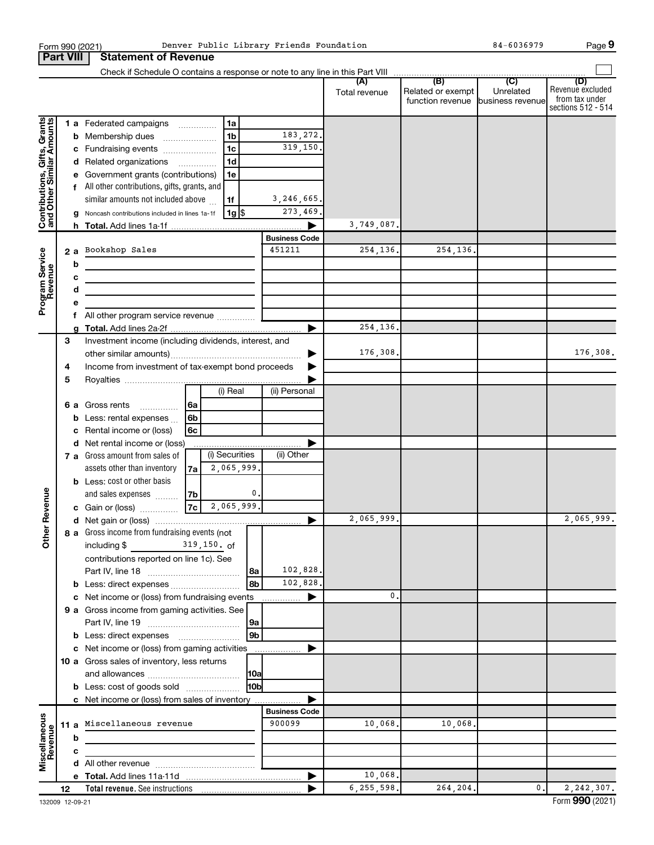|                                                           | Form 990 (2021)<br><b>Part VIII</b> | <b>Statement of Revenue</b>                                                                                                                                                                           |                                        |                      | Denver Public Library Friends Foundation |               |                                                        | 84-6036979 | Page 9                                                          |
|-----------------------------------------------------------|-------------------------------------|-------------------------------------------------------------------------------------------------------------------------------------------------------------------------------------------------------|----------------------------------------|----------------------|------------------------------------------|---------------|--------------------------------------------------------|------------|-----------------------------------------------------------------|
|                                                           |                                     |                                                                                                                                                                                                       |                                        |                      |                                          |               |                                                        |            |                                                                 |
|                                                           |                                     |                                                                                                                                                                                                       |                                        |                      |                                          | Total revenue | Related or exempt<br>function revenue business revenue | Unrelated  | (D)<br>Revenue excluded<br>from tax under<br>sections 512 - 514 |
|                                                           |                                     | 1 a Federated campaigns<br><b>b</b> Membership dues<br>c Fundraising events                                                                                                                           | 1a<br>1 <sub>b</sub><br>1 <sub>c</sub> |                      | 183, 272.<br>319,150.                    |               |                                                        |            |                                                                 |
| Contributions, Gifts, Grants<br>and Other Similar Amounts |                                     | d Related organizations<br>e Government grants (contributions)<br>f All other contributions, gifts, grants, and                                                                                       | 1 <sub>d</sub><br>1e                   |                      |                                          |               |                                                        |            |                                                                 |
|                                                           |                                     | similar amounts not included above<br>Noncash contributions included in lines 1a-1f                                                                                                                   | 1f                                     | 1g  \$               | 3,246,665.<br>273,469.                   | 3,749,087.    |                                                        |            |                                                                 |
|                                                           | b                                   | 2 a Bookshop Sales                                                                                                                                                                                    |                                        |                      | <b>Business Code</b><br>451211           | 254,136.      | 254,136.                                               |            |                                                                 |
| Program Service<br>Revenue                                | c<br>d                              | <u> 1989 - Johann Stoff, deutscher Stoffen und der Stoffen und der Stoffen und der Stoffen und der Stoffen und der </u><br>the control of the control of the control of the control of the control of |                                        |                      |                                          |               |                                                        |            |                                                                 |
|                                                           | f                                   | All other program service revenue  [                                                                                                                                                                  |                                        |                      |                                          |               |                                                        |            |                                                                 |
|                                                           | 3                                   | Investment income (including dividends, interest, and                                                                                                                                                 |                                        |                      |                                          | 254, 136.     |                                                        |            |                                                                 |
|                                                           | 4<br>5                              | Income from investment of tax-exempt bond proceeds                                                                                                                                                    |                                        |                      |                                          | 176,308.      |                                                        |            | 176,308.                                                        |
|                                                           |                                     | <b>6 a</b> Gross rents<br>$\overline{\phantom{a}}$<br><b>b</b> Less: rental expenses                                                                                                                  | (i) Real<br>6a<br>6 <sub>b</sub>       |                      | (ii) Personal                            |               |                                                        |            |                                                                 |
|                                                           | c<br>d                              | Rental income or (loss)<br>Net rental income or (loss)<br>7 a Gross amount from sales of                                                                                                              | 6c<br>(i) Securities                   |                      | (ii) Other                               |               |                                                        |            |                                                                 |
|                                                           |                                     | assets other than inventory<br><b>b</b> Less: cost or other basis                                                                                                                                     | 2,065,999.<br>7a                       |                      |                                          |               |                                                        |            |                                                                 |
| venue                                                     |                                     | and sales expenses<br>c Gain or (loss)                                                                                                                                                                | 7b<br>7c                               | 0.<br>2,065,999.     |                                          | 2,065,999.    |                                                        |            | 2,065,999.                                                      |
| Other <sub>Re</sub>                                       |                                     | 8 a Gross income from fundraising events (not<br>including \$<br>contributions reported on line 1c). See                                                                                              | $319,150.$ of                          | l8a                  | 102,828.                                 |               |                                                        |            |                                                                 |
|                                                           |                                     | c Net income or (loss) from fundraising events                                                                                                                                                        |                                        | 8b                   | 102,828.                                 | 0.            |                                                        |            |                                                                 |
|                                                           |                                     | 9 a Gross income from gaming activities. See                                                                                                                                                          |                                        | 9a<br>9 <sub>b</sub> |                                          |               |                                                        |            |                                                                 |
|                                                           |                                     | c Net income or (loss) from gaming activities<br>10 a Gross sales of inventory, less returns                                                                                                          |                                        | <b>10a</b>           |                                          |               |                                                        |            |                                                                 |
|                                                           |                                     | <b>b</b> Less: cost of goods sold<br>c Net income or (loss) from sales of inventory                                                                                                                   |                                        | 10bl                 |                                          |               |                                                        |            |                                                                 |
|                                                           | b                                   | 11 a Miscellaneous revenue                                                                                                                                                                            |                                        |                      | <b>Business Code</b><br>900099           | 10,068.       | 10,068.                                                |            |                                                                 |
| Miscellaneous<br>Revenue                                  | с                                   |                                                                                                                                                                                                       |                                        |                      |                                          |               |                                                        |            |                                                                 |
|                                                           |                                     |                                                                                                                                                                                                       |                                        |                      |                                          | 10,068.       |                                                        |            |                                                                 |
|                                                           | 12                                  |                                                                                                                                                                                                       |                                        |                      |                                          | 6, 255, 598.  | 264,204.                                               | 0.         | 2, 242, 307.                                                    |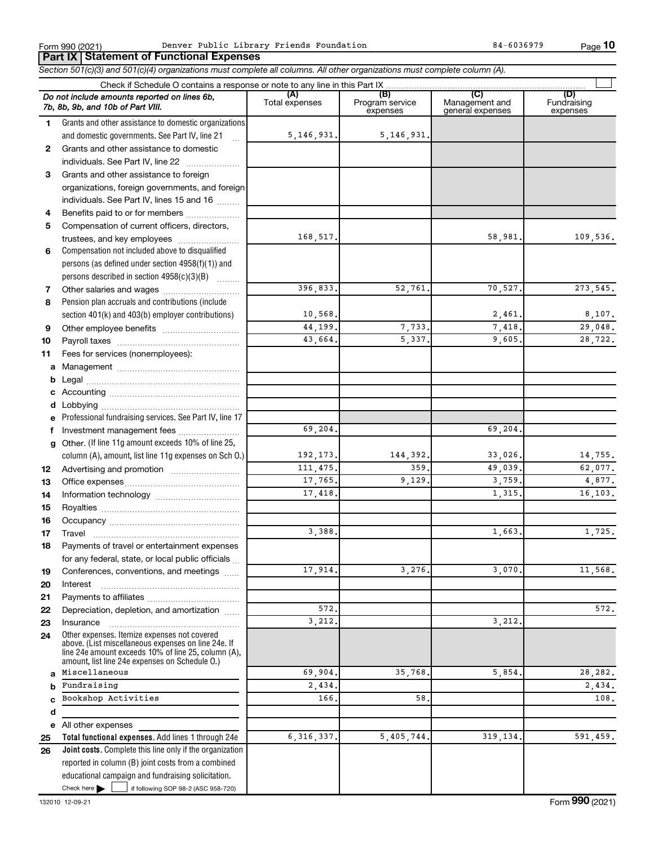Form 990 (2021) Penver Public Library Friends Foundation Business Research Rage Rage

**Total functional expenses.**  Add lines 1 through 24e **Joint costs.** Complete this line only if the organization **(A) (B) (C) (D)** Fundraising **1 2 3** Grants and other assistance to foreign **4 5 6 7 8 9 10 11 a** Management ~~~~~~~~~~~~~~~~ **b c d e f g 12 13 14 15 16 17 18 19 20 21 22 23 24 a b c d e 25 26** *Section 501(c)(3) and 501(c)(4) organizations must complete all columns. All other organizations must complete column (A).* Grants and other assistance to domestic organizations and domestic governments. See Part IV, line 21 Compensation not included above to disqualified persons (as defined under section 4958(f)(1)) and persons described in section  $4958(c)(3)(B)$   $\ldots$ Pension plan accruals and contributions (include section 401(k) and 403(b) employer contributions) Professional fundraising services. See Part IV, line 17 Other. (If line 11g amount exceeds 10% of line 25, column (A), amount, list line 11g expenses on Sch O.) Other expenses. Itemize expenses not covered above. (List miscellaneous expenses on line 24e. If line 24e amount exceeds 10% of line 25, column (A), amount, list line 24e expenses on Schedule O.) reported in column (B) joint costs from a combined Check if Schedule O contains a response or note to any line in this Part IX Total expenses Program service expenses Management and general expenses expenses .<br>... Grants and other assistance to domestic  $individuals. See Part IV, line 22$  ............. organizations, foreign governments, and foreign individuals. See Part IV, lines 15 and 16  $\ldots$ Benefits paid to or for members ................... Compensation of current officers, directors, trustees, and key employees ........................ Other salaries and wages ~~~~~~~~~~ Other employee benefits ~~~~~~~~~~ Payroll taxes ~~~~~~~~~~~~~~~~ Fees for services (nonemployees): Legal ~~~~~~~~~~~~~~~~~~~~ Accounting ~~~~~~~~~~~~~~~~~ Lobbying ~~~~~~~~~~~~~~~~~~ Investment management fees ....................... Advertising and promotion ........................... Office expenses ~~~~~~~~~~~~~~~ Information technology ~~~~~~~~~~~ Royalties ~~~~~~~~~~~~~~~~~~ Occupancy ~~~~~~~~~~~~~~~~~ Travel ~~~~~~~~~~~~~~~~~~~ Payments of travel or entertainment expenses for any federal, state, or local public officials ... Conferences, conventions, and meetings Interest ~~~~~~~~~~~~~~~~~~ Payments to affiliates ~~~~~~~~~~~~ Depreciation, depletion, and amortization ...... Insurance ~~~~~~~~~~~~~~~~~ All other expenses *Do not include amounts reported on lines 6b, 7b, 8b, 9b, and 10b of Part VIII.* **Part IX Statement of Functional Expenses**  $\Box$ 5,146,931. 5,146,931. 168,517. 109,536. 396,833. 52,761. 70,527. 273,545. 10,568. 8,107. **44,199.** 7,733. 7,418. 29,048. 43,664. 5,337. 9,605. 28,722. 69,204. 69,204. 192,173. 144,392. 33,026. 14,755. 111,475. 359. 49,039. 62,077. 17,765. 9,129. 3,759. 4,877. 17,418. 16,103.  $3,388.$  1,663. 1,725. 17,914. 3,276. 3,070. 11,568. 572. 572. 3, 212. 3. 212. Miscellaneous 69,904. 35,768. 5,854. 28,282. Fundraising 2,434. **2,434.** 2,434. Bookshop Activities 166. 58. 108. 6,316,337. 5,405,744. 319,134. 591,459.

Check here  $\blacktriangleright$  |

Check here  $\begin{array}{c} \begin{array}{|c} \hline \end{array} \end{array}$  if following SOP 98-2 (ASC 958-720)

educational campaign and fundraising solicitation.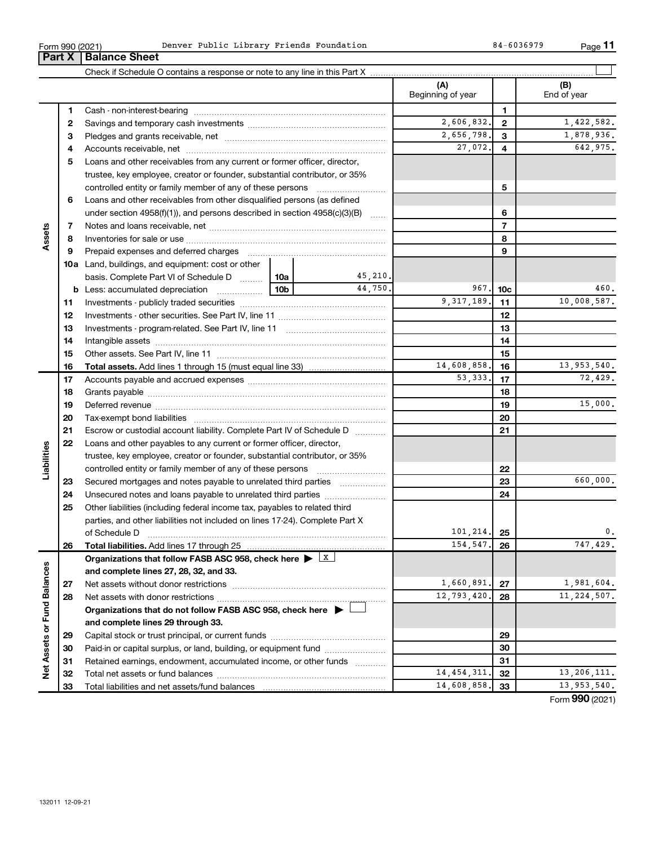**32 33**

**Net Assets or Fund Balances**

Net Assets or Fund Balances

| Form 990 (2021) | Denver Public Library Friends Foundation | 84-6036979<br>Page |
|-----------------|------------------------------------------|--------------------|
|-----------------|------------------------------------------|--------------------|

Total net assets or fund balances ~~~~~~~~~~~~~~~~~~~~~~

Total liabilities and net assets/fund balances

|                         | Part X | <b>Balance Sheet</b>                                                                                                                                                                                                           |             |          |                          |                |                    |
|-------------------------|--------|--------------------------------------------------------------------------------------------------------------------------------------------------------------------------------------------------------------------------------|-------------|----------|--------------------------|----------------|--------------------|
|                         |        |                                                                                                                                                                                                                                |             |          |                          |                |                    |
|                         |        |                                                                                                                                                                                                                                |             |          | (A)<br>Beginning of year |                | (B)<br>End of year |
|                         | 1      |                                                                                                                                                                                                                                |             |          |                          | 1              |                    |
|                         | 2      |                                                                                                                                                                                                                                |             |          | 2,606,832.               | $\mathbf{2}$   | 1,422,582.         |
|                         | 3      |                                                                                                                                                                                                                                |             |          | 2,656,798.               | 3              | 1,878,936.         |
|                         | 4      |                                                                                                                                                                                                                                |             |          | 27,072.                  | 4              | 642,975.           |
|                         | 5      | Loans and other receivables from any current or former officer, director,                                                                                                                                                      |             |          |                          |                |                    |
|                         |        | trustee, key employee, creator or founder, substantial contributor, or 35%                                                                                                                                                     |             |          |                          |                |                    |
|                         |        | controlled entity or family member of any of these persons                                                                                                                                                                     |             |          | 5                        |                |                    |
|                         | 6      | Loans and other receivables from other disqualified persons (as defined                                                                                                                                                        |             |          |                          |                |                    |
|                         |        | under section 4958(f)(1)), and persons described in section 4958(c)(3)(B)                                                                                                                                                      |             |          |                          | 6              |                    |
|                         | 7      |                                                                                                                                                                                                                                |             |          |                          | $\overline{7}$ |                    |
| Assets                  | 8      |                                                                                                                                                                                                                                |             |          |                          | 8              |                    |
|                         | 9      | Prepaid expenses and deferred charges [11] [11] prepaid expenses and deferred charges [11] [11] minimum and the Prepaid expenses and deferred charges [11] minimum and the Prepaid experiment of Prepaid experiment and the Pr |             |          |                          | 9              |                    |
|                         |        | <b>10a</b> Land, buildings, and equipment: cost or other                                                                                                                                                                       |             |          |                          |                |                    |
|                         |        | basis. Complete Part VI of Schedule D    10a                                                                                                                                                                                   |             | 45,210.  |                          |                |                    |
|                         |        |                                                                                                                                                                                                                                | 10b         | 44.750.  | 967.                     | 10c            | 460.               |
|                         | 11     |                                                                                                                                                                                                                                |             |          | 9, 317, 189.             | 11             | 10,008,587.        |
|                         | 12     |                                                                                                                                                                                                                                |             |          |                          | 12             |                    |
|                         | 13     |                                                                                                                                                                                                                                |             |          | 13                       |                |                    |
|                         | 14     |                                                                                                                                                                                                                                |             |          |                          | 14             |                    |
|                         | 15     |                                                                                                                                                                                                                                |             |          | 15                       |                |                    |
|                         | 16     | <b>Total assets.</b> Add lines 1 through 15 (must equal line 33) <i></i>                                                                                                                                                       | 14,608,858. | 16       | 13,953,540.              |                |                    |
|                         | 17     |                                                                                                                                                                                                                                |             | 53, 333. | 17                       | 72,429.        |                    |
|                         | 18     |                                                                                                                                                                                                                                |             |          |                          | 18             |                    |
|                         | 19     |                                                                                                                                                                                                                                |             |          |                          | 19             | 15,000.            |
|                         | 20     |                                                                                                                                                                                                                                |             |          |                          | 20             |                    |
|                         | 21     | Escrow or custodial account liability. Complete Part IV of Schedule D                                                                                                                                                          |             |          |                          | 21             |                    |
|                         | 22     | Loans and other payables to any current or former officer, director,                                                                                                                                                           |             |          |                          |                |                    |
|                         |        | trustee, key employee, creator or founder, substantial contributor, or 35%                                                                                                                                                     |             |          |                          |                |                    |
| Liabilities             |        | controlled entity or family member of any of these persons                                                                                                                                                                     |             |          |                          | 22             |                    |
|                         | 23     | Secured mortgages and notes payable to unrelated third parties                                                                                                                                                                 |             |          |                          | 23             | 660,000.           |
|                         | 24     | Unsecured notes and loans payable to unrelated third parties                                                                                                                                                                   |             |          |                          | 24             |                    |
|                         | 25     | Other liabilities (including federal income tax, payables to related third                                                                                                                                                     |             |          |                          |                |                    |
|                         |        | parties, and other liabilities not included on lines 17-24). Complete Part X                                                                                                                                                   |             |          |                          |                |                    |
|                         |        | of Schedule D                                                                                                                                                                                                                  |             |          | 101, 214,                | 25             | υ.                 |
|                         | 26     | Total liabilities. Add lines 17 through 25                                                                                                                                                                                     |             |          | 154.547.                 | 26             | 747,429.           |
|                         |        | Organizations that follow FASB ASC 958, check here $\blacktriangleright \lfloor x \rfloor$                                                                                                                                     |             |          |                          |                |                    |
|                         |        | and complete lines 27, 28, 32, and 33.                                                                                                                                                                                         |             |          |                          |                |                    |
|                         | 27     |                                                                                                                                                                                                                                |             |          | 1,660,891.               | 27             | 1,981,604.         |
|                         | 28     |                                                                                                                                                                                                                                |             |          | 12,793,420.              | 28             | 11, 224, 507.      |
| Assets or Fund Balances |        | Organizations that do not follow FASB ASC 958, check here $\blacktriangleright$                                                                                                                                                |             |          |                          |                |                    |
|                         |        | and complete lines 29 through 33.                                                                                                                                                                                              |             |          |                          |                |                    |
|                         | 29     |                                                                                                                                                                                                                                |             |          |                          | 29             |                    |
|                         | 30     | Paid-in or capital surplus, or land, building, or equipment fund                                                                                                                                                               |             |          |                          | 30             |                    |
|                         | 31     | Retained earnings, endowment, accumulated income, or other funds                                                                                                                                                               |             |          |                          | 31             |                    |

 $\mathbf{B4-6036979}$ 

**11**

Form (2021) **990**

**32 33**

14,454,311. 32 13,206,111. 14,608,858. 33 13,953,540.

|  | Form 990 (2021) |
|--|-----------------|
|  |                 |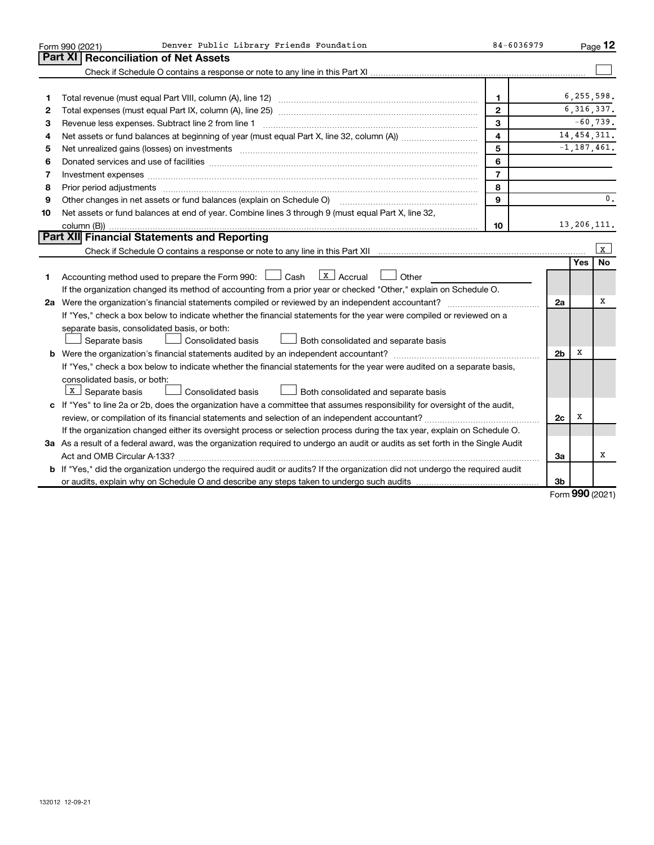|    | Denver Public Library Friends Foundation<br>Form 990 (2021)                                                                                                           | 84-6036979              |                |            | Page 12         |
|----|-----------------------------------------------------------------------------------------------------------------------------------------------------------------------|-------------------------|----------------|------------|-----------------|
|    | Part XI   Reconciliation of Net Assets                                                                                                                                |                         |                |            |                 |
|    |                                                                                                                                                                       |                         |                |            |                 |
|    |                                                                                                                                                                       |                         |                |            |                 |
| 1  |                                                                                                                                                                       | 1                       |                |            | 6,255,598.      |
| 2  |                                                                                                                                                                       | $\mathbf{2}$            |                |            | 6, 316, 337.    |
| З  | Revenue less expenses. Subtract line 2 from line 1                                                                                                                    | 3                       |                |            | $-60,739.$      |
| 4  |                                                                                                                                                                       | $\overline{\mathbf{4}}$ |                |            | 14, 454, 311.   |
| 5  | Net unrealized gains (losses) on investments [11] matter continuum matter is a set of the set of the set of the                                                       | 5                       |                |            | $-1, 187, 461.$ |
| 6  |                                                                                                                                                                       | 6                       |                |            |                 |
| 7  | Investment expenses www.communication.com/www.communication.com/www.communication.com/www.com                                                                         | $\overline{7}$          |                |            |                 |
| 8  | Prior period adjustments manufactured and content and content and all the manufactured adjustments manufactured                                                       | 8                       |                |            |                 |
| 9  | Other changes in net assets or fund balances (explain on Schedule O) manual contraction control of the changes in net assets or fund balances (explain on Schedule O) | 9                       |                |            | $\mathbf{0}$ .  |
| 10 | Net assets or fund balances at end of year. Combine lines 3 through 9 (must equal Part X, line 32,                                                                    |                         |                |            |                 |
|    |                                                                                                                                                                       | 10                      |                |            | 13,206,111.     |
|    | Part XII Financial Statements and Reporting                                                                                                                           |                         |                |            |                 |
|    |                                                                                                                                                                       |                         |                |            | $\mathbf{x}$    |
|    |                                                                                                                                                                       |                         |                | <b>Yes</b> | <b>No</b>       |
| 1. | $\lfloor x \rfloor$ Accrual<br>Accounting method used to prepare the Form 990: [1635] Cash<br>Other                                                                   |                         |                |            |                 |
|    | If the organization changed its method of accounting from a prior year or checked "Other," explain on Schedule O.                                                     |                         |                |            |                 |
|    |                                                                                                                                                                       |                         | 2a             |            | x               |
|    | If "Yes," check a box below to indicate whether the financial statements for the year were compiled or reviewed on a                                                  |                         |                |            |                 |
|    | separate basis, consolidated basis, or both:                                                                                                                          |                         |                |            |                 |
|    | Separate basis<br>Consolidated basis<br>Both consolidated and separate basis                                                                                          |                         |                |            |                 |
|    |                                                                                                                                                                       |                         | 2 <sub>b</sub> | х          |                 |
|    | If "Yes," check a box below to indicate whether the financial statements for the year were audited on a separate basis,                                               |                         |                |            |                 |
|    | consolidated basis, or both:                                                                                                                                          |                         |                |            |                 |
|    | $X$ Separate basis<br>Consolidated basis<br>Both consolidated and separate basis                                                                                      |                         |                |            |                 |
|    | c If "Yes" to line 2a or 2b, does the organization have a committee that assumes responsibility for oversight of the audit,                                           |                         |                |            |                 |
|    | review, or compilation of its financial statements and selection of an independent accountant?                                                                        |                         | 2c             | х          |                 |
|    | If the organization changed either its oversight process or selection process during the tax year, explain on Schedule O.                                             |                         |                |            |                 |
|    | 3a As a result of a federal award, was the organization required to undergo an audit or audits as set forth in the Single Audit                                       |                         |                |            |                 |
|    |                                                                                                                                                                       |                         | За             |            | х               |
|    | b If "Yes," did the organization undergo the required audit or audits? If the organization did not undergo the required audit                                         |                         |                |            |                 |
|    |                                                                                                                                                                       |                         | 3b             |            |                 |

Form (2021) **990**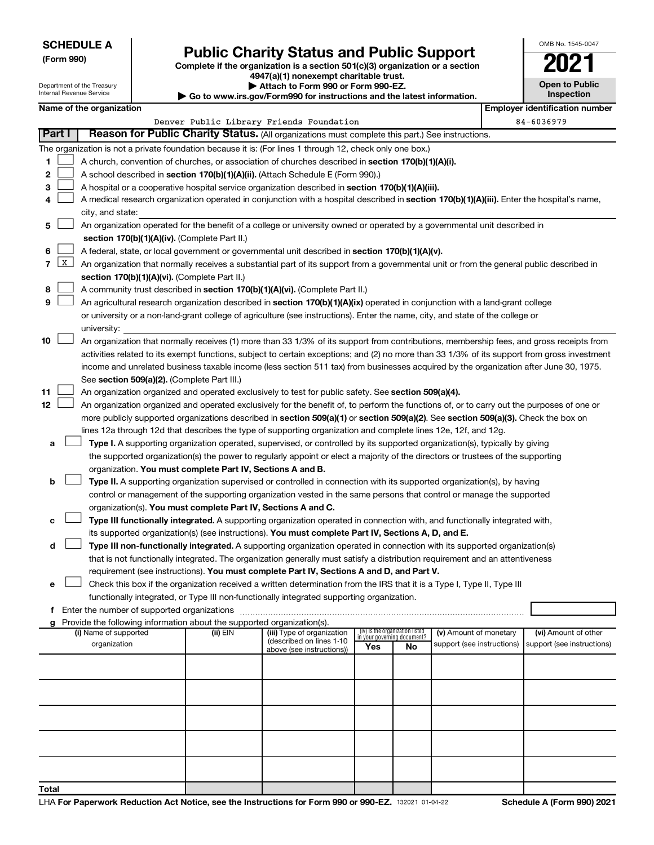| <b>SCHEDULE A</b> |  |
|-------------------|--|
|-------------------|--|

Department of the Treasury Internal Revenue Service

**Total**

# Form 990)<br> **Complete if the organization is a section 501(c)(3) organization or a section**<br> **Public Charity Status and Public Support**

**4947(a)(1) nonexempt charitable trust. | Attach to Form 990 or Form 990-EZ.** 

**| Go to www.irs.gov/Form990 for instructions and the latest information.**

| OMB No 1545-0047                    |
|-------------------------------------|
| 02                                  |
| <b>Open to Public</b><br>Inspection |

|                | Name of the organization<br><b>Employer identification number</b>                                                |                                                                                                                                                                                     |  |                                          |  |  |  |                            |  |  |
|----------------|------------------------------------------------------------------------------------------------------------------|-------------------------------------------------------------------------------------------------------------------------------------------------------------------------------------|--|------------------------------------------|--|--|--|----------------------------|--|--|
|                |                                                                                                                  |                                                                                                                                                                                     |  | Denver Public Library Friends Foundation |  |  |  | 84-6036979                 |  |  |
|                | Part I                                                                                                           | Reason for Public Charity Status. (All organizations must complete this part.) See instructions.                                                                                    |  |                                          |  |  |  |                            |  |  |
|                |                                                                                                                  | The organization is not a private foundation because it is: (For lines 1 through 12, check only one box.)                                                                           |  |                                          |  |  |  |                            |  |  |
| 1              |                                                                                                                  | A church, convention of churches, or association of churches described in section 170(b)(1)(A)(i).                                                                                  |  |                                          |  |  |  |                            |  |  |
| 2              |                                                                                                                  | A school described in section 170(b)(1)(A)(ii). (Attach Schedule E (Form 990).)                                                                                                     |  |                                          |  |  |  |                            |  |  |
| 3              |                                                                                                                  | A hospital or a cooperative hospital service organization described in section 170(b)(1)(A)(iii).                                                                                   |  |                                          |  |  |  |                            |  |  |
| 4              |                                                                                                                  | A medical research organization operated in conjunction with a hospital described in section 170(b)(1)(A)(iii). Enter the hospital's name,                                          |  |                                          |  |  |  |                            |  |  |
|                |                                                                                                                  | city, and state:                                                                                                                                                                    |  |                                          |  |  |  |                            |  |  |
| 5              |                                                                                                                  | An organization operated for the benefit of a college or university owned or operated by a governmental unit described in                                                           |  |                                          |  |  |  |                            |  |  |
|                |                                                                                                                  | section 170(b)(1)(A)(iv). (Complete Part II.)                                                                                                                                       |  |                                          |  |  |  |                            |  |  |
| 6              |                                                                                                                  | A federal, state, or local government or governmental unit described in section 170(b)(1)(A)(v).                                                                                    |  |                                          |  |  |  |                            |  |  |
| $\overline{7}$ | $\mathbf{X}$                                                                                                     | An organization that normally receives a substantial part of its support from a governmental unit or from the general public described in                                           |  |                                          |  |  |  |                            |  |  |
|                |                                                                                                                  | section 170(b)(1)(A)(vi). (Complete Part II.)                                                                                                                                       |  |                                          |  |  |  |                            |  |  |
| 8              |                                                                                                                  | A community trust described in section 170(b)(1)(A)(vi). (Complete Part II.)                                                                                                        |  |                                          |  |  |  |                            |  |  |
| 9              |                                                                                                                  | An agricultural research organization described in section 170(b)(1)(A)(ix) operated in conjunction with a land-grant college                                                       |  |                                          |  |  |  |                            |  |  |
|                |                                                                                                                  | or university or a non-land-grant college of agriculture (see instructions). Enter the name, city, and state of the college or                                                      |  |                                          |  |  |  |                            |  |  |
|                |                                                                                                                  | university:                                                                                                                                                                         |  |                                          |  |  |  |                            |  |  |
| 10             |                                                                                                                  | An organization that normally receives (1) more than 33 1/3% of its support from contributions, membership fees, and gross receipts from                                            |  |                                          |  |  |  |                            |  |  |
|                |                                                                                                                  | activities related to its exempt functions, subject to certain exceptions; and (2) no more than 33 1/3% of its support from gross investment                                        |  |                                          |  |  |  |                            |  |  |
|                |                                                                                                                  | income and unrelated business taxable income (less section 511 tax) from businesses acquired by the organization after June 30, 1975.                                               |  |                                          |  |  |  |                            |  |  |
|                |                                                                                                                  | See section 509(a)(2). (Complete Part III.)                                                                                                                                         |  |                                          |  |  |  |                            |  |  |
| 11             |                                                                                                                  | An organization organized and operated exclusively to test for public safety. See section 509(a)(4).                                                                                |  |                                          |  |  |  |                            |  |  |
| 12             |                                                                                                                  | An organization organized and operated exclusively for the benefit of, to perform the functions of, or to carry out the purposes of one or                                          |  |                                          |  |  |  |                            |  |  |
|                |                                                                                                                  | more publicly supported organizations described in section 509(a)(1) or section 509(a)(2). See section 509(a)(3). Check the box on                                                  |  |                                          |  |  |  |                            |  |  |
|                |                                                                                                                  | lines 12a through 12d that describes the type of supporting organization and complete lines 12e, 12f, and 12g.                                                                      |  |                                          |  |  |  |                            |  |  |
| a              |                                                                                                                  | Type I. A supporting organization operated, supervised, or controlled by its supported organization(s), typically by giving                                                         |  |                                          |  |  |  |                            |  |  |
|                |                                                                                                                  | the supported organization(s) the power to regularly appoint or elect a majority of the directors or trustees of the supporting                                                     |  |                                          |  |  |  |                            |  |  |
|                |                                                                                                                  | organization. You must complete Part IV, Sections A and B.                                                                                                                          |  |                                          |  |  |  |                            |  |  |
| b              |                                                                                                                  | Type II. A supporting organization supervised or controlled in connection with its supported organization(s), by having                                                             |  |                                          |  |  |  |                            |  |  |
|                |                                                                                                                  | control or management of the supporting organization vested in the same persons that control or manage the supported                                                                |  |                                          |  |  |  |                            |  |  |
|                |                                                                                                                  | organization(s). You must complete Part IV, Sections A and C.                                                                                                                       |  |                                          |  |  |  |                            |  |  |
| с              |                                                                                                                  | Type III functionally integrated. A supporting organization operated in connection with, and functionally integrated with,                                                          |  |                                          |  |  |  |                            |  |  |
|                |                                                                                                                  | its supported organization(s) (see instructions). You must complete Part IV, Sections A, D, and E.                                                                                  |  |                                          |  |  |  |                            |  |  |
| d              |                                                                                                                  | Type III non-functionally integrated. A supporting organization operated in connection with its supported organization(s)                                                           |  |                                          |  |  |  |                            |  |  |
|                |                                                                                                                  | that is not functionally integrated. The organization generally must satisfy a distribution requirement and an attentiveness                                                        |  |                                          |  |  |  |                            |  |  |
|                |                                                                                                                  | requirement (see instructions). You must complete Part IV, Sections A and D, and Part V.                                                                                            |  |                                          |  |  |  |                            |  |  |
|                |                                                                                                                  | Check this box if the organization received a written determination from the IRS that it is a Type I, Type II, Type III                                                             |  |                                          |  |  |  |                            |  |  |
|                |                                                                                                                  | functionally integrated, or Type III non-functionally integrated supporting organization.                                                                                           |  |                                          |  |  |  |                            |  |  |
|                |                                                                                                                  | f Enter the number of supported organizations                                                                                                                                       |  |                                          |  |  |  |                            |  |  |
|                |                                                                                                                  | g Provide the following information about the supported organization(s).                                                                                                            |  |                                          |  |  |  |                            |  |  |
|                |                                                                                                                  | (iv) Is the organization listed<br>(i) Name of supported<br>(ii) EIN<br>(iii) Type of organization<br>(v) Amount of monetary<br>(vi) Amount of other<br>in your governing document? |  |                                          |  |  |  |                            |  |  |
|                | (described on lines 1-10<br>organization<br>support (see instructions)<br>Yes<br>No<br>above (see instructions)) |                                                                                                                                                                                     |  |                                          |  |  |  | support (see instructions) |  |  |
|                |                                                                                                                  |                                                                                                                                                                                     |  |                                          |  |  |  |                            |  |  |
|                |                                                                                                                  |                                                                                                                                                                                     |  |                                          |  |  |  |                            |  |  |
|                |                                                                                                                  |                                                                                                                                                                                     |  |                                          |  |  |  |                            |  |  |
|                |                                                                                                                  |                                                                                                                                                                                     |  |                                          |  |  |  |                            |  |  |
|                |                                                                                                                  |                                                                                                                                                                                     |  |                                          |  |  |  |                            |  |  |
|                |                                                                                                                  |                                                                                                                                                                                     |  |                                          |  |  |  |                            |  |  |
|                |                                                                                                                  |                                                                                                                                                                                     |  |                                          |  |  |  |                            |  |  |
|                |                                                                                                                  |                                                                                                                                                                                     |  |                                          |  |  |  |                            |  |  |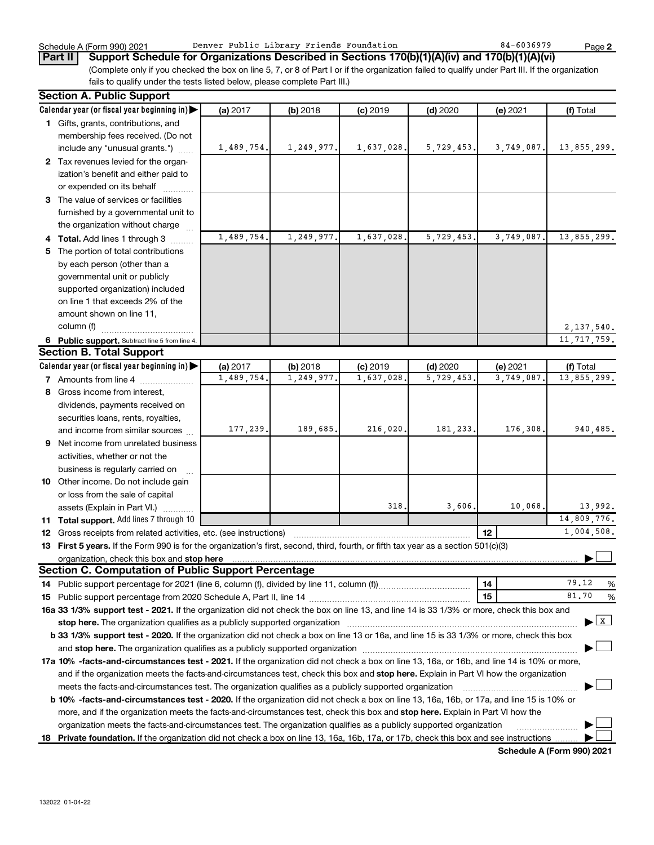**2**

(Complete only if you checked the box on line 5, 7, or 8 of Part I or if the organization failed to qualify under Part III. If the organization fails to qualify under the tests listed below, please complete Part III.) **Part II Support Schedule for Organizations Described in Sections 170(b)(1)(A)(iv) and 170(b)(1)(A)(vi)**

| <b>Section A. Public Support</b>                                                                                                                                                                                              |            |            |            |            |            |               |
|-------------------------------------------------------------------------------------------------------------------------------------------------------------------------------------------------------------------------------|------------|------------|------------|------------|------------|---------------|
| Calendar year (or fiscal year beginning in)                                                                                                                                                                                   | (a) 2017   | (b) 2018   | $(c)$ 2019 | $(d)$ 2020 | (e) 2021   | (f) Total     |
| 1 Gifts, grants, contributions, and                                                                                                                                                                                           |            |            |            |            |            |               |
| membership fees received. (Do not                                                                                                                                                                                             |            |            |            |            |            |               |
| include any "unusual grants.")                                                                                                                                                                                                | 1,489,754. | 1,249,977. | 1,637,028. | 5,729,453. | 3,749,087. | 13,855,299.   |
| 2 Tax revenues levied for the organ-                                                                                                                                                                                          |            |            |            |            |            |               |
| ization's benefit and either paid to                                                                                                                                                                                          |            |            |            |            |            |               |
| or expended on its behalf                                                                                                                                                                                                     |            |            |            |            |            |               |
| 3 The value of services or facilities                                                                                                                                                                                         |            |            |            |            |            |               |
| furnished by a governmental unit to                                                                                                                                                                                           |            |            |            |            |            |               |
| the organization without charge                                                                                                                                                                                               |            |            |            |            |            |               |
| 4 Total. Add lines 1 through 3                                                                                                                                                                                                | 1,489,754. | 1,249,977. | 1,637,028  | 5,729,453. | 3,749,087  | 13,855,299.   |
| 5 The portion of total contributions                                                                                                                                                                                          |            |            |            |            |            |               |
| by each person (other than a                                                                                                                                                                                                  |            |            |            |            |            |               |
| governmental unit or publicly                                                                                                                                                                                                 |            |            |            |            |            |               |
| supported organization) included                                                                                                                                                                                              |            |            |            |            |            |               |
| on line 1 that exceeds 2% of the                                                                                                                                                                                              |            |            |            |            |            |               |
| amount shown on line 11,                                                                                                                                                                                                      |            |            |            |            |            |               |
| column (f)                                                                                                                                                                                                                    |            |            |            |            |            | 2, 137, 540.  |
| 6 Public support. Subtract line 5 from line 4.                                                                                                                                                                                |            |            |            |            |            | 11, 717, 759. |
| <b>Section B. Total Support</b>                                                                                                                                                                                               |            |            |            |            |            |               |
| Calendar year (or fiscal year beginning in)                                                                                                                                                                                   | (a) 2017   | (b) 2018   | $(c)$ 2019 | $(d)$ 2020 | (e) 2021   | (f) Total     |
| 7 Amounts from line 4                                                                                                                                                                                                         | 1,489,754  | 1,249,977  | 1,637,028  | 5,729,453  | 3,749,087  | 13,855,299.   |
| 8 Gross income from interest,                                                                                                                                                                                                 |            |            |            |            |            |               |
| dividends, payments received on                                                                                                                                                                                               |            |            |            |            |            |               |
| securities loans, rents, royalties,                                                                                                                                                                                           |            |            |            |            |            |               |
| and income from similar sources                                                                                                                                                                                               | 177,239.   | 189,685.   | 216,020    | 181,233.   | 176,308    | 940,485.      |
| 9 Net income from unrelated business                                                                                                                                                                                          |            |            |            |            |            |               |
| activities, whether or not the                                                                                                                                                                                                |            |            |            |            |            |               |
| business is regularly carried on                                                                                                                                                                                              |            |            |            |            |            |               |
| 10 Other income. Do not include gain                                                                                                                                                                                          |            |            |            |            |            |               |
| or loss from the sale of capital                                                                                                                                                                                              |            |            |            |            |            |               |
| assets (Explain in Part VI.)                                                                                                                                                                                                  |            |            | 318.       | 3,606.     | 10,068.    | 13,992.       |
| 11 Total support. Add lines 7 through 10                                                                                                                                                                                      |            |            |            |            |            | 14,809,776.   |
| <b>12</b> Gross receipts from related activities, etc. (see instructions)                                                                                                                                                     |            |            |            |            | 12         | 1,004,508.    |
| 13 First 5 years. If the Form 990 is for the organization's first, second, third, fourth, or fifth tax year as a section 501(c)(3)                                                                                            |            |            |            |            |            |               |
| organization, check this box and stop here www.communication.communication.com/                                                                                                                                               |            |            |            |            |            |               |
| <b>Section C. Computation of Public Support Percentage</b>                                                                                                                                                                    |            |            |            |            |            |               |
|                                                                                                                                                                                                                               |            |            |            |            | 14         | 79.12<br>%    |
|                                                                                                                                                                                                                               |            |            |            |            | 15         | 81.70<br>%    |
| 16a 33 1/3% support test - 2021. If the organization did not check the box on line 13, and line 14 is 33 1/3% or more, check this box and                                                                                     |            |            |            |            |            |               |
| stop here. The organization qualifies as a publicly supported organization manufactured content and the organization manufactured and the state of the state of the state of the state of the state of the state of the state |            |            |            |            |            | $\mathbf{x}$  |
| b 33 1/3% support test - 2020. If the organization did not check a box on line 13 or 16a, and line 15 is 33 1/3% or more, check this box                                                                                      |            |            |            |            |            |               |
|                                                                                                                                                                                                                               |            |            |            |            |            |               |
| 17a 10% -facts-and-circumstances test - 2021. If the organization did not check a box on line 13, 16a, or 16b, and line 14 is 10% or more,                                                                                    |            |            |            |            |            |               |
| and if the organization meets the facts-and-circumstances test, check this box and stop here. Explain in Part VI how the organization                                                                                         |            |            |            |            |            |               |
| meets the facts-and-circumstances test. The organization qualifies as a publicly supported organization                                                                                                                       |            |            |            |            |            |               |
| b 10% -facts-and-circumstances test - 2020. If the organization did not check a box on line 13, 16a, 16b, or 17a, and line 15 is 10% or                                                                                       |            |            |            |            |            |               |
| more, and if the organization meets the facts-and-circumstances test, check this box and stop here. Explain in Part VI how the                                                                                                |            |            |            |            |            |               |
| organization meets the facts-and-circumstances test. The organization qualifies as a publicly supported organization                                                                                                          |            |            |            |            |            |               |
| 18 Private foundation. If the organization did not check a box on line 13, 16a, 16b, 17a, or 17b, check this box and see instructions                                                                                         |            |            |            |            |            |               |
|                                                                                                                                                                                                                               |            |            |            |            |            |               |

**Schedule A (Form 990) 2021**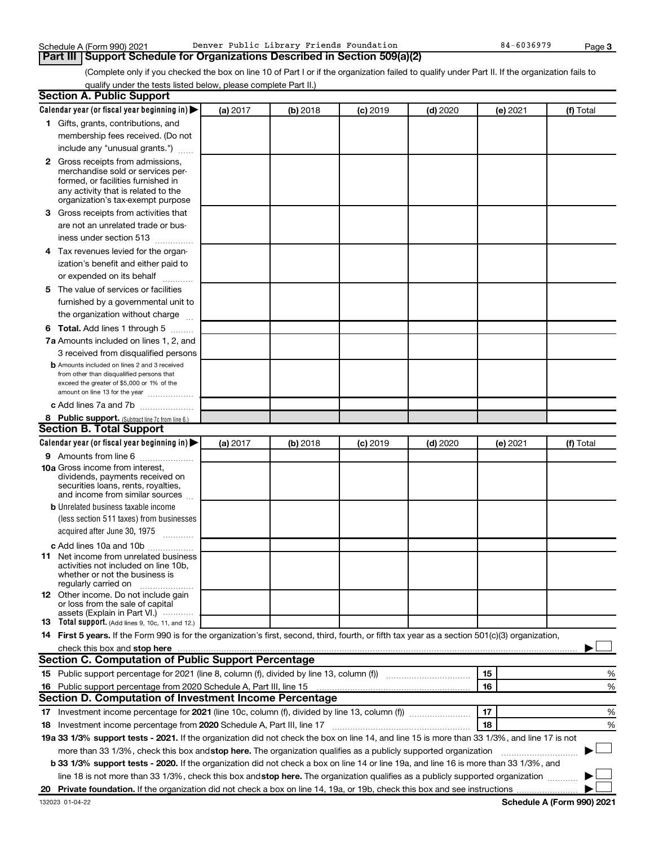| Schedule A (Form 990) 2021 | Denver Public Library Friends Foundation                                          |
|----------------------------|-----------------------------------------------------------------------------------|
|                            | <b>Part III Support Schedule for Organizations Described in Section 509(a)(2)</b> |

(Complete only if you checked the box on line 10 of Part I or if the organization failed to qualify under Part II. If the organization fails to qualify under the tests listed below, please complete Part II.)

| <b>Section A. Public Support</b>                                                                                                                                                                                                         |          |          |                 |            |          |           |
|------------------------------------------------------------------------------------------------------------------------------------------------------------------------------------------------------------------------------------------|----------|----------|-----------------|------------|----------|-----------|
| Calendar year (or fiscal year beginning in)                                                                                                                                                                                              | (a) 2017 | (b) 2018 | <b>(c)</b> 2019 | $(d)$ 2020 | (e) 2021 | (f) Total |
| 1 Gifts, grants, contributions, and                                                                                                                                                                                                      |          |          |                 |            |          |           |
| membership fees received. (Do not                                                                                                                                                                                                        |          |          |                 |            |          |           |
| include any "unusual grants.")                                                                                                                                                                                                           |          |          |                 |            |          |           |
| <b>2</b> Gross receipts from admissions,                                                                                                                                                                                                 |          |          |                 |            |          |           |
| merchandise sold or services per-                                                                                                                                                                                                        |          |          |                 |            |          |           |
| formed, or facilities furnished in                                                                                                                                                                                                       |          |          |                 |            |          |           |
| any activity that is related to the<br>organization's tax-exempt purpose                                                                                                                                                                 |          |          |                 |            |          |           |
| 3 Gross receipts from activities that                                                                                                                                                                                                    |          |          |                 |            |          |           |
| are not an unrelated trade or bus-                                                                                                                                                                                                       |          |          |                 |            |          |           |
| iness under section 513                                                                                                                                                                                                                  |          |          |                 |            |          |           |
| 4 Tax revenues levied for the organ-                                                                                                                                                                                                     |          |          |                 |            |          |           |
| ization's benefit and either paid to                                                                                                                                                                                                     |          |          |                 |            |          |           |
| or expended on its behalf<br>.                                                                                                                                                                                                           |          |          |                 |            |          |           |
| 5 The value of services or facilities                                                                                                                                                                                                    |          |          |                 |            |          |           |
| furnished by a governmental unit to                                                                                                                                                                                                      |          |          |                 |            |          |           |
| the organization without charge                                                                                                                                                                                                          |          |          |                 |            |          |           |
| <b>6 Total.</b> Add lines 1 through 5                                                                                                                                                                                                    |          |          |                 |            |          |           |
| 7a Amounts included on lines 1, 2, and                                                                                                                                                                                                   |          |          |                 |            |          |           |
| 3 received from disqualified persons                                                                                                                                                                                                     |          |          |                 |            |          |           |
| <b>b</b> Amounts included on lines 2 and 3 received                                                                                                                                                                                      |          |          |                 |            |          |           |
| from other than disqualified persons that                                                                                                                                                                                                |          |          |                 |            |          |           |
| exceed the greater of \$5,000 or 1% of the<br>amount on line 13 for the year                                                                                                                                                             |          |          |                 |            |          |           |
| c Add lines 7a and 7b                                                                                                                                                                                                                    |          |          |                 |            |          |           |
| 8 Public support. (Subtract line 7c from line 6.)                                                                                                                                                                                        |          |          |                 |            |          |           |
| <b>Section B. Total Support</b>                                                                                                                                                                                                          |          |          |                 |            |          |           |
| Calendar year (or fiscal year beginning in)                                                                                                                                                                                              | (a) 2017 | (b) 2018 | <b>(c)</b> 2019 | $(d)$ 2020 | (e) 2021 | (f) Total |
| <b>9</b> Amounts from line 6                                                                                                                                                                                                             |          |          |                 |            |          |           |
| <b>10a</b> Gross income from interest,                                                                                                                                                                                                   |          |          |                 |            |          |           |
| dividends, payments received on                                                                                                                                                                                                          |          |          |                 |            |          |           |
| securities loans, rents, royalties,<br>and income from similar sources                                                                                                                                                                   |          |          |                 |            |          |           |
| <b>b</b> Unrelated business taxable income                                                                                                                                                                                               |          |          |                 |            |          |           |
| (less section 511 taxes) from businesses                                                                                                                                                                                                 |          |          |                 |            |          |           |
| acquired after June 30, 1975                                                                                                                                                                                                             |          |          |                 |            |          |           |
|                                                                                                                                                                                                                                          |          |          |                 |            |          |           |
| c Add lines 10a and 10b<br><b>11</b> Net income from unrelated business                                                                                                                                                                  |          |          |                 |            |          |           |
| activities not included on line 10b.                                                                                                                                                                                                     |          |          |                 |            |          |           |
| whether or not the business is                                                                                                                                                                                                           |          |          |                 |            |          |           |
| regularly carried on<br>12 Other income. Do not include gain                                                                                                                                                                             |          |          |                 |            |          |           |
| or loss from the sale of capital                                                                                                                                                                                                         |          |          |                 |            |          |           |
| assets (Explain in Part VI.)                                                                                                                                                                                                             |          |          |                 |            |          |           |
| <b>13</b> Total support. (Add lines 9, 10c, 11, and 12.)                                                                                                                                                                                 |          |          |                 |            |          |           |
| 14 First 5 years. If the Form 990 is for the organization's first, second, third, fourth, or fifth tax year as a section 501(c)(3) organization,                                                                                         |          |          |                 |            |          |           |
| check this box and stop here <b>construction and construction</b> and check this box and stop here <b>construction</b> and construction and construction and construction and construction and construction and construction and constru |          |          |                 |            |          |           |
| Section C. Computation of Public Support Percentage                                                                                                                                                                                      |          |          |                 |            |          |           |
| 15 Public support percentage for 2021 (line 8, column (f), divided by line 13, column (f) <i>manumeronominium</i>                                                                                                                        |          |          |                 |            | 15       | %         |
| 16 Public support percentage from 2020 Schedule A, Part III, line 15                                                                                                                                                                     |          |          |                 |            | 16       | %         |
| Section D. Computation of Investment Income Percentage                                                                                                                                                                                   |          |          |                 |            |          |           |
| 17 Investment income percentage for 2021 (line 10c, column (f), divided by line 13, column (f))                                                                                                                                          |          |          |                 |            | 17       | %         |
| 18 Investment income percentage from 2020 Schedule A, Part III, line 17                                                                                                                                                                  |          |          |                 |            | 18       | %         |
| 19a 33 1/3% support tests - 2021. If the organization did not check the box on line 14, and line 15 is more than 33 1/3%, and line 17 is not                                                                                             |          |          |                 |            |          |           |
| more than 33 1/3%, check this box and stop here. The organization qualifies as a publicly supported organization                                                                                                                         |          |          |                 |            |          |           |
| b 33 1/3% support tests - 2020. If the organization did not check a box on line 14 or line 19a, and line 16 is more than 33 1/3%, and                                                                                                    |          |          |                 |            |          |           |
| line 18 is not more than 33 1/3%, check this box and stop here. The organization qualifies as a publicly supported organization                                                                                                          |          |          |                 |            |          |           |
|                                                                                                                                                                                                                                          |          |          |                 |            |          |           |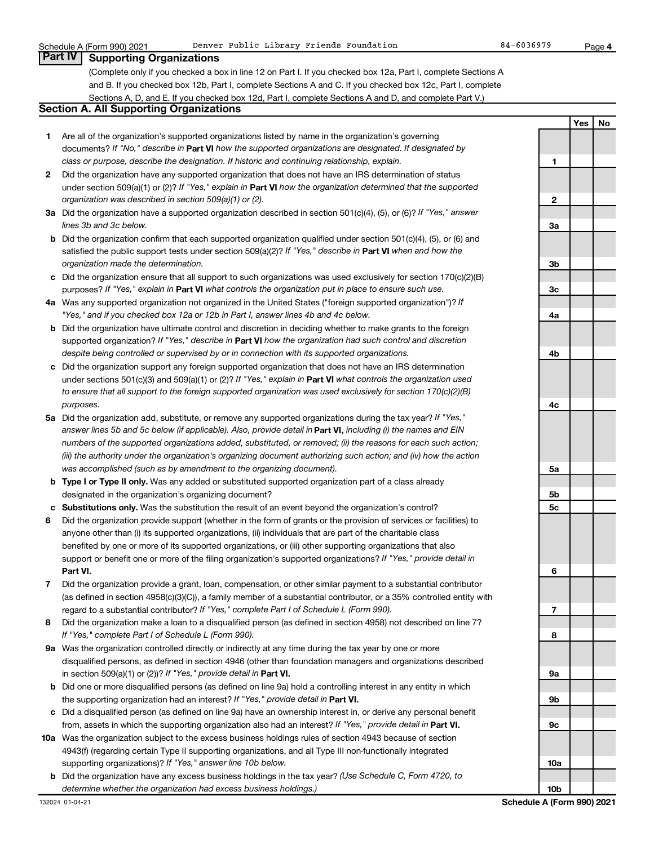**4**

## **Part IV Supporting Organizations**

(Complete only if you checked a box in line 12 on Part I. If you checked box 12a, Part I, complete Sections A and B. If you checked box 12b, Part I, complete Sections A and C. If you checked box 12c, Part I, complete Sections A, D, and E. If you checked box 12d, Part I, complete Sections A and D, and complete Part V.)

#### **Section A. All Supporting Organizations**

- **1** Are all of the organization's supported organizations listed by name in the organization's governing documents? If "No," describe in Part VI how the supported organizations are designated. If designated by *class or purpose, describe the designation. If historic and continuing relationship, explain.*
- **2** Did the organization have any supported organization that does not have an IRS determination of status under section 509(a)(1) or (2)? If "Yes," explain in Part **VI** how the organization determined that the supported *organization was described in section 509(a)(1) or (2).*
- **3a** Did the organization have a supported organization described in section 501(c)(4), (5), or (6)? If "Yes," answer *lines 3b and 3c below.*
- **b** Did the organization confirm that each supported organization qualified under section 501(c)(4), (5), or (6) and satisfied the public support tests under section 509(a)(2)? If "Yes," describe in Part VI when and how the *organization made the determination.*
- **c** Did the organization ensure that all support to such organizations was used exclusively for section 170(c)(2)(B) purposes? If "Yes," explain in Part VI what controls the organization put in place to ensure such use.
- **4 a** *If* Was any supported organization not organized in the United States ("foreign supported organization")? *"Yes," and if you checked box 12a or 12b in Part I, answer lines 4b and 4c below.*
- **b** Did the organization have ultimate control and discretion in deciding whether to make grants to the foreign supported organization? If "Yes," describe in Part VI how the organization had such control and discretion *despite being controlled or supervised by or in connection with its supported organizations.*
- **c** Did the organization support any foreign supported organization that does not have an IRS determination under sections 501(c)(3) and 509(a)(1) or (2)? If "Yes," explain in Part VI what controls the organization used *to ensure that all support to the foreign supported organization was used exclusively for section 170(c)(2)(B) purposes.*
- **5a** Did the organization add, substitute, or remove any supported organizations during the tax year? If "Yes," answer lines 5b and 5c below (if applicable). Also, provide detail in **Part VI,** including (i) the names and EIN *numbers of the supported organizations added, substituted, or removed; (ii) the reasons for each such action; (iii) the authority under the organization's organizing document authorizing such action; and (iv) how the action was accomplished (such as by amendment to the organizing document).*
- **b Type I or Type II only.** Was any added or substituted supported organization part of a class already designated in the organization's organizing document?
- **c Substitutions only.**  Was the substitution the result of an event beyond the organization's control?
- **6** Did the organization provide support (whether in the form of grants or the provision of services or facilities) to **Part VI.** support or benefit one or more of the filing organization's supported organizations? If "Yes," provide detail in anyone other than (i) its supported organizations, (ii) individuals that are part of the charitable class benefited by one or more of its supported organizations, or (iii) other supporting organizations that also
- **7** Did the organization provide a grant, loan, compensation, or other similar payment to a substantial contributor regard to a substantial contributor? If "Yes," complete Part I of Schedule L (Form 990). (as defined in section 4958(c)(3)(C)), a family member of a substantial contributor, or a 35% controlled entity with
- **8** Did the organization make a loan to a disqualified person (as defined in section 4958) not described on line 7? *If "Yes," complete Part I of Schedule L (Form 990).*
- **9 a** Was the organization controlled directly or indirectly at any time during the tax year by one or more in section 509(a)(1) or (2))? If "Yes," provide detail in **Part VI.** disqualified persons, as defined in section 4946 (other than foundation managers and organizations described
- **b** Did one or more disqualified persons (as defined on line 9a) hold a controlling interest in any entity in which the supporting organization had an interest? If "Yes," provide detail in Part VI.
- **c** Did a disqualified person (as defined on line 9a) have an ownership interest in, or derive any personal benefit from, assets in which the supporting organization also had an interest? If "Yes," provide detail in Part VI.
- **10 a** Was the organization subject to the excess business holdings rules of section 4943 because of section supporting organizations)? If "Yes," answer line 10b below. 4943(f) (regarding certain Type II supporting organizations, and all Type III non-functionally integrated
- **b** Did the organization have any excess business holdings in the tax year? (Use Schedule C, Form 4720, to *determine whether the organization had excess business holdings.)*

|                 | Yes | No |
|-----------------|-----|----|
|                 |     |    |
|                 |     |    |
|                 |     |    |
| 1               |     |    |
|                 |     |    |
|                 |     |    |
| 2               |     |    |
|                 |     |    |
|                 |     |    |
| За              |     |    |
|                 |     |    |
|                 |     |    |
|                 |     |    |
| 3b              |     |    |
|                 |     |    |
| 3c              |     |    |
|                 |     |    |
|                 |     |    |
| 4a              |     |    |
|                 |     |    |
|                 |     |    |
| 4b              |     |    |
|                 |     |    |
|                 |     |    |
|                 |     |    |
|                 |     |    |
| 4 <sub>c</sub>  |     |    |
|                 |     |    |
|                 |     |    |
|                 |     |    |
|                 |     |    |
|                 |     |    |
|                 |     |    |
| 5a              |     |    |
|                 |     |    |
| 5b              |     |    |
| 5c              |     |    |
|                 |     |    |
|                 |     |    |
|                 |     |    |
|                 |     |    |
|                 |     |    |
|                 |     |    |
| 6               |     |    |
|                 |     |    |
|                 |     |    |
| 7               |     |    |
|                 |     |    |
|                 |     |    |
| 8               |     |    |
|                 |     |    |
|                 |     |    |
| 9a              |     |    |
|                 |     |    |
|                 |     |    |
| 9b              |     |    |
|                 |     |    |
| 9c              |     |    |
|                 |     |    |
|                 |     |    |
|                 |     |    |
| 10a             |     |    |
|                 |     |    |
|                 |     |    |
| 10 <sub>b</sub> |     |    |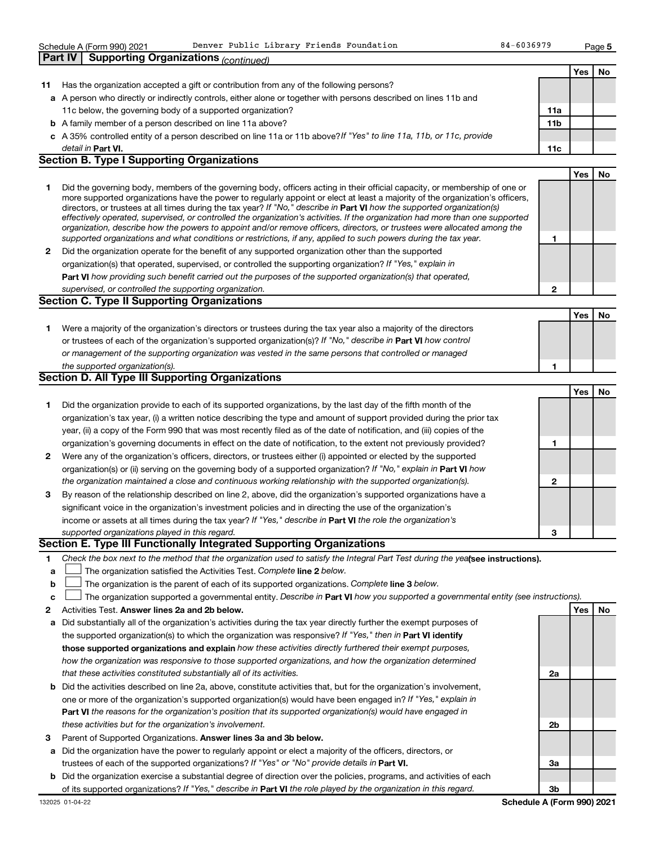|              | <b>b</b> A family member of a person described on line 11a above?                                                                                                                                                                                        | 11b |     |     |
|--------------|----------------------------------------------------------------------------------------------------------------------------------------------------------------------------------------------------------------------------------------------------------|-----|-----|-----|
|              | c A 35% controlled entity of a person described on line 11a or 11b above? If "Yes" to line 11a, 11b, or 11c, provide                                                                                                                                     |     |     |     |
|              |                                                                                                                                                                                                                                                          |     |     |     |
|              | detail in Part VI.<br><b>Section B. Type I Supporting Organizations</b>                                                                                                                                                                                  | 11c |     |     |
|              |                                                                                                                                                                                                                                                          |     |     |     |
|              |                                                                                                                                                                                                                                                          |     | Yes | No. |
| 1            | Did the governing body, members of the governing body, officers acting in their official capacity, or membership of one or                                                                                                                               |     |     |     |
|              | more supported organizations have the power to regularly appoint or elect at least a majority of the organization's officers,<br>directors, or trustees at all times during the tax year? If "No," describe in Part VI how the supported organization(s) |     |     |     |
|              | effectively operated, supervised, or controlled the organization's activities. If the organization had more than one supported                                                                                                                           |     |     |     |
|              | organization, describe how the powers to appoint and/or remove officers, directors, or trustees were allocated among the                                                                                                                                 |     |     |     |
|              | supported organizations and what conditions or restrictions, if any, applied to such powers during the tax year.                                                                                                                                         | 1   |     |     |
| $\mathbf{2}$ | Did the organization operate for the benefit of any supported organization other than the supported                                                                                                                                                      |     |     |     |
|              | organization(s) that operated, supervised, or controlled the supporting organization? If "Yes," explain in                                                                                                                                               |     |     |     |
|              | Part VI how providing such benefit carried out the purposes of the supported organization(s) that operated,                                                                                                                                              |     |     |     |
|              | supervised, or controlled the supporting organization.                                                                                                                                                                                                   | 2   |     |     |
|              | <b>Section C. Type II Supporting Organizations</b>                                                                                                                                                                                                       |     |     |     |
|              |                                                                                                                                                                                                                                                          |     | Yes | No. |
| 1.           | Were a majority of the organization's directors or trustees during the tax year also a majority of the directors                                                                                                                                         |     |     |     |
|              | or trustees of each of the organization's supported organization(s)? If "No," describe in Part VI how control                                                                                                                                            |     |     |     |
|              | or management of the supporting organization was vested in the same persons that controlled or managed                                                                                                                                                   |     |     |     |
|              | the supported organization(s).                                                                                                                                                                                                                           | 1   |     |     |
|              | <b>Section D. All Type III Supporting Organizations</b>                                                                                                                                                                                                  |     |     |     |
|              |                                                                                                                                                                                                                                                          |     |     |     |
|              |                                                                                                                                                                                                                                                          |     | Yes | No  |
| 1            | Did the organization provide to each of its supported organizations, by the last day of the fifth month of the                                                                                                                                           |     |     |     |
|              | organization's tax year, (i) a written notice describing the type and amount of support provided during the prior tax                                                                                                                                    |     |     |     |
|              | year, (ii) a copy of the Form 990 that was most recently filed as of the date of notification, and (iii) copies of the                                                                                                                                   |     |     |     |
|              | organization's governing documents in effect on the date of notification, to the extent not previously provided?                                                                                                                                         | 1   |     |     |
| 2            | Were any of the organization's officers, directors, or trustees either (i) appointed or elected by the supported                                                                                                                                         |     |     |     |
|              | organization(s) or (ii) serving on the governing body of a supported organization? If "No," explain in Part VI how                                                                                                                                       |     |     |     |
|              | the organization maintained a close and continuous working relationship with the supported organization(s).                                                                                                                                              | 2   |     |     |
| 3            | By reason of the relationship described on line 2, above, did the organization's supported organizations have a                                                                                                                                          |     |     |     |
|              | significant voice in the organization's investment policies and in directing the use of the organization's                                                                                                                                               |     |     |     |
|              | income or assets at all times during the tax year? If "Yes," describe in Part VI the role the organization's                                                                                                                                             |     |     |     |
|              | supported organizations played in this regard.                                                                                                                                                                                                           | з   |     |     |
|              | Section E. Type III Functionally Integrated Supporting Organizations                                                                                                                                                                                     |     |     |     |
| 1            | Check the box next to the method that the organization used to satisfy the Integral Part Test during the yealsee instructions).                                                                                                                          |     |     |     |
| a            | The organization satisfied the Activities Test. Complete line 2 below.                                                                                                                                                                                   |     |     |     |
| b            | The organization is the parent of each of its supported organizations. Complete line 3 below.                                                                                                                                                            |     |     |     |
| с            | The organization supported a governmental entity. Describe in Part VI how you supported a governmental entity (see instructions).                                                                                                                        |     |     |     |
| 2            | Activities Test. Answer lines 2a and 2b below.                                                                                                                                                                                                           |     | Yes | No  |
| а            | Did substantially all of the organization's activities during the tax year directly further the exempt purposes of                                                                                                                                       |     |     |     |
|              | the supported organization(s) to which the organization was responsive? If "Yes," then in Part VI identify                                                                                                                                               |     |     |     |
|              | those supported organizations and explain how these activities directly furthered their exempt purposes,                                                                                                                                                 |     |     |     |
|              | how the organization was responsive to those supported organizations, and how the organization determined                                                                                                                                                |     |     |     |
|              |                                                                                                                                                                                                                                                          |     |     |     |
|              | that these activities constituted substantially all of its activities.                                                                                                                                                                                   | 2a  |     |     |
|              | <b>b</b> Did the activities described on line 2a, above, constitute activities that, but for the organization's involvement,                                                                                                                             |     |     |     |
|              | one or more of the organization's supported organization(s) would have been engaged in? If "Yes," explain in                                                                                                                                             |     |     |     |
|              | Part VI the reasons for the organization's position that its supported organization(s) would have engaged in                                                                                                                                             |     |     |     |
|              | these activities but for the organization's involvement.                                                                                                                                                                                                 | 2b  |     |     |
| 3            | Parent of Supported Organizations. Answer lines 3a and 3b below.                                                                                                                                                                                         |     |     |     |
|              | a Did the organization have the power to regularly appoint or elect a majority of the officers, directors, or                                                                                                                                            |     |     |     |
|              | trustees of each of the supported organizations? If "Yes" or "No" provide details in Part VI.                                                                                                                                                            | За  |     |     |

**b** Did the organization exercise a substantial degree of direction over the policies, programs, and activities of each of its supported organizations? If "Yes," describe in Part VI the role played by the organization in this regard.

132025 01-04-22

| Schedule A (Form 990) 2021                            | Denver Public L |  |
|-------------------------------------------------------|-----------------|--|
| <b>Part IV   Supporting Organizations (continued)</b> |                 |  |

### **11** Has the organization accepted a gift or contribution from any of the following persons?

**a** A person who directly or indirectly controls, either alone or together with persons described on lines 11b and 11c below, the governing body of a supported organization?

- **Part VI.** *If "Yes" or "No" provide details in* trustees of each of the supported organizations?
- 

**11a**

**Yes No**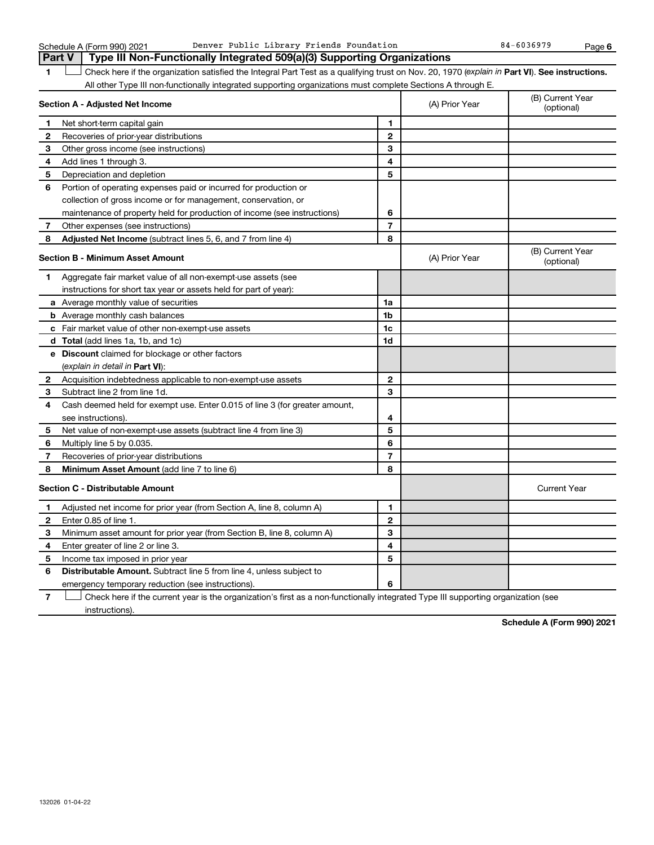**6**

|              | Part V<br>Type III Non-Functionally Integrated 509(a)(3) Supporting Organizations                                                              |                |                |                                |  |  |
|--------------|------------------------------------------------------------------------------------------------------------------------------------------------|----------------|----------------|--------------------------------|--|--|
| 1            | Check here if the organization satisfied the Integral Part Test as a qualifying trust on Nov. 20, 1970 (explain in Part VI). See instructions. |                |                |                                |  |  |
|              | All other Type III non-functionally integrated supporting organizations must complete Sections A through E.                                    |                |                |                                |  |  |
|              | Section A - Adjusted Net Income                                                                                                                |                | (A) Prior Year | (B) Current Year<br>(optional) |  |  |
| 1            | Net short-term capital gain                                                                                                                    | 1              |                |                                |  |  |
| $\mathbf{2}$ | Recoveries of prior-year distributions                                                                                                         | $\mathbf{2}$   |                |                                |  |  |
| з            | Other gross income (see instructions)                                                                                                          | 3              |                |                                |  |  |
| 4            | Add lines 1 through 3.                                                                                                                         | 4              |                |                                |  |  |
| 5            | Depreciation and depletion                                                                                                                     | 5              |                |                                |  |  |
| 6            | Portion of operating expenses paid or incurred for production or                                                                               |                |                |                                |  |  |
|              | collection of gross income or for management, conservation, or                                                                                 |                |                |                                |  |  |
|              | maintenance of property held for production of income (see instructions)                                                                       | 6              |                |                                |  |  |
| 7            | Other expenses (see instructions)                                                                                                              | $\overline{7}$ |                |                                |  |  |
| 8            | <b>Adjusted Net Income</b> (subtract lines 5, 6, and 7 from line 4)                                                                            | 8              |                |                                |  |  |
|              | <b>Section B - Minimum Asset Amount</b>                                                                                                        |                | (A) Prior Year | (B) Current Year<br>(optional) |  |  |
| 1.           | Aggregate fair market value of all non-exempt-use assets (see                                                                                  |                |                |                                |  |  |
|              | instructions for short tax year or assets held for part of year):                                                                              |                |                |                                |  |  |
|              | a Average monthly value of securities                                                                                                          | 1a             |                |                                |  |  |
|              | <b>b</b> Average monthly cash balances                                                                                                         | 1b             |                |                                |  |  |
|              | <b>c</b> Fair market value of other non-exempt-use assets                                                                                      | 1c             |                |                                |  |  |
|              | <b>d</b> Total (add lines 1a, 1b, and 1c)                                                                                                      | 1d             |                |                                |  |  |
|              | <b>e</b> Discount claimed for blockage or other factors                                                                                        |                |                |                                |  |  |
|              | (explain in detail in <b>Part VI</b> ):                                                                                                        |                |                |                                |  |  |
| 2            | Acquisition indebtedness applicable to non-exempt-use assets                                                                                   | $\mathbf{2}$   |                |                                |  |  |
| З            | Subtract line 2 from line 1d.                                                                                                                  | 3              |                |                                |  |  |
| 4            | Cash deemed held for exempt use. Enter 0.015 of line 3 (for greater amount,                                                                    |                |                |                                |  |  |
|              | see instructions).                                                                                                                             | 4              |                |                                |  |  |
| 5            | Net value of non-exempt-use assets (subtract line 4 from line 3)                                                                               | 5              |                |                                |  |  |
| 6            | Multiply line 5 by 0.035.                                                                                                                      | 6              |                |                                |  |  |
| 7            | Recoveries of prior-year distributions                                                                                                         | $\overline{7}$ |                |                                |  |  |
| 8            | <b>Minimum Asset Amount (add line 7 to line 6)</b>                                                                                             | 8              |                |                                |  |  |
|              | <b>Section C - Distributable Amount</b>                                                                                                        |                |                | <b>Current Year</b>            |  |  |
| 1            | Adjusted net income for prior year (from Section A, line 8, column A)                                                                          | 1              |                |                                |  |  |
| 2            | Enter 0.85 of line 1.                                                                                                                          | $\mathbf{2}$   |                |                                |  |  |
| З            | Minimum asset amount for prior year (from Section B, line 8, column A)                                                                         | 3              |                |                                |  |  |
| 4            | Enter greater of line 2 or line 3.                                                                                                             | 4              |                |                                |  |  |
| 5            | Income tax imposed in prior year                                                                                                               | 5              |                |                                |  |  |
| 6            | <b>Distributable Amount.</b> Subtract line 5 from line 4, unless subject to                                                                    |                |                |                                |  |  |
|              | emergency temporary reduction (see instructions).                                                                                              | 6              |                |                                |  |  |
|              |                                                                                                                                                |                |                |                                |  |  |

**7** Check here if the current year is the organization's first as a non-functionally integrated Type III supporting organization (see † instructions).

**Schedule A (Form 990) 2021**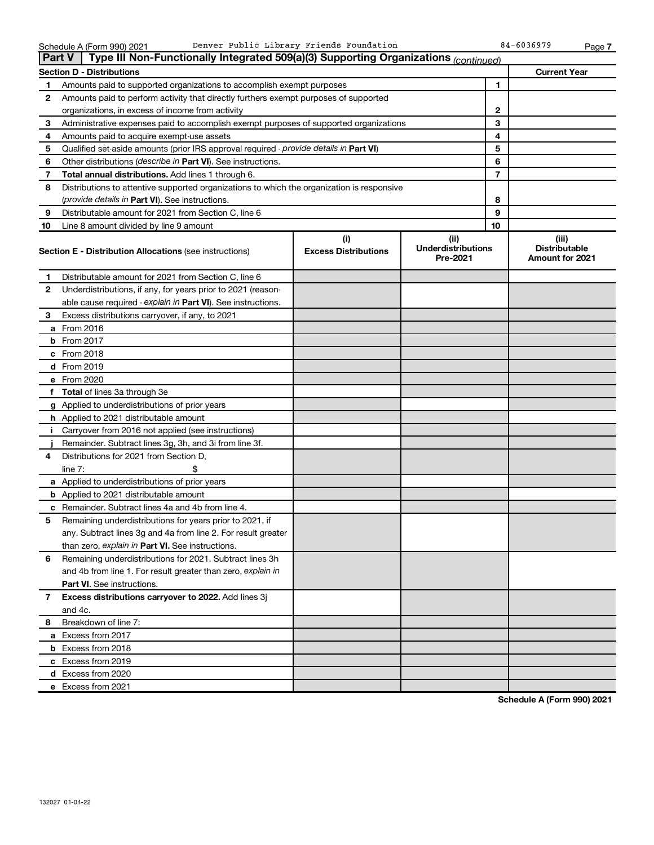| <b>Part V</b> | Type III Non-Functionally Integrated 509(a)(3) Supporting Organizations (continued)        |                                    |                                               |    |                                                  |
|---------------|--------------------------------------------------------------------------------------------|------------------------------------|-----------------------------------------------|----|--------------------------------------------------|
|               | <b>Section D - Distributions</b>                                                           |                                    |                                               |    | <b>Current Year</b>                              |
| 1             | Amounts paid to supported organizations to accomplish exempt purposes                      |                                    | 1                                             |    |                                                  |
| 2             | Amounts paid to perform activity that directly furthers exempt purposes of supported       |                                    |                                               |    |                                                  |
|               | organizations, in excess of income from activity                                           |                                    | 2                                             |    |                                                  |
| 3             | Administrative expenses paid to accomplish exempt purposes of supported organizations      |                                    |                                               | 3  |                                                  |
| 4             | Amounts paid to acquire exempt-use assets                                                  |                                    |                                               | 4  |                                                  |
| 5             | Qualified set-aside amounts (prior IRS approval required - provide details in Part VI)     |                                    |                                               | 5  |                                                  |
| 6             | Other distributions (describe in Part VI). See instructions.                               |                                    |                                               | 6  |                                                  |
| 7             | Total annual distributions. Add lines 1 through 6.                                         |                                    |                                               | 7  |                                                  |
| 8             | Distributions to attentive supported organizations to which the organization is responsive |                                    |                                               |    |                                                  |
|               | <i>(provide details in Part VI). See instructions.</i>                                     |                                    |                                               | 8  |                                                  |
| 9             | Distributable amount for 2021 from Section C, line 6                                       |                                    |                                               | 9  |                                                  |
| 10            | Line 8 amount divided by line 9 amount                                                     |                                    |                                               | 10 |                                                  |
|               | <b>Section E - Distribution Allocations (see instructions)</b>                             | (i)<br><b>Excess Distributions</b> | (ii)<br><b>Underdistributions</b><br>Pre-2021 |    | (iii)<br><b>Distributable</b><br>Amount for 2021 |
| 1             | Distributable amount for 2021 from Section C, line 6                                       |                                    |                                               |    |                                                  |
| 2             | Underdistributions, if any, for years prior to 2021 (reason-                               |                                    |                                               |    |                                                  |
|               | able cause required - explain in Part VI). See instructions.                               |                                    |                                               |    |                                                  |
| 3             | Excess distributions carryover, if any, to 2021                                            |                                    |                                               |    |                                                  |
|               | a From 2016                                                                                |                                    |                                               |    |                                                  |
|               | <b>b</b> From 2017                                                                         |                                    |                                               |    |                                                  |
|               | c From 2018                                                                                |                                    |                                               |    |                                                  |
|               | d From 2019                                                                                |                                    |                                               |    |                                                  |
|               | e From 2020                                                                                |                                    |                                               |    |                                                  |
|               | f Total of lines 3a through 3e                                                             |                                    |                                               |    |                                                  |
|               | g Applied to underdistributions of prior years                                             |                                    |                                               |    |                                                  |
|               | <b>h</b> Applied to 2021 distributable amount                                              |                                    |                                               |    |                                                  |
| Ť.            | Carryover from 2016 not applied (see instructions)                                         |                                    |                                               |    |                                                  |
|               | Remainder. Subtract lines 3g, 3h, and 3i from line 3f.                                     |                                    |                                               |    |                                                  |
| 4             | Distributions for 2021 from Section D,                                                     |                                    |                                               |    |                                                  |
|               | line $7:$                                                                                  |                                    |                                               |    |                                                  |
|               | a Applied to underdistributions of prior years                                             |                                    |                                               |    |                                                  |
|               | <b>b</b> Applied to 2021 distributable amount                                              |                                    |                                               |    |                                                  |
|               | c Remainder. Subtract lines 4a and 4b from line 4.                                         |                                    |                                               |    |                                                  |
| 5             | Remaining underdistributions for years prior to 2021, if                                   |                                    |                                               |    |                                                  |
|               | any. Subtract lines 3g and 4a from line 2. For result greater                              |                                    |                                               |    |                                                  |
|               | than zero, explain in Part VI. See instructions.                                           |                                    |                                               |    |                                                  |
| 6             | Remaining underdistributions for 2021. Subtract lines 3h                                   |                                    |                                               |    |                                                  |
|               | and 4b from line 1. For result greater than zero, explain in                               |                                    |                                               |    |                                                  |
|               | <b>Part VI.</b> See instructions.                                                          |                                    |                                               |    |                                                  |
| 7             | Excess distributions carryover to 2022. Add lines 3j                                       |                                    |                                               |    |                                                  |
|               | and 4c.                                                                                    |                                    |                                               |    |                                                  |
| 8             | Breakdown of line 7:                                                                       |                                    |                                               |    |                                                  |
|               | a Excess from 2017                                                                         |                                    |                                               |    |                                                  |
|               | <b>b</b> Excess from 2018                                                                  |                                    |                                               |    |                                                  |
|               | c Excess from 2019                                                                         |                                    |                                               |    |                                                  |
|               | d Excess from 2020                                                                         |                                    |                                               |    |                                                  |
|               | e Excess from 2021                                                                         |                                    |                                               |    |                                                  |

**Schedule A (Form 990) 2021**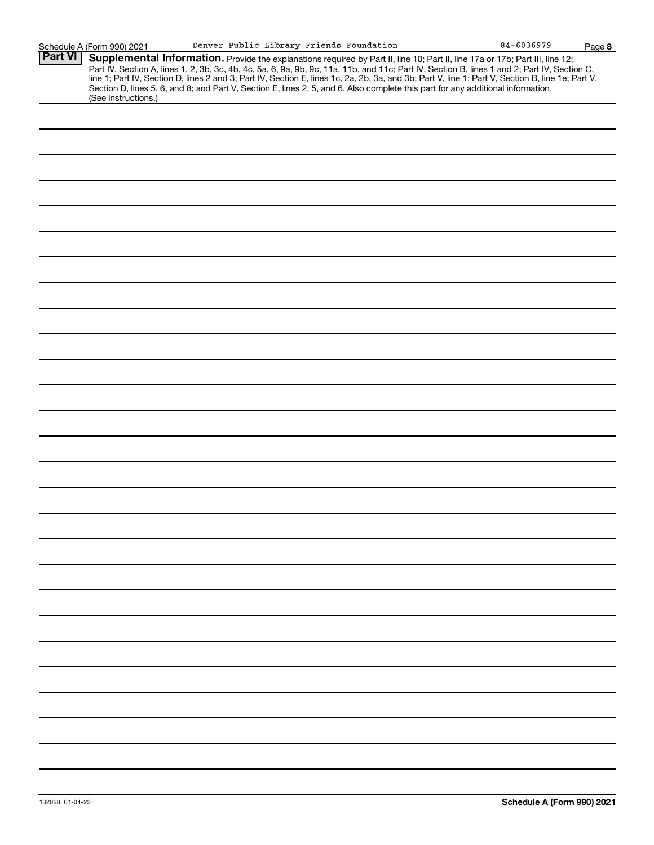|  | "<br>ır |  |
|--|---------|--|

|                | Schedule A (Form 990) 2021                                                                                                                             |  |  | Denver Public Library Friends Foundation | $84 - 6036979$                                                                                                                                                                                                                                                                                                                                                                                                                    | Page 8 |
|----------------|--------------------------------------------------------------------------------------------------------------------------------------------------------|--|--|------------------------------------------|-----------------------------------------------------------------------------------------------------------------------------------------------------------------------------------------------------------------------------------------------------------------------------------------------------------------------------------------------------------------------------------------------------------------------------------|--------|
| <b>Part VI</b> | Section D, lines 5, 6, and 8; and Part V, Section E, lines 2, 5, and 6. Also complete this part for any additional information.<br>(See instructions.) |  |  |                                          | Supplemental Information. Provide the explanations required by Part II, line 10; Part II, line 17a or 17b; Part III, line 12;<br>Part IV, Section A, lines 1, 2, 3b, 3c, 4b, 4c, 5a, 6, 9a, 9b, 9c, 11a, 11b, and 11c; Part IV, Section B, lines 1 and 2; Part IV, Section C,<br>line 1; Part IV, Section D, lines 2 and 3; Part IV, Section E, lines 1c, 2a, 2b, 3a, and 3b; Part V, line 1; Part V, Section B, line 1e; Part V, |        |
|                |                                                                                                                                                        |  |  |                                          |                                                                                                                                                                                                                                                                                                                                                                                                                                   |        |
|                |                                                                                                                                                        |  |  |                                          |                                                                                                                                                                                                                                                                                                                                                                                                                                   |        |
|                |                                                                                                                                                        |  |  |                                          |                                                                                                                                                                                                                                                                                                                                                                                                                                   |        |
|                |                                                                                                                                                        |  |  |                                          |                                                                                                                                                                                                                                                                                                                                                                                                                                   |        |
|                |                                                                                                                                                        |  |  |                                          |                                                                                                                                                                                                                                                                                                                                                                                                                                   |        |
|                |                                                                                                                                                        |  |  |                                          |                                                                                                                                                                                                                                                                                                                                                                                                                                   |        |
|                |                                                                                                                                                        |  |  |                                          |                                                                                                                                                                                                                                                                                                                                                                                                                                   |        |
|                |                                                                                                                                                        |  |  |                                          |                                                                                                                                                                                                                                                                                                                                                                                                                                   |        |
|                |                                                                                                                                                        |  |  |                                          |                                                                                                                                                                                                                                                                                                                                                                                                                                   |        |
|                |                                                                                                                                                        |  |  |                                          |                                                                                                                                                                                                                                                                                                                                                                                                                                   |        |
|                |                                                                                                                                                        |  |  |                                          |                                                                                                                                                                                                                                                                                                                                                                                                                                   |        |
|                |                                                                                                                                                        |  |  |                                          |                                                                                                                                                                                                                                                                                                                                                                                                                                   |        |
|                |                                                                                                                                                        |  |  |                                          |                                                                                                                                                                                                                                                                                                                                                                                                                                   |        |
|                |                                                                                                                                                        |  |  |                                          |                                                                                                                                                                                                                                                                                                                                                                                                                                   |        |
|                |                                                                                                                                                        |  |  |                                          |                                                                                                                                                                                                                                                                                                                                                                                                                                   |        |
|                |                                                                                                                                                        |  |  |                                          |                                                                                                                                                                                                                                                                                                                                                                                                                                   |        |
|                |                                                                                                                                                        |  |  |                                          |                                                                                                                                                                                                                                                                                                                                                                                                                                   |        |
|                |                                                                                                                                                        |  |  |                                          |                                                                                                                                                                                                                                                                                                                                                                                                                                   |        |
|                |                                                                                                                                                        |  |  |                                          |                                                                                                                                                                                                                                                                                                                                                                                                                                   |        |
|                |                                                                                                                                                        |  |  |                                          |                                                                                                                                                                                                                                                                                                                                                                                                                                   |        |
|                |                                                                                                                                                        |  |  |                                          |                                                                                                                                                                                                                                                                                                                                                                                                                                   |        |
|                |                                                                                                                                                        |  |  |                                          |                                                                                                                                                                                                                                                                                                                                                                                                                                   |        |
|                |                                                                                                                                                        |  |  |                                          |                                                                                                                                                                                                                                                                                                                                                                                                                                   |        |
|                |                                                                                                                                                        |  |  |                                          |                                                                                                                                                                                                                                                                                                                                                                                                                                   |        |
|                |                                                                                                                                                        |  |  |                                          |                                                                                                                                                                                                                                                                                                                                                                                                                                   |        |
|                |                                                                                                                                                        |  |  |                                          |                                                                                                                                                                                                                                                                                                                                                                                                                                   |        |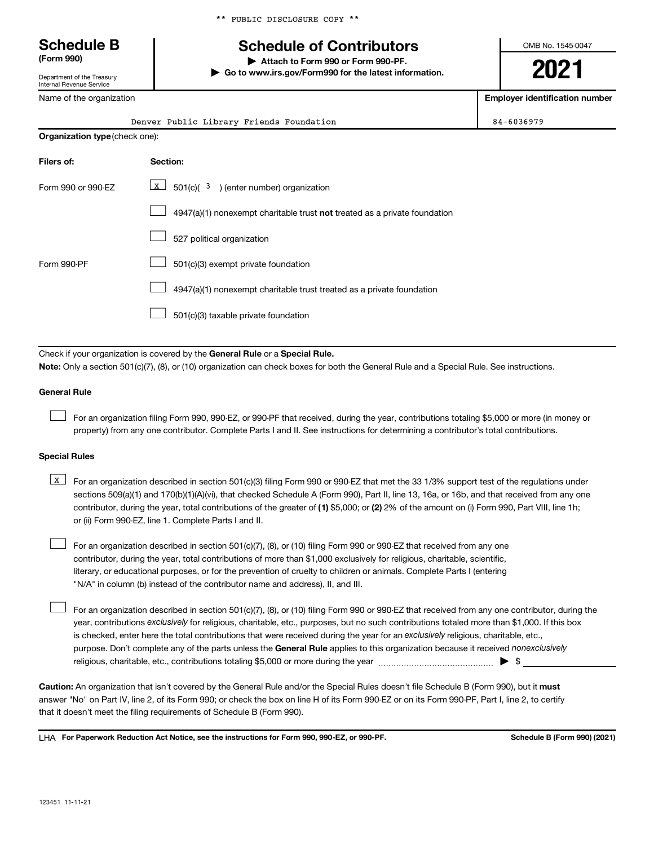#### \*\* PUBLIC DISCLOSURE COPY \*\*

## **Schedule B Schedule of Contributors**

**(Form 990) | Attach to Form 990 or Form 990-PF. | Go to www.irs.gov/Form990 for the latest information.** OMB No. 1545-0047

**2021**

**Employer identification number**

| Internal Revenue Service       |                                                                                                                                                                                                                                                                                                                                                                                                                                                                                                 |                                   |
|--------------------------------|-------------------------------------------------------------------------------------------------------------------------------------------------------------------------------------------------------------------------------------------------------------------------------------------------------------------------------------------------------------------------------------------------------------------------------------------------------------------------------------------------|-----------------------------------|
| Name of the organization       |                                                                                                                                                                                                                                                                                                                                                                                                                                                                                                 | <b>Employer identification nu</b> |
|                                | Denver Public Library Friends Foundation                                                                                                                                                                                                                                                                                                                                                                                                                                                        | 84-6036979                        |
| Organization type (check one): |                                                                                                                                                                                                                                                                                                                                                                                                                                                                                                 |                                   |
| Filers of:                     | Section:                                                                                                                                                                                                                                                                                                                                                                                                                                                                                        |                                   |
| Form 990 or 990-EZ             | $\vert x \vert$<br>$501(c)$ ( $3$ ) (enter number) organization                                                                                                                                                                                                                                                                                                                                                                                                                                 |                                   |
|                                | $4947(a)(1)$ nonexempt charitable trust not treated as a private foundation                                                                                                                                                                                                                                                                                                                                                                                                                     |                                   |
|                                | 527 political organization                                                                                                                                                                                                                                                                                                                                                                                                                                                                      |                                   |
| Form 990-PF                    | 501(c)(3) exempt private foundation                                                                                                                                                                                                                                                                                                                                                                                                                                                             |                                   |
|                                | 4947(a)(1) nonexempt charitable trust treated as a private foundation                                                                                                                                                                                                                                                                                                                                                                                                                           |                                   |
|                                | 501(c)(3) taxable private foundation                                                                                                                                                                                                                                                                                                                                                                                                                                                            |                                   |
|                                | Check if your organization is covered by the General Rule or a Special Rule.<br>Note: Only a section 501(c)(7), (8), or (10) organization can check boxes for both the General Rule and a Special Rule. See instructions.                                                                                                                                                                                                                                                                       |                                   |
| <b>General Rule</b>            |                                                                                                                                                                                                                                                                                                                                                                                                                                                                                                 |                                   |
|                                | For an organization filing Form 990, 990-EZ, or 990-PF that received, during the year, contributions totaling \$5,000 or more (in money or<br>property) from any one contributor. Complete Parts I and II. See instructions for determining a contributor's total contributions.                                                                                                                                                                                                                |                                   |
| <b>Special Rules</b>           |                                                                                                                                                                                                                                                                                                                                                                                                                                                                                                 |                                   |
| X                              | For an organization described in section 501(c)(3) filing Form 990 or 990-EZ that met the 33 1/3% support test of the regulations under<br>sections 509(a)(1) and 170(b)(1)(A)(vi), that checked Schedule A (Form 990), Part II, line 13, 16a, or 16b, and that received from any one<br>contributor, during the year, total contributions of the greater of (1) \$5,000; or (2) 2% of the amount on (i) Form 990, Part VIII, line 1h;<br>or (ii) Form 990-EZ, line 1. Complete Parts I and II. |                                   |

For an organization described in section 501(c)(7), (8), or (10) filing Form 990 or 990-EZ that received from any one contributor, during the year, total contributions of more than \$1,000 exclusively for religious, charitable, scientific, literary, or educational purposes, or for the prevention of cruelty to children or animals. Complete Parts I (entering "N/A" in column (b) instead of the contributor name and address), II, and III.  $\Box$ 

purpose. Don't complete any of the parts unless the General Rule applies to this organization because it received nonexclusively year, contributions exclusively for religious, charitable, etc., purposes, but no such contributions totaled more than \$1,000. If this box is checked, enter here the total contributions that were received during the year for an exclusively religious, charitable, etc., For an organization described in section 501(c)(7), (8), or (10) filing Form 990 or 990-EZ that received from any one contributor, during the religious, charitable, etc., contributions totaling \$5,000 or more during the year  $\ldots$  $\ldots$  $\ldots$  $\ldots$  $\ldots$  $\ldots$ 

Caution: An organization that isn't covered by the General Rule and/or the Special Rules doesn't file Schedule B (Form 990), but it must answer "No" on Part IV, line 2, of its Form 990; or check the box on line H of its Form 990-EZ or on its Form 990-PF, Part I, line 2, to certify that it doesn't meet the filing requirements of Schedule B (Form 990).

LHA For Paperwork Reduction Act Notice, see the instructions for Form 990, 990-EZ, or 990-PF. **Schell B (Form 990)** (2021)

 $\Box$ 

Department of the Treasury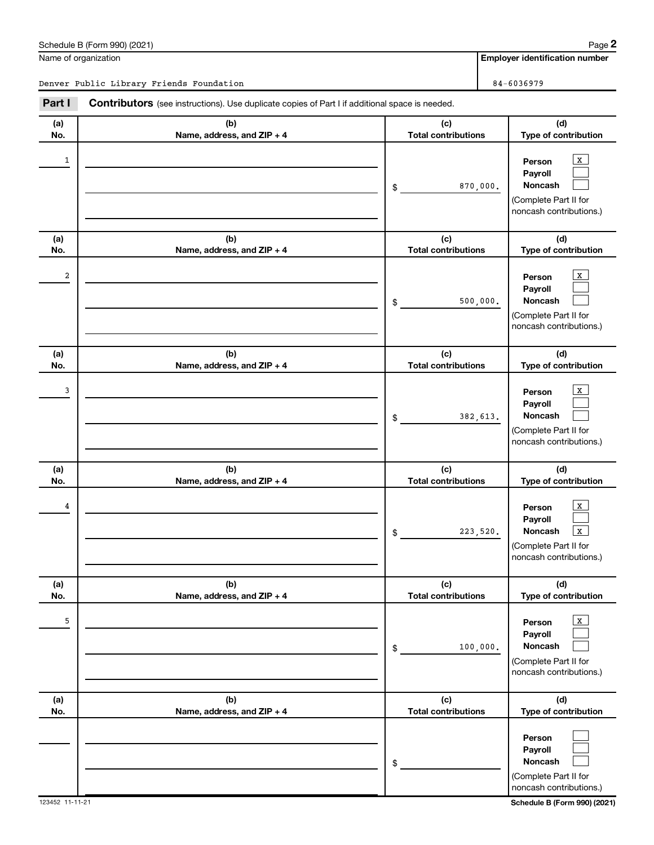(Complete Part II for

**(d) Type of contribution**

(Complete Part II for noncash contributions.)

**(a) No.**

|            | Name of organization                                                                                  |                                   |          | <b>Employer identification number</b>                                                      |
|------------|-------------------------------------------------------------------------------------------------------|-----------------------------------|----------|--------------------------------------------------------------------------------------------|
|            | Denver Public Library Friends Foundation                                                              |                                   |          | 84-6036979                                                                                 |
| Part I     | <b>Contributors</b> (see instructions). Use duplicate copies of Part I if additional space is needed. |                                   |          |                                                                                            |
| (a)<br>No. | (b)<br>Name, address, and ZIP + 4                                                                     | (c)<br><b>Total contributions</b> |          | (d)<br>Type of contribution                                                                |
| 1          |                                                                                                       | \$                                | 870,000. | x<br>Person<br>Payroll<br>Noncash<br>(Complete Part II for<br>noncash contributions.)      |
| (a)<br>No. | (b)<br>Name, address, and ZIP + 4                                                                     | (c)<br><b>Total contributions</b> |          | (d)<br>Type of contribution                                                                |
| 2          |                                                                                                       | \$                                | 500,000. | х<br>Person<br>Payroll<br>Noncash<br>(Complete Part II for<br>noncash contributions.)      |
| (a)<br>No. | (b)<br>Name, address, and ZIP + 4                                                                     | (c)<br><b>Total contributions</b> |          | (d)<br>Type of contribution                                                                |
| 3          |                                                                                                       | \$                                | 382,613. | x<br>Person<br>Payroll<br>Noncash<br>(Complete Part II for<br>noncash contributions.)      |
| (a)<br>No. | (b)<br>Name, address, and ZIP + 4                                                                     | (c)<br><b>Total contributions</b> |          | (d)<br>Type of contribution                                                                |
| 4          |                                                                                                       | \$                                | 223,520. | x<br>Person<br>Payroll<br>Noncash<br>X<br>(Complete Part II for<br>noncash contributions.) |
| (a)<br>No. | (b)<br>Name, address, and ZIP + 4                                                                     | (c)<br><b>Total contributions</b> |          | (d)<br>Type of contribution                                                                |

**(b) Name, address, and ZIP + 4**

**Person Payroll Noncash**

**(c) Total contributions**

\$

> $\Box$  $\Box$  $\Box$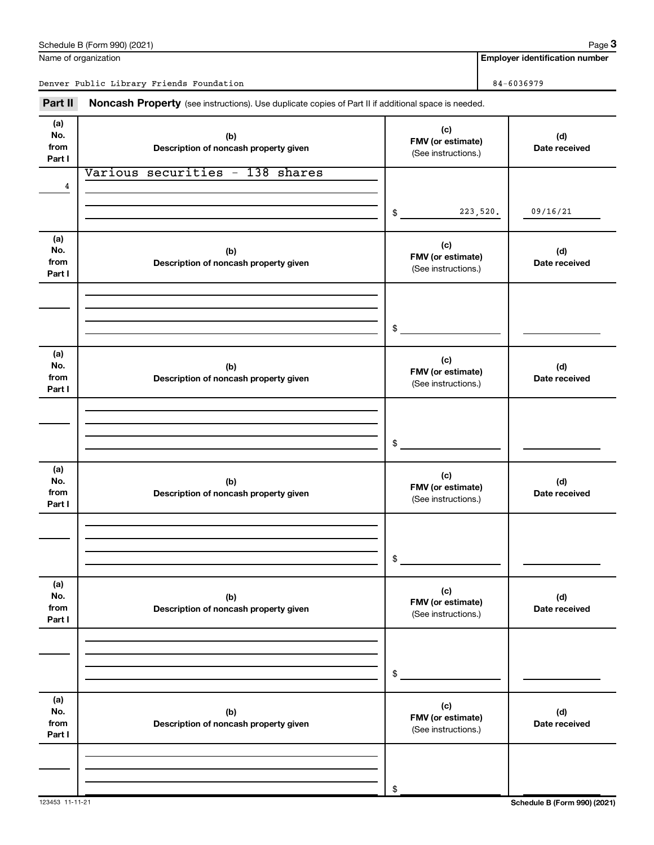| (a)<br>No.                   | (b)                                          | (c)<br>FMV (or estimate)                        | (d)                          |
|------------------------------|----------------------------------------------|-------------------------------------------------|------------------------------|
| from<br>Part I               | Description of noncash property given        | (See instructions.)                             | Date received                |
|                              | Various securities - 138 shares              |                                                 |                              |
| 4                            |                                              |                                                 |                              |
|                              |                                              | 223,520.<br>\$                                  | 09/16/21                     |
| (a)<br>No.<br>from<br>Part I | (b)<br>Description of noncash property given | (c)<br>FMV (or estimate)<br>(See instructions.) | (d)<br>Date received         |
|                              |                                              |                                                 |                              |
|                              |                                              |                                                 |                              |
|                              |                                              | \$                                              |                              |
| (a)<br>No.<br>from<br>Part I | (b)<br>Description of noncash property given | (c)<br>FMV (or estimate)<br>(See instructions.) | (d)<br>Date received         |
|                              |                                              |                                                 |                              |
|                              |                                              |                                                 |                              |
|                              |                                              | \$                                              |                              |
| (a)<br>No.<br>from<br>Part I | (b)<br>Description of noncash property given | (c)<br>FMV (or estimate)<br>(See instructions.) | (d)<br>Date received         |
|                              |                                              |                                                 |                              |
|                              |                                              |                                                 |                              |
|                              |                                              | \$                                              |                              |
| (a)<br>No.<br>from<br>Part I | (b)<br>Description of noncash property given | (c)<br>FMV (or estimate)<br>(See instructions.) | (d)<br>Date received         |
|                              |                                              |                                                 |                              |
|                              |                                              |                                                 |                              |
|                              |                                              | \$                                              |                              |
| (a)<br>No.<br>from<br>Part I | (b)<br>Description of noncash property given | (c)<br>FMV (or estimate)<br>(See instructions.) | (d)<br>Date received         |
|                              |                                              |                                                 |                              |
|                              |                                              |                                                 |                              |
| 123453 11-11-21              |                                              | \$                                              | Schedule B (Form 990) (2021) |

#### Name of organization

Schedule B (Form 990) (2021)

**(a)**

 $\overline{\phantom{a}}$ 

**Employer identification number**

Denver Public Library Friends Foundation 84-6036979

Part II Noncash Property (see instructions). Use duplicate copies of Part II if additional space is needed.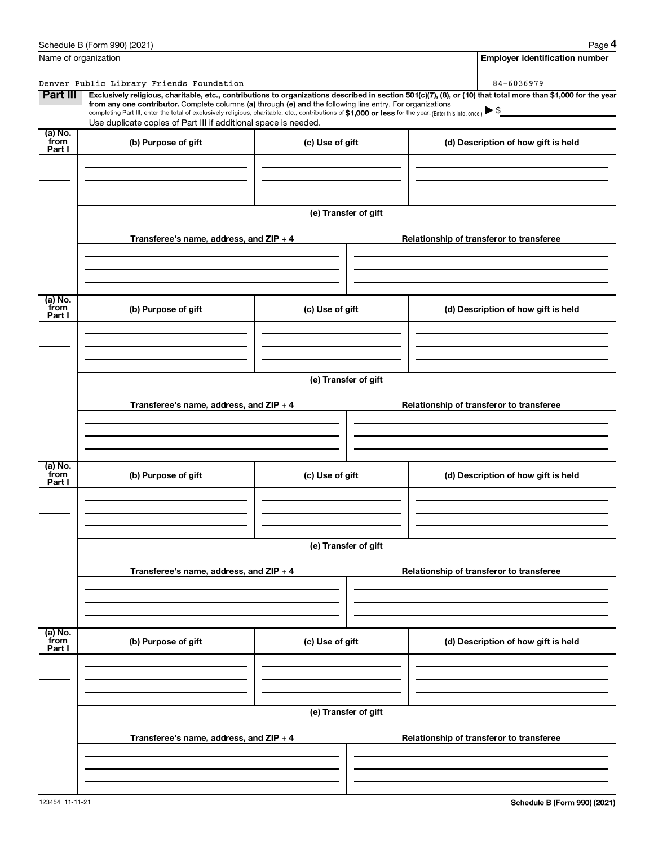|                           | Schedule B (Form 990) (2021)                                                                                                                                                                                                                                                                                                              |                      | Page 4                                                                                                                                                         |  |  |  |  |
|---------------------------|-------------------------------------------------------------------------------------------------------------------------------------------------------------------------------------------------------------------------------------------------------------------------------------------------------------------------------------------|----------------------|----------------------------------------------------------------------------------------------------------------------------------------------------------------|--|--|--|--|
| Name of organization      |                                                                                                                                                                                                                                                                                                                                           |                      | <b>Employer identification number</b>                                                                                                                          |  |  |  |  |
|                           | Denver Public Library Friends Foundation                                                                                                                                                                                                                                                                                                  |                      | 84-6036979                                                                                                                                                     |  |  |  |  |
| Part III                  | from any one contributor. Complete columns (a) through (e) and the following line entry. For organizations<br>completing Part III, enter the total of exclusively religious, charitable, etc., contributions of \$1,000 or less for the year. [Enter this info. once.]<br>Use duplicate copies of Part III if additional space is needed. |                      | Exclusively religious, charitable, etc., contributions to organizations described in section 501(c)(7), (8), or (10) that total more than \$1,000 for the year |  |  |  |  |
| (a) No.<br>from<br>Part I | (b) Purpose of gift                                                                                                                                                                                                                                                                                                                       | (c) Use of gift      | (d) Description of how gift is held                                                                                                                            |  |  |  |  |
|                           |                                                                                                                                                                                                                                                                                                                                           |                      |                                                                                                                                                                |  |  |  |  |
|                           |                                                                                                                                                                                                                                                                                                                                           | (e) Transfer of gift |                                                                                                                                                                |  |  |  |  |
|                           | Transferee's name, address, and ZIP + 4                                                                                                                                                                                                                                                                                                   |                      | Relationship of transferor to transferee                                                                                                                       |  |  |  |  |
| (a) No.                   |                                                                                                                                                                                                                                                                                                                                           |                      |                                                                                                                                                                |  |  |  |  |
| from<br>Part I            | (b) Purpose of gift                                                                                                                                                                                                                                                                                                                       | (c) Use of gift      | (d) Description of how gift is held                                                                                                                            |  |  |  |  |
|                           |                                                                                                                                                                                                                                                                                                                                           |                      |                                                                                                                                                                |  |  |  |  |
|                           | (e) Transfer of gift                                                                                                                                                                                                                                                                                                                      |                      |                                                                                                                                                                |  |  |  |  |
|                           | Transferee's name, address, and ZIP + 4                                                                                                                                                                                                                                                                                                   |                      | Relationship of transferor to transferee                                                                                                                       |  |  |  |  |
|                           |                                                                                                                                                                                                                                                                                                                                           |                      |                                                                                                                                                                |  |  |  |  |
| (a) No.<br>from<br>Part I | (b) Purpose of gift                                                                                                                                                                                                                                                                                                                       | (c) Use of gift      | (d) Description of how gift is held                                                                                                                            |  |  |  |  |
|                           |                                                                                                                                                                                                                                                                                                                                           |                      |                                                                                                                                                                |  |  |  |  |
|                           |                                                                                                                                                                                                                                                                                                                                           | (e) Transfer of gift |                                                                                                                                                                |  |  |  |  |
|                           | Transferee's name, address, and ZIP + 4                                                                                                                                                                                                                                                                                                   |                      | Relationship of transferor to transferee                                                                                                                       |  |  |  |  |
| (a) No.<br>from           |                                                                                                                                                                                                                                                                                                                                           |                      |                                                                                                                                                                |  |  |  |  |
| Part I                    | (b) Purpose of gift                                                                                                                                                                                                                                                                                                                       | (c) Use of gift      | (d) Description of how gift is held                                                                                                                            |  |  |  |  |
|                           |                                                                                                                                                                                                                                                                                                                                           | (e) Transfer of gift |                                                                                                                                                                |  |  |  |  |
|                           | Transferee's name, address, and ZIP + 4                                                                                                                                                                                                                                                                                                   |                      | Relationship of transferor to transferee                                                                                                                       |  |  |  |  |
|                           |                                                                                                                                                                                                                                                                                                                                           |                      |                                                                                                                                                                |  |  |  |  |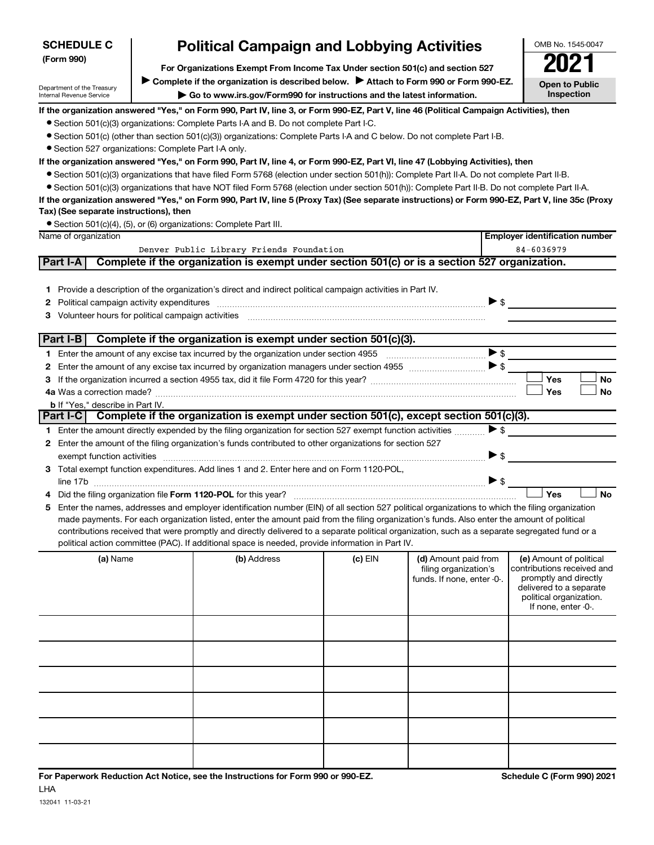| <b>Political Campaign and Lobbying Activities</b><br><b>SCHEDULE C</b> |                                                                                                                                                                         |                                                                                                                                                                                                                                |         |                            | OMB No. 1545-0047                                  |  |  |  |
|------------------------------------------------------------------------|-------------------------------------------------------------------------------------------------------------------------------------------------------------------------|--------------------------------------------------------------------------------------------------------------------------------------------------------------------------------------------------------------------------------|---------|----------------------------|----------------------------------------------------|--|--|--|
| (Form 990)                                                             |                                                                                                                                                                         |                                                                                                                                                                                                                                |         |                            |                                                    |  |  |  |
|                                                                        | For Organizations Exempt From Income Tax Under section 501(c) and section 527<br>Complete if the organization is described below.<br>Attach to Form 990 or Form 990-EZ. |                                                                                                                                                                                                                                |         |                            |                                                    |  |  |  |
| Department of the Treasury<br>Internal Revenue Service                 |                                                                                                                                                                         | Go to www.irs.gov/Form990 for instructions and the latest information.                                                                                                                                                         |         |                            | <b>Open to Public</b><br><b>Inspection</b>         |  |  |  |
|                                                                        |                                                                                                                                                                         |                                                                                                                                                                                                                                |         |                            |                                                    |  |  |  |
|                                                                        |                                                                                                                                                                         | If the organization answered "Yes," on Form 990, Part IV, line 3, or Form 990-EZ, Part V, line 46 (Political Campaign Activities), then                                                                                        |         |                            |                                                    |  |  |  |
|                                                                        |                                                                                                                                                                         | • Section 501(c)(3) organizations: Complete Parts I-A and B. Do not complete Part I-C.<br>• Section 501(c) (other than section 501(c)(3)) organizations: Complete Parts I-A and C below. Do not complete Part I-B.             |         |                            |                                                    |  |  |  |
| • Section 527 organizations: Complete Part I-A only.                   |                                                                                                                                                                         |                                                                                                                                                                                                                                |         |                            |                                                    |  |  |  |
|                                                                        |                                                                                                                                                                         | If the organization answered "Yes," on Form 990, Part IV, line 4, or Form 990-EZ, Part VI, line 47 (Lobbying Activities), then                                                                                                 |         |                            |                                                    |  |  |  |
|                                                                        |                                                                                                                                                                         | ● Section 501(c)(3) organizations that have filed Form 5768 (election under section 501(h)): Complete Part II-A. Do not complete Part II-B.                                                                                    |         |                            |                                                    |  |  |  |
|                                                                        |                                                                                                                                                                         | • Section 501(c)(3) organizations that have NOT filed Form 5768 (election under section 501(h)): Complete Part II-B. Do not complete Part II-A.                                                                                |         |                            |                                                    |  |  |  |
|                                                                        |                                                                                                                                                                         | If the organization answered "Yes," on Form 990, Part IV, line 5 (Proxy Tax) (See separate instructions) or Form 990-EZ, Part V, line 35c (Proxy                                                                               |         |                            |                                                    |  |  |  |
| Tax) (See separate instructions), then                                 |                                                                                                                                                                         |                                                                                                                                                                                                                                |         |                            |                                                    |  |  |  |
|                                                                        |                                                                                                                                                                         | • Section 501(c)(4), (5), or (6) organizations: Complete Part III.                                                                                                                                                             |         |                            |                                                    |  |  |  |
| Name of organization                                                   |                                                                                                                                                                         |                                                                                                                                                                                                                                |         |                            | <b>Employer identification number</b>              |  |  |  |
|                                                                        |                                                                                                                                                                         | Denver Public Library Friends Foundation                                                                                                                                                                                       |         |                            | 84-6036979                                         |  |  |  |
| Part I-A                                                               |                                                                                                                                                                         | Complete if the organization is exempt under section 501(c) or is a section 527 organization.                                                                                                                                  |         |                            |                                                    |  |  |  |
|                                                                        |                                                                                                                                                                         |                                                                                                                                                                                                                                |         |                            |                                                    |  |  |  |
|                                                                        |                                                                                                                                                                         | 1 Provide a description of the organization's direct and indirect political campaign activities in Part IV.                                                                                                                    |         |                            |                                                    |  |  |  |
| 2                                                                      |                                                                                                                                                                         |                                                                                                                                                                                                                                |         | $\triangleright$ \$        |                                                    |  |  |  |
| 3.                                                                     |                                                                                                                                                                         | Volunteer hours for political campaign activities [11] matter content to the form of the content of the content of the content of the content of the content of the content of the content of the content of the content of th |         |                            |                                                    |  |  |  |
|                                                                        |                                                                                                                                                                         |                                                                                                                                                                                                                                |         |                            |                                                    |  |  |  |
|                                                                        |                                                                                                                                                                         | Part I-B $\vert$ Complete if the organization is exempt under section 501(c)(3).                                                                                                                                               |         |                            |                                                    |  |  |  |
|                                                                        |                                                                                                                                                                         |                                                                                                                                                                                                                                |         | $\blacktriangleright$ \$   |                                                    |  |  |  |
| 2                                                                      |                                                                                                                                                                         |                                                                                                                                                                                                                                |         |                            |                                                    |  |  |  |
| 3.                                                                     |                                                                                                                                                                         |                                                                                                                                                                                                                                |         |                            | Yes<br><b>No</b>                                   |  |  |  |
|                                                                        |                                                                                                                                                                         |                                                                                                                                                                                                                                |         |                            | Yes<br><b>No</b>                                   |  |  |  |
| <b>b</b> If "Yes," describe in Part IV.                                |                                                                                                                                                                         |                                                                                                                                                                                                                                |         |                            |                                                    |  |  |  |
|                                                                        |                                                                                                                                                                         | Part I-C Complete if the organization is exempt under section 501(c), except section 501(c)(3).                                                                                                                                |         |                            |                                                    |  |  |  |
|                                                                        |                                                                                                                                                                         | 1 Enter the amount directly expended by the filing organization for section 527 exempt function activities                                                                                                                     |         | $\blacktriangleright$ \$   |                                                    |  |  |  |
|                                                                        |                                                                                                                                                                         | 2 Enter the amount of the filing organization's funds contributed to other organizations for section 527                                                                                                                       |         |                            |                                                    |  |  |  |
|                                                                        |                                                                                                                                                                         |                                                                                                                                                                                                                                |         | $\blacktriangleright$ \$   |                                                    |  |  |  |
|                                                                        |                                                                                                                                                                         | 3 Total exempt function expenditures. Add lines 1 and 2. Enter here and on Form 1120-POL,                                                                                                                                      |         |                            |                                                    |  |  |  |
|                                                                        |                                                                                                                                                                         |                                                                                                                                                                                                                                |         | $\triangleright$ \$        | Yes<br><b>No</b>                                   |  |  |  |
|                                                                        |                                                                                                                                                                         | Enter the names, addresses and employer identification number (EIN) of all section 527 political organizations to which the filing organization                                                                                |         |                            |                                                    |  |  |  |
| 5                                                                      |                                                                                                                                                                         | made payments. For each organization listed, enter the amount paid from the filing organization's funds. Also enter the amount of political                                                                                    |         |                            |                                                    |  |  |  |
|                                                                        |                                                                                                                                                                         | contributions received that were promptly and directly delivered to a separate political organization, such as a separate segregated fund or a                                                                                 |         |                            |                                                    |  |  |  |
|                                                                        |                                                                                                                                                                         | political action committee (PAC). If additional space is needed, provide information in Part IV.                                                                                                                               |         |                            |                                                    |  |  |  |
| (a) Name                                                               |                                                                                                                                                                         | (b) Address                                                                                                                                                                                                                    | (c) EIN | (d) Amount paid from       | (e) Amount of political                            |  |  |  |
|                                                                        |                                                                                                                                                                         |                                                                                                                                                                                                                                |         | filing organization's      | contributions received and                         |  |  |  |
|                                                                        |                                                                                                                                                                         |                                                                                                                                                                                                                                |         | funds. If none, enter -0-. | promptly and directly                              |  |  |  |
|                                                                        |                                                                                                                                                                         |                                                                                                                                                                                                                                |         |                            | delivered to a separate<br>political organization. |  |  |  |
|                                                                        |                                                                                                                                                                         |                                                                                                                                                                                                                                |         |                            | If none, enter -0-.                                |  |  |  |
|                                                                        |                                                                                                                                                                         |                                                                                                                                                                                                                                |         |                            |                                                    |  |  |  |
|                                                                        |                                                                                                                                                                         |                                                                                                                                                                                                                                |         |                            |                                                    |  |  |  |
|                                                                        |                                                                                                                                                                         |                                                                                                                                                                                                                                |         |                            |                                                    |  |  |  |
|                                                                        |                                                                                                                                                                         |                                                                                                                                                                                                                                |         |                            |                                                    |  |  |  |
|                                                                        |                                                                                                                                                                         |                                                                                                                                                                                                                                |         |                            |                                                    |  |  |  |
|                                                                        |                                                                                                                                                                         |                                                                                                                                                                                                                                |         |                            |                                                    |  |  |  |
|                                                                        |                                                                                                                                                                         |                                                                                                                                                                                                                                |         |                            |                                                    |  |  |  |
|                                                                        |                                                                                                                                                                         |                                                                                                                                                                                                                                |         |                            |                                                    |  |  |  |
|                                                                        |                                                                                                                                                                         |                                                                                                                                                                                                                                |         |                            |                                                    |  |  |  |
|                                                                        |                                                                                                                                                                         |                                                                                                                                                                                                                                |         |                            |                                                    |  |  |  |
|                                                                        |                                                                                                                                                                         |                                                                                                                                                                                                                                |         |                            |                                                    |  |  |  |
|                                                                        |                                                                                                                                                                         |                                                                                                                                                                                                                                |         |                            |                                                    |  |  |  |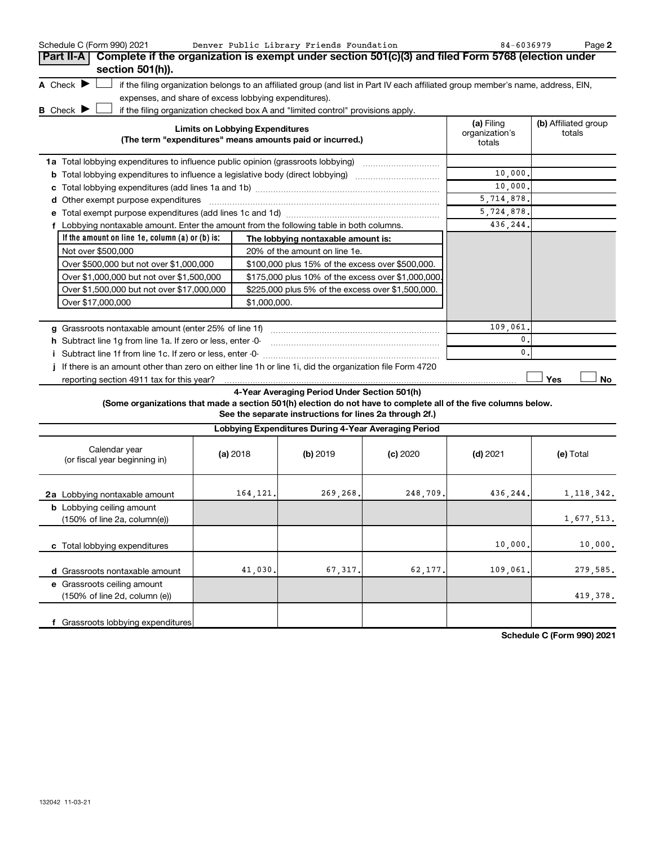| Schedule C (Form 990) 2021                                                                                      |                                        | Denver Public Library Friends Foundation                                                                                          |          | 84-6036979     | Page 2               |
|-----------------------------------------------------------------------------------------------------------------|----------------------------------------|-----------------------------------------------------------------------------------------------------------------------------------|----------|----------------|----------------------|
| Complete if the organization is exempt under section 501(c)(3) and filed Form 5768 (election under<br>Part II-A |                                        |                                                                                                                                   |          |                |                      |
| section 501(h)).                                                                                                |                                        |                                                                                                                                   |          |                |                      |
| A Check $\blacktriangleright$                                                                                   |                                        | if the filing organization belongs to an affiliated group (and list in Part IV each affiliated group member's name, address, EIN, |          |                |                      |
| expenses, and share of excess lobbying expenditures).                                                           |                                        |                                                                                                                                   |          |                |                      |
| <b>B</b> Check $\blacktriangleright$                                                                            |                                        | if the filing organization checked box A and "limited control" provisions apply.                                                  |          |                |                      |
|                                                                                                                 | <b>Limits on Lobbying Expenditures</b> |                                                                                                                                   |          | (a) Filing     | (b) Affiliated group |
|                                                                                                                 |                                        | (The term "expenditures" means amounts paid or incurred.)                                                                         |          | organization's | totals               |
|                                                                                                                 |                                        |                                                                                                                                   |          | totals         |                      |
|                                                                                                                 |                                        |                                                                                                                                   |          |                |                      |
| <b>b</b> Total lobbying expenditures to influence a legislative body (direct lobbying) <i>manumumumum</i>       |                                        |                                                                                                                                   |          | 10,000.        |                      |
|                                                                                                                 |                                        |                                                                                                                                   |          | 10,000.        |                      |
| d Other exempt purpose expenditures                                                                             |                                        |                                                                                                                                   |          | 5,714,878.     |                      |
|                                                                                                                 |                                        |                                                                                                                                   |          | 5,724,878.     |                      |
| f Lobbying nontaxable amount. Enter the amount from the following table in both columns.                        |                                        |                                                                                                                                   |          | 436,244.       |                      |
| If the amount on line 1e, column $(a)$ or $(b)$ is:                                                             |                                        | The lobbying nontaxable amount is:                                                                                                |          |                |                      |
| Not over \$500,000                                                                                              |                                        | 20% of the amount on line 1e.                                                                                                     |          |                |                      |
| Over \$500,000 but not over \$1,000,000                                                                         |                                        | \$100,000 plus 15% of the excess over \$500,000.                                                                                  |          |                |                      |
| Over \$1,000,000 but not over \$1,500,000                                                                       |                                        | \$175,000 plus 10% of the excess over \$1,000,000                                                                                 |          |                |                      |
| \$225,000 plus 5% of the excess over \$1,500,000.<br>Over \$1,500,000 but not over \$17,000,000                 |                                        |                                                                                                                                   |          |                |                      |
| Over \$17,000,000                                                                                               |                                        | \$1,000,000.                                                                                                                      |          |                |                      |
|                                                                                                                 |                                        |                                                                                                                                   |          |                |                      |
|                                                                                                                 |                                        |                                                                                                                                   |          | 109,061        |                      |
| h Subtract line 1g from line 1a. If zero or less, enter -0-                                                     |                                        |                                                                                                                                   |          | $\mathbf 0$ .  |                      |
| i Subtract line 1f from line 1c. If zero or less, enter -0-                                                     |                                        |                                                                                                                                   |          | $\mathbf{0}$   |                      |
| If there is an amount other than zero on either line 1h or line 1i, did the organization file Form 4720         |                                        |                                                                                                                                   |          |                |                      |
| reporting section 4911 tax for this year?                                                                       |                                        |                                                                                                                                   |          |                | Yes<br>No            |
|                                                                                                                 |                                        | 4-Year Averaging Period Under Section 501(h)                                                                                      |          |                |                      |
|                                                                                                                 |                                        | (Some organizations that made a section 501(h) election do not have to complete all of the five columns below.                    |          |                |                      |
|                                                                                                                 |                                        | See the separate instructions for lines 2a through 2f.)                                                                           |          |                |                      |
|                                                                                                                 |                                        | Lobbying Expenditures During 4-Year Averaging Period                                                                              |          |                |                      |
| Calendar year<br>(or fiscal year beginning in)                                                                  | (a) 2018                               | (b) 2019                                                                                                                          | (c) 2020 | $(d)$ 2021     | (e) Total            |
| 2a Lobbying nontaxable amount                                                                                   | 164, 121.                              | 269,268.                                                                                                                          | 248,709. | 436,244.       | 1,118,342.           |
| <b>b</b> Lobbying ceiling amount                                                                                |                                        |                                                                                                                                   |          |                |                      |
| (150% of line 2a, column(e))                                                                                    |                                        |                                                                                                                                   |          |                | 1,677,513.           |
| c Total lobbying expenditures                                                                                   |                                        |                                                                                                                                   |          | 10,000         | 10,000.              |
|                                                                                                                 |                                        |                                                                                                                                   |          |                |                      |
| d Grassroots nontaxable amount                                                                                  | 41,030.                                | 67,317                                                                                                                            | 62,177   | 109,061        | 279,585.             |
| e Grassroots ceiling amount                                                                                     |                                        |                                                                                                                                   |          |                |                      |
| (150% of line 2d, column (e))                                                                                   |                                        |                                                                                                                                   |          |                | 419,378.             |
|                                                                                                                 |                                        |                                                                                                                                   |          |                |                      |
| f Grassroots lobbying expenditures                                                                              |                                        |                                                                                                                                   |          |                |                      |

**Schedule C (Form 990) 2021**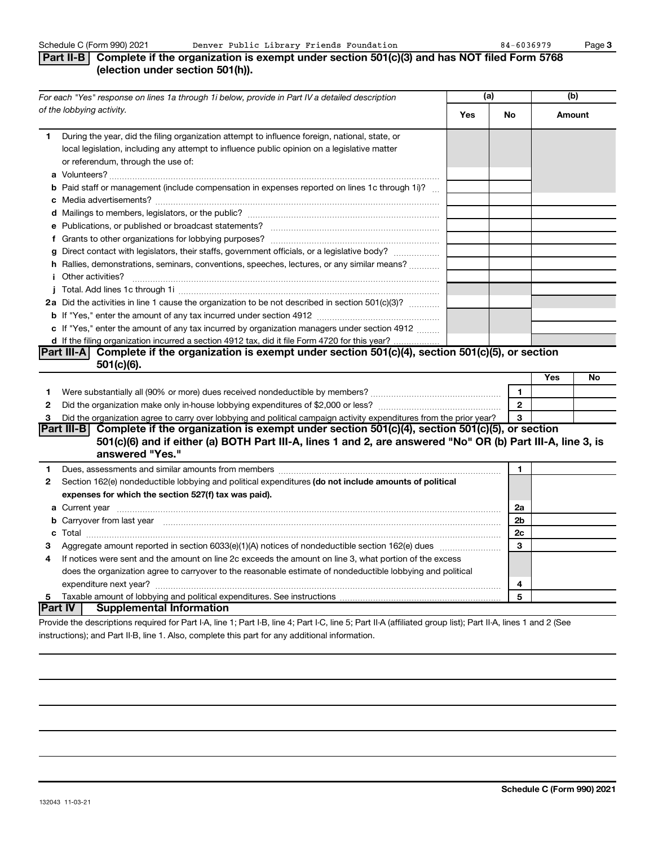#### **Part II-B Complete if the organization is exempt under section 501(c)(3) and has NOT filed Form 5768 (election under section 501(h)).**

| of the lobbying activity.<br>Yes<br>Amount<br>No<br>During the year, did the filing organization attempt to influence foreign, national, state, or<br>1.<br>local legislation, including any attempt to influence public opinion on a legislative matter<br>or referendum, through the use of:<br><b>b</b> Paid staff or management (include compensation in expenses reported on lines 1c through 1i)?<br>g Direct contact with legislators, their staffs, government officials, or a legislative body?<br>h Rallies, demonstrations, seminars, conventions, speeches, lectures, or any similar means?<br>2a Did the activities in line 1 cause the organization to be not described in section 501(c)(3)?<br>c If "Yes," enter the amount of any tax incurred by organization managers under section 4912<br>d If the filing organization incurred a section 4912 tax, did it file Form 4720 for this year?<br>Complete if the organization is exempt under section 501(c)(4), section 501(c)(5), or section<br>Part III-A<br>$501(c)(6)$ .<br>Yes<br>No<br>1<br>1<br>$\mathbf{2}$<br>$\mathbf{2}$<br>Did the organization agree to carry over lobbying and political campaign activity expenditures from the prior year?<br>3<br>3<br>Part III-B Complete if the organization is exempt under section $501(c)(4)$ , section $501(c)(5)$ , or section<br>501(c)(6) and if either (a) BOTH Part III-A, lines 1 and 2, are answered "No" OR (b) Part III-A, line 3, is<br>answered "Yes."<br>1<br>1.<br>Section 162(e) nondeductible lobbying and political expenditures (do not include amounts of political<br>2<br>expenses for which the section 527(f) tax was paid).<br>2a<br>2b<br>b Carryover from last year manufactured and content to content the content of the content of the content of the content of the content of the content of the content of the content of the content of the content of the conte<br>2c<br>3<br>з<br>If notices were sent and the amount on line 2c exceeds the amount on line 3, what portion of the excess<br>4<br>does the organization agree to carryover to the reasonable estimate of nondeductible lobbying and political<br>4<br>5<br>5<br>Part IV<br><b>Supplemental Information</b><br>$\mathbf{r}$ , and $\mathbf{r}$ , and $\mathbf{r}$ , and $\mathbf{r}$ , and $\mathbf{r}$ , and $\mathbf{r}$ , and $\mathbf{r}$ , and $\mathbf{r}$ , and $\mathbf{r}$ , and $\mathbf{r}$ , and $\mathbf{r}$ , and $\mathbf{r}$ , and $\mathbf{r}$ , and $\mathbf{r}$ , and $\mathbf{r}$ , | For each "Yes" response on lines 1a through 1i below, provide in Part IV a detailed description | (a) | (b) |  |
|----------------------------------------------------------------------------------------------------------------------------------------------------------------------------------------------------------------------------------------------------------------------------------------------------------------------------------------------------------------------------------------------------------------------------------------------------------------------------------------------------------------------------------------------------------------------------------------------------------------------------------------------------------------------------------------------------------------------------------------------------------------------------------------------------------------------------------------------------------------------------------------------------------------------------------------------------------------------------------------------------------------------------------------------------------------------------------------------------------------------------------------------------------------------------------------------------------------------------------------------------------------------------------------------------------------------------------------------------------------------------------------------------------------------------------------------------------------------------------------------------------------------------------------------------------------------------------------------------------------------------------------------------------------------------------------------------------------------------------------------------------------------------------------------------------------------------------------------------------------------------------------------------------------------------------------------------------------------------------------------------------------------------------------------------------------------------------------------------------------------------------------------------------------------------------------------------------------------------------------------------------------------------------------------------------------------------------------------------------------------------------------------------------------------------------------------------------------------------------------------------------------------------------|-------------------------------------------------------------------------------------------------|-----|-----|--|
|                                                                                                                                                                                                                                                                                                                                                                                                                                                                                                                                                                                                                                                                                                                                                                                                                                                                                                                                                                                                                                                                                                                                                                                                                                                                                                                                                                                                                                                                                                                                                                                                                                                                                                                                                                                                                                                                                                                                                                                                                                                                                                                                                                                                                                                                                                                                                                                                                                                                                                                                  |                                                                                                 |     |     |  |
|                                                                                                                                                                                                                                                                                                                                                                                                                                                                                                                                                                                                                                                                                                                                                                                                                                                                                                                                                                                                                                                                                                                                                                                                                                                                                                                                                                                                                                                                                                                                                                                                                                                                                                                                                                                                                                                                                                                                                                                                                                                                                                                                                                                                                                                                                                                                                                                                                                                                                                                                  |                                                                                                 |     |     |  |
|                                                                                                                                                                                                                                                                                                                                                                                                                                                                                                                                                                                                                                                                                                                                                                                                                                                                                                                                                                                                                                                                                                                                                                                                                                                                                                                                                                                                                                                                                                                                                                                                                                                                                                                                                                                                                                                                                                                                                                                                                                                                                                                                                                                                                                                                                                                                                                                                                                                                                                                                  |                                                                                                 |     |     |  |
|                                                                                                                                                                                                                                                                                                                                                                                                                                                                                                                                                                                                                                                                                                                                                                                                                                                                                                                                                                                                                                                                                                                                                                                                                                                                                                                                                                                                                                                                                                                                                                                                                                                                                                                                                                                                                                                                                                                                                                                                                                                                                                                                                                                                                                                                                                                                                                                                                                                                                                                                  |                                                                                                 |     |     |  |
|                                                                                                                                                                                                                                                                                                                                                                                                                                                                                                                                                                                                                                                                                                                                                                                                                                                                                                                                                                                                                                                                                                                                                                                                                                                                                                                                                                                                                                                                                                                                                                                                                                                                                                                                                                                                                                                                                                                                                                                                                                                                                                                                                                                                                                                                                                                                                                                                                                                                                                                                  |                                                                                                 |     |     |  |
|                                                                                                                                                                                                                                                                                                                                                                                                                                                                                                                                                                                                                                                                                                                                                                                                                                                                                                                                                                                                                                                                                                                                                                                                                                                                                                                                                                                                                                                                                                                                                                                                                                                                                                                                                                                                                                                                                                                                                                                                                                                                                                                                                                                                                                                                                                                                                                                                                                                                                                                                  |                                                                                                 |     |     |  |
|                                                                                                                                                                                                                                                                                                                                                                                                                                                                                                                                                                                                                                                                                                                                                                                                                                                                                                                                                                                                                                                                                                                                                                                                                                                                                                                                                                                                                                                                                                                                                                                                                                                                                                                                                                                                                                                                                                                                                                                                                                                                                                                                                                                                                                                                                                                                                                                                                                                                                                                                  |                                                                                                 |     |     |  |
|                                                                                                                                                                                                                                                                                                                                                                                                                                                                                                                                                                                                                                                                                                                                                                                                                                                                                                                                                                                                                                                                                                                                                                                                                                                                                                                                                                                                                                                                                                                                                                                                                                                                                                                                                                                                                                                                                                                                                                                                                                                                                                                                                                                                                                                                                                                                                                                                                                                                                                                                  |                                                                                                 |     |     |  |
|                                                                                                                                                                                                                                                                                                                                                                                                                                                                                                                                                                                                                                                                                                                                                                                                                                                                                                                                                                                                                                                                                                                                                                                                                                                                                                                                                                                                                                                                                                                                                                                                                                                                                                                                                                                                                                                                                                                                                                                                                                                                                                                                                                                                                                                                                                                                                                                                                                                                                                                                  |                                                                                                 |     |     |  |
|                                                                                                                                                                                                                                                                                                                                                                                                                                                                                                                                                                                                                                                                                                                                                                                                                                                                                                                                                                                                                                                                                                                                                                                                                                                                                                                                                                                                                                                                                                                                                                                                                                                                                                                                                                                                                                                                                                                                                                                                                                                                                                                                                                                                                                                                                                                                                                                                                                                                                                                                  |                                                                                                 |     |     |  |
|                                                                                                                                                                                                                                                                                                                                                                                                                                                                                                                                                                                                                                                                                                                                                                                                                                                                                                                                                                                                                                                                                                                                                                                                                                                                                                                                                                                                                                                                                                                                                                                                                                                                                                                                                                                                                                                                                                                                                                                                                                                                                                                                                                                                                                                                                                                                                                                                                                                                                                                                  |                                                                                                 |     |     |  |
|                                                                                                                                                                                                                                                                                                                                                                                                                                                                                                                                                                                                                                                                                                                                                                                                                                                                                                                                                                                                                                                                                                                                                                                                                                                                                                                                                                                                                                                                                                                                                                                                                                                                                                                                                                                                                                                                                                                                                                                                                                                                                                                                                                                                                                                                                                                                                                                                                                                                                                                                  |                                                                                                 |     |     |  |
|                                                                                                                                                                                                                                                                                                                                                                                                                                                                                                                                                                                                                                                                                                                                                                                                                                                                                                                                                                                                                                                                                                                                                                                                                                                                                                                                                                                                                                                                                                                                                                                                                                                                                                                                                                                                                                                                                                                                                                                                                                                                                                                                                                                                                                                                                                                                                                                                                                                                                                                                  |                                                                                                 |     |     |  |
|                                                                                                                                                                                                                                                                                                                                                                                                                                                                                                                                                                                                                                                                                                                                                                                                                                                                                                                                                                                                                                                                                                                                                                                                                                                                                                                                                                                                                                                                                                                                                                                                                                                                                                                                                                                                                                                                                                                                                                                                                                                                                                                                                                                                                                                                                                                                                                                                                                                                                                                                  |                                                                                                 |     |     |  |
|                                                                                                                                                                                                                                                                                                                                                                                                                                                                                                                                                                                                                                                                                                                                                                                                                                                                                                                                                                                                                                                                                                                                                                                                                                                                                                                                                                                                                                                                                                                                                                                                                                                                                                                                                                                                                                                                                                                                                                                                                                                                                                                                                                                                                                                                                                                                                                                                                                                                                                                                  |                                                                                                 |     |     |  |
|                                                                                                                                                                                                                                                                                                                                                                                                                                                                                                                                                                                                                                                                                                                                                                                                                                                                                                                                                                                                                                                                                                                                                                                                                                                                                                                                                                                                                                                                                                                                                                                                                                                                                                                                                                                                                                                                                                                                                                                                                                                                                                                                                                                                                                                                                                                                                                                                                                                                                                                                  |                                                                                                 |     |     |  |
|                                                                                                                                                                                                                                                                                                                                                                                                                                                                                                                                                                                                                                                                                                                                                                                                                                                                                                                                                                                                                                                                                                                                                                                                                                                                                                                                                                                                                                                                                                                                                                                                                                                                                                                                                                                                                                                                                                                                                                                                                                                                                                                                                                                                                                                                                                                                                                                                                                                                                                                                  |                                                                                                 |     |     |  |
|                                                                                                                                                                                                                                                                                                                                                                                                                                                                                                                                                                                                                                                                                                                                                                                                                                                                                                                                                                                                                                                                                                                                                                                                                                                                                                                                                                                                                                                                                                                                                                                                                                                                                                                                                                                                                                                                                                                                                                                                                                                                                                                                                                                                                                                                                                                                                                                                                                                                                                                                  |                                                                                                 |     |     |  |
|                                                                                                                                                                                                                                                                                                                                                                                                                                                                                                                                                                                                                                                                                                                                                                                                                                                                                                                                                                                                                                                                                                                                                                                                                                                                                                                                                                                                                                                                                                                                                                                                                                                                                                                                                                                                                                                                                                                                                                                                                                                                                                                                                                                                                                                                                                                                                                                                                                                                                                                                  |                                                                                                 |     |     |  |
|                                                                                                                                                                                                                                                                                                                                                                                                                                                                                                                                                                                                                                                                                                                                                                                                                                                                                                                                                                                                                                                                                                                                                                                                                                                                                                                                                                                                                                                                                                                                                                                                                                                                                                                                                                                                                                                                                                                                                                                                                                                                                                                                                                                                                                                                                                                                                                                                                                                                                                                                  |                                                                                                 |     |     |  |
|                                                                                                                                                                                                                                                                                                                                                                                                                                                                                                                                                                                                                                                                                                                                                                                                                                                                                                                                                                                                                                                                                                                                                                                                                                                                                                                                                                                                                                                                                                                                                                                                                                                                                                                                                                                                                                                                                                                                                                                                                                                                                                                                                                                                                                                                                                                                                                                                                                                                                                                                  |                                                                                                 |     |     |  |
|                                                                                                                                                                                                                                                                                                                                                                                                                                                                                                                                                                                                                                                                                                                                                                                                                                                                                                                                                                                                                                                                                                                                                                                                                                                                                                                                                                                                                                                                                                                                                                                                                                                                                                                                                                                                                                                                                                                                                                                                                                                                                                                                                                                                                                                                                                                                                                                                                                                                                                                                  |                                                                                                 |     |     |  |
|                                                                                                                                                                                                                                                                                                                                                                                                                                                                                                                                                                                                                                                                                                                                                                                                                                                                                                                                                                                                                                                                                                                                                                                                                                                                                                                                                                                                                                                                                                                                                                                                                                                                                                                                                                                                                                                                                                                                                                                                                                                                                                                                                                                                                                                                                                                                                                                                                                                                                                                                  |                                                                                                 |     |     |  |
|                                                                                                                                                                                                                                                                                                                                                                                                                                                                                                                                                                                                                                                                                                                                                                                                                                                                                                                                                                                                                                                                                                                                                                                                                                                                                                                                                                                                                                                                                                                                                                                                                                                                                                                                                                                                                                                                                                                                                                                                                                                                                                                                                                                                                                                                                                                                                                                                                                                                                                                                  |                                                                                                 |     |     |  |
|                                                                                                                                                                                                                                                                                                                                                                                                                                                                                                                                                                                                                                                                                                                                                                                                                                                                                                                                                                                                                                                                                                                                                                                                                                                                                                                                                                                                                                                                                                                                                                                                                                                                                                                                                                                                                                                                                                                                                                                                                                                                                                                                                                                                                                                                                                                                                                                                                                                                                                                                  |                                                                                                 |     |     |  |
|                                                                                                                                                                                                                                                                                                                                                                                                                                                                                                                                                                                                                                                                                                                                                                                                                                                                                                                                                                                                                                                                                                                                                                                                                                                                                                                                                                                                                                                                                                                                                                                                                                                                                                                                                                                                                                                                                                                                                                                                                                                                                                                                                                                                                                                                                                                                                                                                                                                                                                                                  |                                                                                                 |     |     |  |
|                                                                                                                                                                                                                                                                                                                                                                                                                                                                                                                                                                                                                                                                                                                                                                                                                                                                                                                                                                                                                                                                                                                                                                                                                                                                                                                                                                                                                                                                                                                                                                                                                                                                                                                                                                                                                                                                                                                                                                                                                                                                                                                                                                                                                                                                                                                                                                                                                                                                                                                                  |                                                                                                 |     |     |  |
|                                                                                                                                                                                                                                                                                                                                                                                                                                                                                                                                                                                                                                                                                                                                                                                                                                                                                                                                                                                                                                                                                                                                                                                                                                                                                                                                                                                                                                                                                                                                                                                                                                                                                                                                                                                                                                                                                                                                                                                                                                                                                                                                                                                                                                                                                                                                                                                                                                                                                                                                  |                                                                                                 |     |     |  |
|                                                                                                                                                                                                                                                                                                                                                                                                                                                                                                                                                                                                                                                                                                                                                                                                                                                                                                                                                                                                                                                                                                                                                                                                                                                                                                                                                                                                                                                                                                                                                                                                                                                                                                                                                                                                                                                                                                                                                                                                                                                                                                                                                                                                                                                                                                                                                                                                                                                                                                                                  |                                                                                                 |     |     |  |
|                                                                                                                                                                                                                                                                                                                                                                                                                                                                                                                                                                                                                                                                                                                                                                                                                                                                                                                                                                                                                                                                                                                                                                                                                                                                                                                                                                                                                                                                                                                                                                                                                                                                                                                                                                                                                                                                                                                                                                                                                                                                                                                                                                                                                                                                                                                                                                                                                                                                                                                                  |                                                                                                 |     |     |  |
|                                                                                                                                                                                                                                                                                                                                                                                                                                                                                                                                                                                                                                                                                                                                                                                                                                                                                                                                                                                                                                                                                                                                                                                                                                                                                                                                                                                                                                                                                                                                                                                                                                                                                                                                                                                                                                                                                                                                                                                                                                                                                                                                                                                                                                                                                                                                                                                                                                                                                                                                  |                                                                                                 |     |     |  |
|                                                                                                                                                                                                                                                                                                                                                                                                                                                                                                                                                                                                                                                                                                                                                                                                                                                                                                                                                                                                                                                                                                                                                                                                                                                                                                                                                                                                                                                                                                                                                                                                                                                                                                                                                                                                                                                                                                                                                                                                                                                                                                                                                                                                                                                                                                                                                                                                                                                                                                                                  |                                                                                                 |     |     |  |
|                                                                                                                                                                                                                                                                                                                                                                                                                                                                                                                                                                                                                                                                                                                                                                                                                                                                                                                                                                                                                                                                                                                                                                                                                                                                                                                                                                                                                                                                                                                                                                                                                                                                                                                                                                                                                                                                                                                                                                                                                                                                                                                                                                                                                                                                                                                                                                                                                                                                                                                                  |                                                                                                 |     |     |  |
|                                                                                                                                                                                                                                                                                                                                                                                                                                                                                                                                                                                                                                                                                                                                                                                                                                                                                                                                                                                                                                                                                                                                                                                                                                                                                                                                                                                                                                                                                                                                                                                                                                                                                                                                                                                                                                                                                                                                                                                                                                                                                                                                                                                                                                                                                                                                                                                                                                                                                                                                  |                                                                                                 |     |     |  |

Provide the descriptions required for Part I-A, line 1; Part I-B, line 4; Part I-C, line 5; Part II-A (affiliated group list); Part II-A, lines 1 and 2 (See instructions); and Part II-B, line 1. Also, complete this part for any additional information.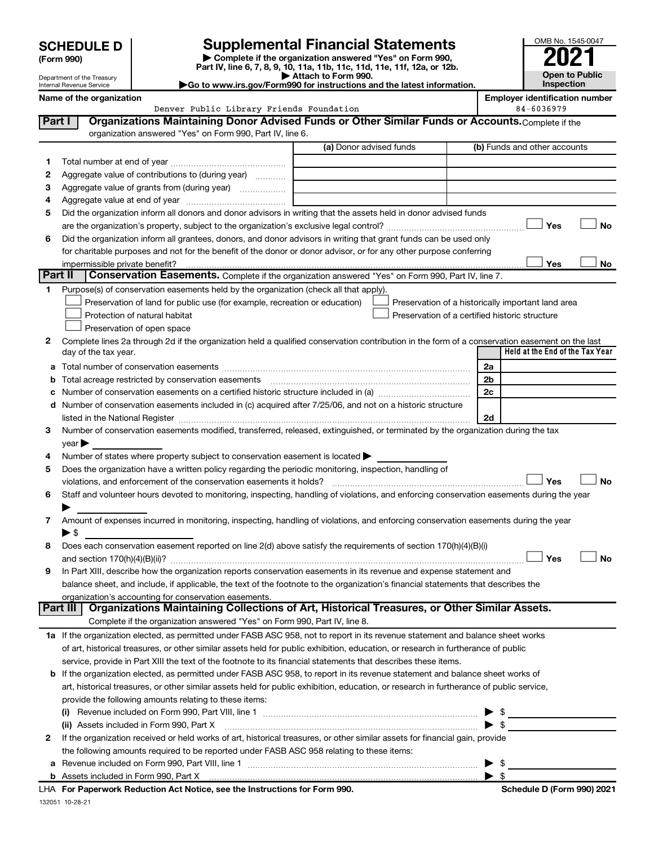| <b>SCHEDULE D</b> |  |
|-------------------|--|
|-------------------|--|

Department of the Treasury Internal Revenue Service

| (Form 990) |  |
|------------|--|
|------------|--|

**| Complete if the organization answered "Yes" on Form 990, Part IV, line 6, 7, 8, 9, 10, 11a, 11b, 11c, 11d, 11e, 11f, 12a, or 12b. SCHEDULE D Supplemental Financial Statements**<br> **Form 990 Example 5 2021**<br>
Part IV. line 6, 7, 8, 9, 10, 11a, 11b, 11c, 11d, 11e, 11f, 12a, or 12b.

**| Attach to Form 990. |Go to www.irs.gov/Form990 for instructions and the latest information.**



**Name of the organization**<br>Denver Public Library Friends Foundation **Employer identification** 84-6036979 Denver Public Library Friends Foundation

| Part I  | Organizations Maintaining Donor Advised Funds or Other Similar Funds or Accounts. Complete if the                                              |                         |                                                    |
|---------|------------------------------------------------------------------------------------------------------------------------------------------------|-------------------------|----------------------------------------------------|
|         | organization answered "Yes" on Form 990, Part IV, line 6.                                                                                      |                         |                                                    |
|         |                                                                                                                                                | (a) Donor advised funds | (b) Funds and other accounts                       |
| 1       |                                                                                                                                                |                         |                                                    |
| 2       | Aggregate value of contributions to (during year)                                                                                              |                         |                                                    |
| з       | Aggregate value of grants from (during year)                                                                                                   |                         |                                                    |
| 4       |                                                                                                                                                |                         |                                                    |
| 5       | Did the organization inform all donors and donor advisors in writing that the assets held in donor advised funds                               |                         |                                                    |
|         |                                                                                                                                                |                         | <b>No</b><br>Yes                                   |
| 6       | Did the organization inform all grantees, donors, and donor advisors in writing that grant funds can be used only                              |                         |                                                    |
|         | for charitable purposes and not for the benefit of the donor or donor advisor, or for any other purpose conferring                             |                         |                                                    |
|         | impermissible private benefit?                                                                                                                 |                         | Yes<br>No                                          |
| Part II | <b>Conservation Easements.</b> Complete if the organization answered "Yes" on Form 990, Part IV, line 7.                                       |                         |                                                    |
|         | 1 Purpose(s) of conservation easements held by the organization (check all that apply).                                                        |                         |                                                    |
|         | Preservation of land for public use (for example, recreation or education)                                                                     |                         | Preservation of a historically important land area |
|         | Protection of natural habitat                                                                                                                  |                         | Preservation of a certified historic structure     |
|         | Preservation of open space                                                                                                                     |                         |                                                    |
| 2       | Complete lines 2a through 2d if the organization held a qualified conservation contribution in the form of a conservation easement on the last |                         | Held at the End of the Tax Year                    |
|         | day of the tax year.                                                                                                                           |                         |                                                    |
|         |                                                                                                                                                |                         | 2a                                                 |
|         | <b>b</b> Total acreage restricted by conservation easements                                                                                    |                         | 2b                                                 |
|         |                                                                                                                                                |                         | 2c                                                 |
|         | d Number of conservation easements included in (c) acquired after 7/25/06, and not on a historic structure                                     |                         |                                                    |
|         |                                                                                                                                                |                         | 2d                                                 |
| 3       | Number of conservation easements modified, transferred, released, extinguished, or terminated by the organization during the tax               |                         |                                                    |
| 4       | $\vee$ ear $\blacktriangleright$<br>Number of states where property subject to conservation easement is located >                              |                         |                                                    |
| 5       | Does the organization have a written policy regarding the periodic monitoring, inspection, handling of                                         |                         |                                                    |
|         | violations, and enforcement of the conservation easements it holds?                                                                            |                         | Yes<br>No                                          |
| 6       | Staff and volunteer hours devoted to monitoring, inspecting, handling of violations, and enforcing conservation easements during the year      |                         |                                                    |
|         |                                                                                                                                                |                         |                                                    |
| 7       | Amount of expenses incurred in monitoring, inspecting, handling of violations, and enforcing conservation easements during the year            |                         |                                                    |
|         | $\blacktriangleright$ \$                                                                                                                       |                         |                                                    |
| 8       | Does each conservation easement reported on line 2(d) above satisfy the requirements of section 170(h)(4)(B)(i)                                |                         |                                                    |
|         |                                                                                                                                                |                         | Yes<br>No                                          |
| 9       | In Part XIII, describe how the organization reports conservation easements in its revenue and expense statement and                            |                         |                                                    |
|         | balance sheet, and include, if applicable, the text of the footnote to the organization's financial statements that describes the              |                         |                                                    |
|         | organization's accounting for conservation easements.                                                                                          |                         |                                                    |
|         | Organizations Maintaining Collections of Art, Historical Treasures, or Other Similar Assets.<br>Part III                                       |                         |                                                    |
|         | Complete if the organization answered "Yes" on Form 990, Part IV, line 8.                                                                      |                         |                                                    |
|         | 1a If the organization elected, as permitted under FASB ASC 958, not to report in its revenue statement and balance sheet works                |                         |                                                    |
|         | of art, historical treasures, or other similar assets held for public exhibition, education, or research in furtherance of public              |                         |                                                    |
|         | service, provide in Part XIII the text of the footnote to its financial statements that describes these items.                                 |                         |                                                    |
|         | <b>b</b> If the organization elected, as permitted under FASB ASC 958, to report in its revenue statement and balance sheet works of           |                         |                                                    |
|         | art, historical treasures, or other similar assets held for public exhibition, education, or research in furtherance of public service,        |                         |                                                    |
|         | provide the following amounts relating to these items:                                                                                         |                         |                                                    |
|         |                                                                                                                                                |                         |                                                    |
|         | (ii) Assets included in Form 990, Part X [11] [2000] [2010] Assets included in Form 990, Part X [11] [11] Assets included in Form 990, Part X  |                         | ► \$                                               |
| 2       | If the organization received or held works of art, historical treasures, or other similar assets for financial gain, provide                   |                         |                                                    |
|         | the following amounts required to be reported under FASB ASC 958 relating to these items:                                                      |                         |                                                    |
|         |                                                                                                                                                |                         | \$                                                 |
|         |                                                                                                                                                |                         | -\$                                                |
|         | <b>LHA</b> For Departually Reduction Act Notice, see the Instructions for Form 000                                                             |                         | Schodule D (Form 000) 2021                         |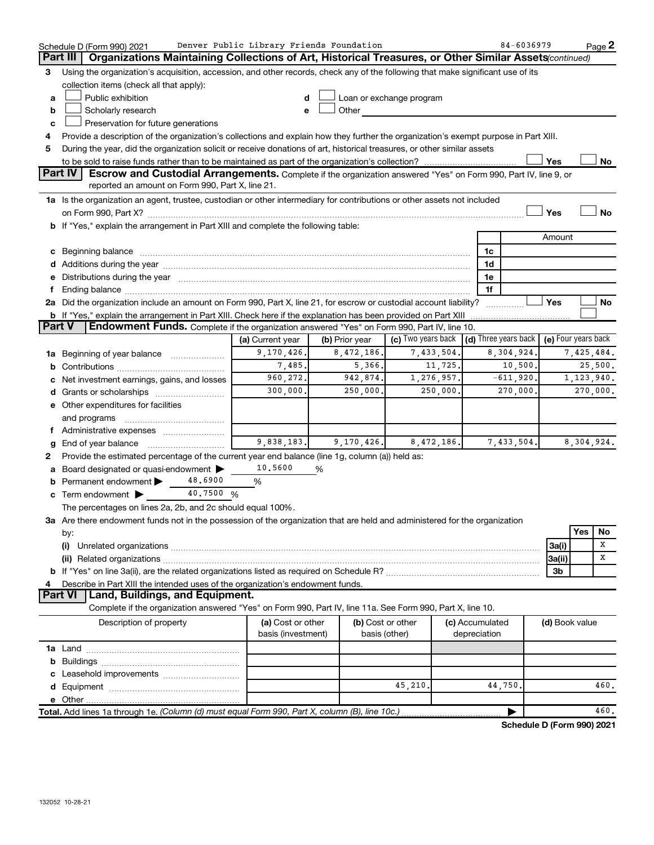|               | Schedule D (Form 990) 2021                                                                                                                                                                                                     | Denver Public Library Friends Foundation |                                    |                          | 84-6036979                                               |                            | Page 2       |
|---------------|--------------------------------------------------------------------------------------------------------------------------------------------------------------------------------------------------------------------------------|------------------------------------------|------------------------------------|--------------------------|----------------------------------------------------------|----------------------------|--------------|
| Part III      | Organizations Maintaining Collections of Art, Historical Treasures, or Other Similar Assets (continued)                                                                                                                        |                                          |                                    |                          |                                                          |                            |              |
| 3             | Using the organization's acquisition, accession, and other records, check any of the following that make significant use of its                                                                                                |                                          |                                    |                          |                                                          |                            |              |
|               | collection items (check all that apply):                                                                                                                                                                                       |                                          |                                    |                          |                                                          |                            |              |
| a             | Public exhibition                                                                                                                                                                                                              | d                                        |                                    | Loan or exchange program |                                                          |                            |              |
| b             | Scholarly research                                                                                                                                                                                                             | е                                        | Other                              |                          |                                                          |                            |              |
| c             | Preservation for future generations                                                                                                                                                                                            |                                          |                                    |                          |                                                          |                            |              |
|               | Provide a description of the organization's collections and explain how they further the organization's exempt purpose in Part XIII.                                                                                           |                                          |                                    |                          |                                                          |                            |              |
| 5             | During the year, did the organization solicit or receive donations of art, historical treasures, or other similar assets                                                                                                       |                                          |                                    |                          |                                                          |                            |              |
|               |                                                                                                                                                                                                                                |                                          |                                    |                          |                                                          | Yes                        | No           |
|               | Part IV<br>Escrow and Custodial Arrangements. Complete if the organization answered "Yes" on Form 990, Part IV, line 9, or<br>reported an amount on Form 990, Part X, line 21.                                                 |                                          |                                    |                          |                                                          |                            |              |
|               | 1a Is the organization an agent, trustee, custodian or other intermediary for contributions or other assets not included                                                                                                       |                                          |                                    |                          |                                                          |                            |              |
|               | on Form 990, Part X? [11] matter contracts and contracts and contracts are contracted as a function of the set of the set of the set of the set of the set of the set of the set of the set of the set of the set of the set o |                                          |                                    |                          |                                                          | Yes                        | <b>No</b>    |
|               | b If "Yes," explain the arrangement in Part XIII and complete the following table:                                                                                                                                             |                                          |                                    |                          |                                                          |                            |              |
|               |                                                                                                                                                                                                                                |                                          |                                    |                          |                                                          | Amount                     |              |
|               | c Beginning balance measurements and the state of the state of the state of the state of the state of the state of the state of the state of the state of the state of the state of the state of the state of the state of the |                                          |                                    |                          | 1c                                                       |                            |              |
|               |                                                                                                                                                                                                                                |                                          |                                    |                          | 1d                                                       |                            |              |
|               | e Distributions during the year manufactured and contain an account of the year manufactured and the year manufactured and the year manufactured and the year manufactured and the year manufactured and the year manufactured |                                          |                                    |                          | 1e                                                       |                            |              |
|               |                                                                                                                                                                                                                                |                                          |                                    |                          | 1f                                                       |                            |              |
|               | 2a Did the organization include an amount on Form 990, Part X, line 21, for escrow or custodial account liability?                                                                                                             |                                          |                                    |                          |                                                          | Yes                        | No           |
|               | <b>b</b> If "Yes," explain the arrangement in Part XIII. Check here if the explanation has been provided on Part XIII                                                                                                          |                                          |                                    |                          |                                                          |                            |              |
| <b>Part V</b> | <b>Endowment Funds.</b> Complete if the organization answered "Yes" on Form 990, Part IV, line 10.                                                                                                                             |                                          |                                    |                          |                                                          |                            |              |
|               |                                                                                                                                                                                                                                | (a) Current year                         | (b) Prior year                     | (c) Two years back       | $\vert$ (d) Three years back $\vert$ (e) Four years back |                            |              |
| 1a            | Beginning of year balance                                                                                                                                                                                                      | 9,170,426.                               | 8,472,186.                         | 7,433,504.               | 8,304,924.                                               |                            | 7,425,484.   |
| b             |                                                                                                                                                                                                                                | 7,485.                                   | 5,366.                             | 11,725.                  | 10,500.                                                  |                            | 25,500.      |
|               | Net investment earnings, gains, and losses                                                                                                                                                                                     | 960,272.                                 | 942,874.                           | 1,276,957.               | $-611,920.$                                              |                            | 1, 123, 940. |
|               |                                                                                                                                                                                                                                | 300,000.                                 | 250,000.                           | 250,000                  | 270,000.                                                 |                            | 270,000.     |
|               | e Other expenditures for facilities                                                                                                                                                                                            |                                          |                                    |                          |                                                          |                            |              |
|               | and programs                                                                                                                                                                                                                   |                                          |                                    |                          |                                                          |                            |              |
|               |                                                                                                                                                                                                                                |                                          |                                    |                          |                                                          |                            |              |
| g             |                                                                                                                                                                                                                                | 9,838,183.                               | 9, 170, 426.                       | 8,472,186.               | 7,433,504.                                               |                            | 8,304,924.   |
| 2             | Provide the estimated percentage of the current year end balance (line 1g, column (a)) held as:                                                                                                                                |                                          |                                    |                          |                                                          |                            |              |
| а             | Board designated or quasi-endowment                                                                                                                                                                                            | 10.5600                                  | %                                  |                          |                                                          |                            |              |
|               | 48.6900<br>Permanent endowment >                                                                                                                                                                                               | %                                        |                                    |                          |                                                          |                            |              |
|               | 40.7500 %<br>c Term endowment $\blacktriangleright$                                                                                                                                                                            |                                          |                                    |                          |                                                          |                            |              |
|               | The percentages on lines 2a, 2b, and 2c should equal 100%.                                                                                                                                                                     |                                          |                                    |                          |                                                          |                            |              |
|               | 3a Are there endowment funds not in the possession of the organization that are held and administered for the organization                                                                                                     |                                          |                                    |                          |                                                          |                            |              |
|               | by:                                                                                                                                                                                                                            |                                          |                                    |                          |                                                          |                            | Yes<br>No    |
|               | (i)                                                                                                                                                                                                                            |                                          |                                    |                          |                                                          | 3a(i)                      | X            |
|               |                                                                                                                                                                                                                                |                                          |                                    |                          |                                                          | 3a(ii)                     | х            |
|               |                                                                                                                                                                                                                                |                                          |                                    |                          |                                                          | 3b                         |              |
|               | Describe in Part XIII the intended uses of the organization's endowment funds.                                                                                                                                                 |                                          |                                    |                          |                                                          |                            |              |
|               | Land, Buildings, and Equipment.<br>Part VI                                                                                                                                                                                     |                                          |                                    |                          |                                                          |                            |              |
|               | Complete if the organization answered "Yes" on Form 990, Part IV, line 11a. See Form 990, Part X, line 10.                                                                                                                     |                                          |                                    |                          |                                                          |                            |              |
|               | Description of property                                                                                                                                                                                                        | (a) Cost or other<br>basis (investment)  | (b) Cost or other<br>basis (other) |                          | (c) Accumulated<br>depreciation                          | (d) Book value             |              |
|               |                                                                                                                                                                                                                                |                                          |                                    |                          |                                                          |                            |              |
|               |                                                                                                                                                                                                                                |                                          |                                    |                          |                                                          |                            |              |
|               |                                                                                                                                                                                                                                |                                          |                                    |                          |                                                          |                            |              |
|               |                                                                                                                                                                                                                                |                                          |                                    | 45,210.                  | 44,750.                                                  |                            | 460.         |
|               |                                                                                                                                                                                                                                |                                          |                                    |                          |                                                          |                            |              |
|               | Total. Add lines 1a through 1e. (Column (d) must equal Form 990, Part X, column (B), line 10c.)                                                                                                                                |                                          |                                    |                          |                                                          |                            | 460.         |
|               |                                                                                                                                                                                                                                |                                          |                                    |                          |                                                          | Schodule D (Form 000) 2021 |              |

**Schedule D (Form 990) 2021**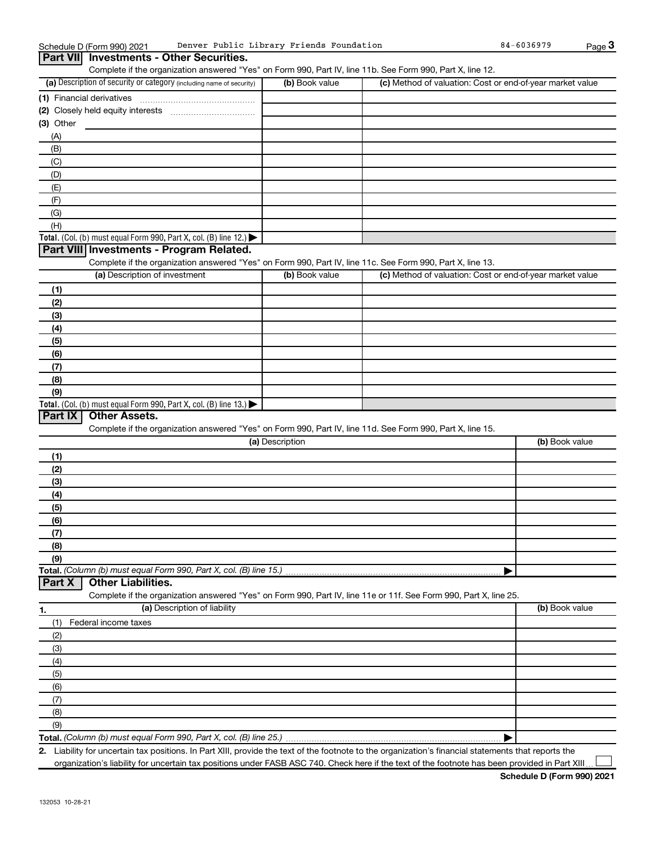| Schedule D (Form | ו 2021 (990 ה | Denver<br>Public .<br>Librarv   | rarv Friends<br>Foundation | $-6036979$<br>84 | Page |
|------------------|---------------|---------------------------------|----------------------------|------------------|------|
| <b>Part VII</b>  |               | Investments - Other Securities. |                            |                  |      |

Complete if the organization answered "Yes" on Form 990, Part IV, line 11b. See Form 990, Part X, line 12.

| (a) Description of security or category (including name of security)                   | (b) Book value | (c) Method of valuation: Cost or end-of-year market value |
|----------------------------------------------------------------------------------------|----------------|-----------------------------------------------------------|
| (1) Financial derivatives                                                              |                |                                                           |
| (2) Closely held equity interests                                                      |                |                                                           |
| $(3)$ Other                                                                            |                |                                                           |
| (A)                                                                                    |                |                                                           |
| (B)                                                                                    |                |                                                           |
| (C)                                                                                    |                |                                                           |
| (D)                                                                                    |                |                                                           |
| (E)                                                                                    |                |                                                           |
| (F)                                                                                    |                |                                                           |
| (G)                                                                                    |                |                                                           |
| (H)                                                                                    |                |                                                           |
| Total. (Col. (b) must equal Form 990, Part X, col. (B) line 12.) $\blacktriangleright$ |                |                                                           |

#### **Part VIII Investments - Program Related.**

Complete if the organization answered "Yes" on Form 990, Part IV, line 11c. See Form 990, Part X, line 13.

| (a) Description of investment                                                           | (b) Book value | (c) Method of valuation: Cost or end-of-year market value |
|-----------------------------------------------------------------------------------------|----------------|-----------------------------------------------------------|
| (1)                                                                                     |                |                                                           |
| (2)                                                                                     |                |                                                           |
| (3)                                                                                     |                |                                                           |
| (4)                                                                                     |                |                                                           |
| (5)                                                                                     |                |                                                           |
| (6)                                                                                     |                |                                                           |
| (7)                                                                                     |                |                                                           |
| (8)                                                                                     |                |                                                           |
| (9)                                                                                     |                |                                                           |
| Total. (Col. (b) must equal Form 990, Part X, col. (B) line $13.$ $\blacktriangleright$ |                |                                                           |

#### **Part IX Other Assets.**

Complete if the organization answered "Yes" on Form 990, Part IV, line 11d. See Form 990, Part X, line 15.

| (a) Description                                                    | (b) Book value |
|--------------------------------------------------------------------|----------------|
| (1)                                                                |                |
| (2)                                                                |                |
| (3)                                                                |                |
| (4)                                                                |                |
| (5)                                                                |                |
| (6)                                                                |                |
| (7)                                                                |                |
| (8)                                                                |                |
| (9)                                                                |                |
| Total. (Column (b) must equal Form 990, Part X, col. (B) line 15.) |                |
| <b>Part X</b>   Other Liabilities.                                 |                |

Complete if the organization answered "Yes" on Form 990, Part IV, line 11e or 11f. See Form 990, Part X, line 25. Description of liability Book value

| 1.  | (a) Description of liability | (b) Book value |
|-----|------------------------------|----------------|
| (1) | Federal income taxes         |                |
| (2) |                              |                |
| (3) |                              |                |
| (4) |                              |                |
| (5) |                              |                |
| (6) |                              |                |
| (7) |                              |                |
| (8) |                              |                |
| (9) |                              |                |
|     |                              |                |

**2.** Liability for uncertain tax positions. In Part XIII, provide the text of the footnote to the organization's financial statements that reports the organization's liability for uncertain tax positions under FASB ASC 740. Check here if the text of the footnote has been provided in Part XIII

 $\perp$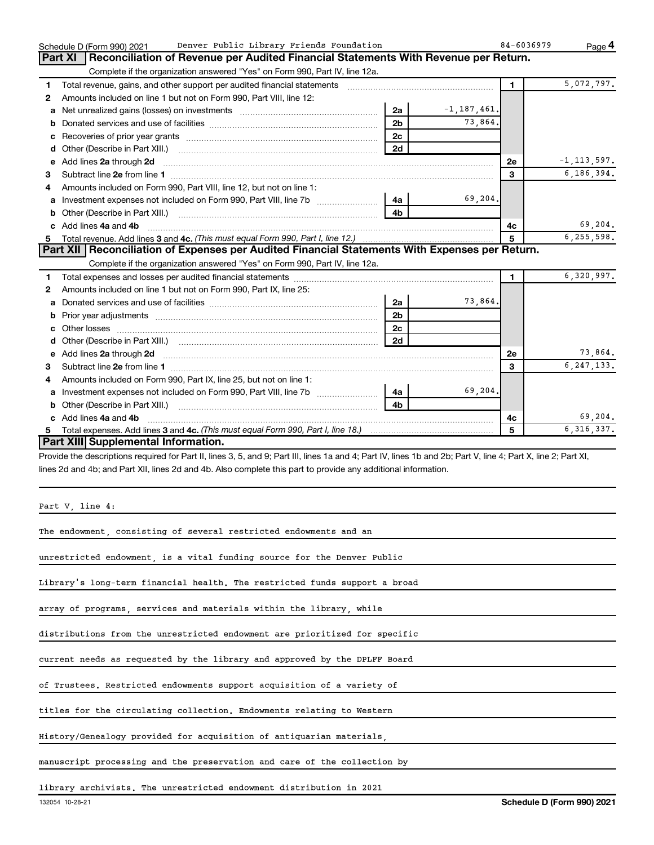|    | Denver Public Library Friends Foundation<br>Schedule D (Form 990) 2021                                                                                                                                                             |                |                 | 84-6036979     | Page 4          |
|----|------------------------------------------------------------------------------------------------------------------------------------------------------------------------------------------------------------------------------------|----------------|-----------------|----------------|-----------------|
|    | Reconciliation of Revenue per Audited Financial Statements With Revenue per Return.<br>Part XI                                                                                                                                     |                |                 |                |                 |
|    | Complete if the organization answered "Yes" on Form 990, Part IV, line 12a.                                                                                                                                                        |                |                 |                |                 |
| 1. | Total revenue, gains, and other support per audited financial statements                                                                                                                                                           |                |                 | $\blacksquare$ | 5,072,797.      |
| 2  | Amounts included on line 1 but not on Form 990, Part VIII, line 12:                                                                                                                                                                |                |                 |                |                 |
| a  |                                                                                                                                                                                                                                    | 2a             | $-1, 187, 461.$ |                |                 |
|    |                                                                                                                                                                                                                                    | 2 <sub>b</sub> | 73,864.         |                |                 |
| c  |                                                                                                                                                                                                                                    | 2 <sub>c</sub> |                 |                |                 |
| d  |                                                                                                                                                                                                                                    | 2d             |                 |                |                 |
| e  | Add lines 2a through 2d                                                                                                                                                                                                            |                |                 | 2e             | $-1, 113, 597.$ |
| 3  |                                                                                                                                                                                                                                    |                |                 | 3              | 6, 186, 394.    |
| 4  | Amounts included on Form 990, Part VIII, line 12, but not on line 1:                                                                                                                                                               |                |                 |                |                 |
| a  |                                                                                                                                                                                                                                    | 4a             | 69,204.         |                |                 |
| b  |                                                                                                                                                                                                                                    | 4b             |                 |                |                 |
| C. | Add lines 4a and 4b                                                                                                                                                                                                                |                |                 | 4с             | 69,204.         |
| 5  |                                                                                                                                                                                                                                    |                |                 | 5              | 6,255,598.      |
|    | Part XII   Reconciliation of Expenses per Audited Financial Statements With Expenses per Return.                                                                                                                                   |                |                 |                |                 |
|    | Complete if the organization answered "Yes" on Form 990, Part IV, line 12a.                                                                                                                                                        |                |                 |                |                 |
| 1  |                                                                                                                                                                                                                                    |                |                 | $\mathbf{1}$   | 6,320,997.      |
| 2  | Amounts included on line 1 but not on Form 990, Part IX, line 25:                                                                                                                                                                  |                |                 |                |                 |
|    |                                                                                                                                                                                                                                    | 2a             | 73,864.         |                |                 |
| b  |                                                                                                                                                                                                                                    | 2 <sub>b</sub> |                 |                |                 |
| C. |                                                                                                                                                                                                                                    | 2с             |                 |                |                 |
| d  |                                                                                                                                                                                                                                    | 2d             |                 |                |                 |
| е  | Add lines 2a through 2d <b>contained a contained a contained a contained a</b> contained a contained a contained a contained a contact a contact a contact a contact a contact a contact a contact a contact a contact a contact a |                |                 | <b>2e</b>      | 73,864.         |
| З  |                                                                                                                                                                                                                                    |                |                 | 3              | 6, 247, 133.    |
| 4  | Amounts included on Form 990, Part IX, line 25, but not on line 1:                                                                                                                                                                 |                |                 |                |                 |
| a  | Investment expenses not included on Form 990, Part VIII, line 7b [                                                                                                                                                                 | 4a             | 69,204.         |                |                 |
| b  |                                                                                                                                                                                                                                    |                |                 |                |                 |
|    | c Add lines 4a and 4b                                                                                                                                                                                                              |                |                 | 4c             | 69, 204.        |
| 5. |                                                                                                                                                                                                                                    |                |                 | 5              | 6, 316, 337.    |
|    | Part XIII Supplemental Information.                                                                                                                                                                                                |                |                 |                |                 |
|    | Provide the descriptions required for Part II, lines 3, 5, and 9; Part III, lines 1a and 4; Part IV, lines 1b and 2b; Part V, line 4; Part X, line 2; Part XI,                                                                     |                |                 |                |                 |
|    | lines 2d and 4b; and Part XII, lines 2d and 4b. Also complete this part to provide any additional information.                                                                                                                     |                |                 |                |                 |

Part V, line 4:

The endowment, consisting of several restricted endowments and an

unrestricted endowment, is a vital funding source for the Denver Public

Library's long-term financial health. The restricted funds support a broad

array of programs, services and materials within the library, while

distributions from the unrestricted endowment are prioritized for specific

current needs as requested by the library and approved by the DPLFF Board

of Trustees. Restricted endowments support acquisition of a variety of

titles for the circulating collection. Endowments relating to Western

History/Genealogy provided for acquisition of antiquarian materials,

manuscript processing and the preservation and care of the collection by

library archivists. The unrestricted endowment distribution in 2021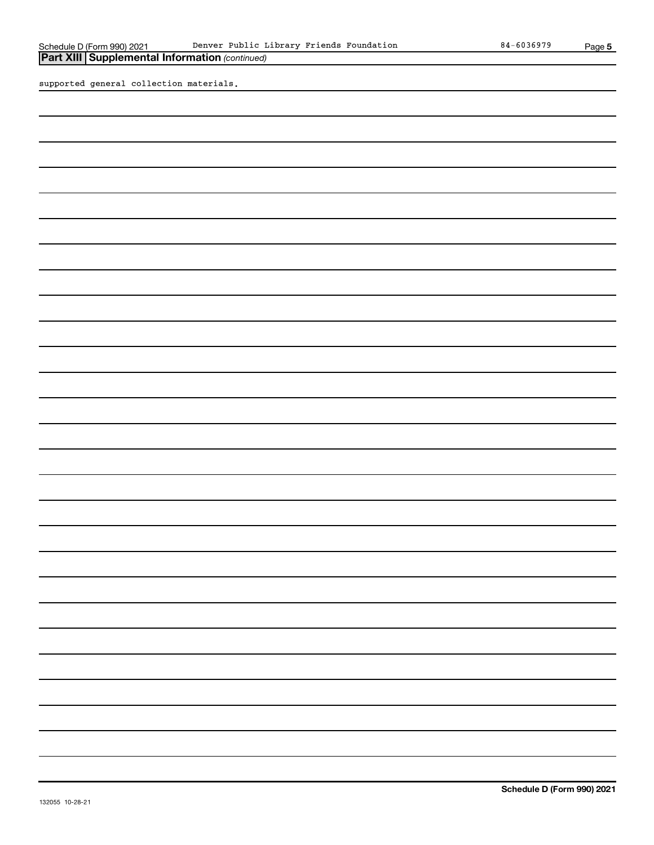**5**

*(continued)* **Part XIII Supplemental Information** 

supported general collection materials.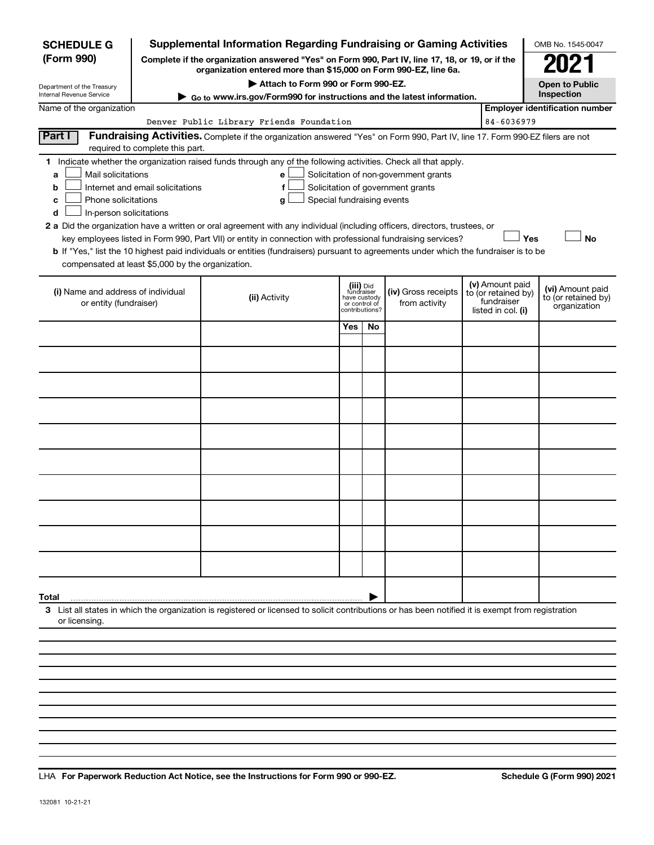| <b>SCHEDULE G</b>                                                                                                                                                          |                                                                                                                                                                     | Supplemental Information Regarding Fundraising or Gaming Activities                                                                                                                                                                                                                                                                                                                                                                                                                                                                                       |                                                                                                                    |    |                                                                            |                                                                            |                                                         | OMB No. 1545-0047 |  |  |
|----------------------------------------------------------------------------------------------------------------------------------------------------------------------------|---------------------------------------------------------------------------------------------------------------------------------------------------------------------|-----------------------------------------------------------------------------------------------------------------------------------------------------------------------------------------------------------------------------------------------------------------------------------------------------------------------------------------------------------------------------------------------------------------------------------------------------------------------------------------------------------------------------------------------------------|--------------------------------------------------------------------------------------------------------------------|----|----------------------------------------------------------------------------|----------------------------------------------------------------------------|---------------------------------------------------------|-------------------|--|--|
| (Form 990)                                                                                                                                                                 | Complete if the organization answered "Yes" on Form 990, Part IV, line 17, 18, or 19, or if the<br>organization entered more than \$15,000 on Form 990-EZ, line 6a. |                                                                                                                                                                                                                                                                                                                                                                                                                                                                                                                                                           |                                                                                                                    |    |                                                                            |                                                                            |                                                         |                   |  |  |
| Department of the Treasury<br>Internal Revenue Service                                                                                                                     | ► Go to www.irs.gov/Form990 for instructions and the latest information.                                                                                            | <b>Open to Public</b><br>Inspection                                                                                                                                                                                                                                                                                                                                                                                                                                                                                                                       |                                                                                                                    |    |                                                                            |                                                                            |                                                         |                   |  |  |
| Name of the organization                                                                                                                                                   |                                                                                                                                                                     | <b>Employer identification number</b>                                                                                                                                                                                                                                                                                                                                                                                                                                                                                                                     |                                                                                                                    |    |                                                                            |                                                                            |                                                         |                   |  |  |
| Denver Public Library Friends Foundation<br>84-6036979                                                                                                                     |                                                                                                                                                                     |                                                                                                                                                                                                                                                                                                                                                                                                                                                                                                                                                           |                                                                                                                    |    |                                                                            |                                                                            |                                                         |                   |  |  |
| Part I<br>Fundraising Activities. Complete if the organization answered "Yes" on Form 990, Part IV, line 17. Form 990-EZ filers are not<br>required to complete this part. |                                                                                                                                                                     |                                                                                                                                                                                                                                                                                                                                                                                                                                                                                                                                                           |                                                                                                                    |    |                                                                            |                                                                            |                                                         |                   |  |  |
| Mail solicitations<br>a<br>b<br>Phone solicitations<br>c<br>In-person solicitations<br>d                                                                                   | Internet and email solicitations                                                                                                                                    | 1 Indicate whether the organization raised funds through any of the following activities. Check all that apply.<br>e<br>f<br>Special fundraising events<br>g<br>2 a Did the organization have a written or oral agreement with any individual (including officers, directors, trustees, or<br>key employees listed in Form 990, Part VII) or entity in connection with professional fundraising services?<br><b>b</b> If "Yes," list the 10 highest paid individuals or entities (fundraisers) pursuant to agreements under which the fundraiser is to be |                                                                                                                    |    | Solicitation of non-government grants<br>Solicitation of government grants |                                                                            |                                                         | Yes<br><b>No</b>  |  |  |
| compensated at least \$5,000 by the organization.                                                                                                                          |                                                                                                                                                                     |                                                                                                                                                                                                                                                                                                                                                                                                                                                                                                                                                           |                                                                                                                    |    |                                                                            |                                                                            |                                                         |                   |  |  |
| (i) Name and address of individual<br>or entity (fundraiser)                                                                                                               |                                                                                                                                                                     | (ii) Activity                                                                                                                                                                                                                                                                                                                                                                                                                                                                                                                                             | (iii) Did<br>fundraiser<br>(iv) Gross receipts<br>have custody<br>from activity<br>or control of<br>contributions? |    |                                                                            | (v) Amount paid<br>to (or retained by)<br>fundraiser<br>listed in col. (i) | (vi) Amount paid<br>to (or retained by)<br>organization |                   |  |  |
|                                                                                                                                                                            |                                                                                                                                                                     |                                                                                                                                                                                                                                                                                                                                                                                                                                                                                                                                                           | Yes                                                                                                                | No |                                                                            |                                                                            |                                                         |                   |  |  |
|                                                                                                                                                                            |                                                                                                                                                                     |                                                                                                                                                                                                                                                                                                                                                                                                                                                                                                                                                           |                                                                                                                    |    |                                                                            |                                                                            |                                                         |                   |  |  |
|                                                                                                                                                                            |                                                                                                                                                                     |                                                                                                                                                                                                                                                                                                                                                                                                                                                                                                                                                           |                                                                                                                    |    |                                                                            |                                                                            |                                                         |                   |  |  |
|                                                                                                                                                                            |                                                                                                                                                                     |                                                                                                                                                                                                                                                                                                                                                                                                                                                                                                                                                           |                                                                                                                    |    |                                                                            |                                                                            |                                                         |                   |  |  |
|                                                                                                                                                                            |                                                                                                                                                                     |                                                                                                                                                                                                                                                                                                                                                                                                                                                                                                                                                           |                                                                                                                    |    |                                                                            |                                                                            |                                                         |                   |  |  |
|                                                                                                                                                                            |                                                                                                                                                                     |                                                                                                                                                                                                                                                                                                                                                                                                                                                                                                                                                           |                                                                                                                    |    |                                                                            |                                                                            |                                                         |                   |  |  |
|                                                                                                                                                                            |                                                                                                                                                                     |                                                                                                                                                                                                                                                                                                                                                                                                                                                                                                                                                           |                                                                                                                    |    |                                                                            |                                                                            |                                                         |                   |  |  |
|                                                                                                                                                                            |                                                                                                                                                                     |                                                                                                                                                                                                                                                                                                                                                                                                                                                                                                                                                           |                                                                                                                    |    |                                                                            |                                                                            |                                                         |                   |  |  |
|                                                                                                                                                                            |                                                                                                                                                                     |                                                                                                                                                                                                                                                                                                                                                                                                                                                                                                                                                           |                                                                                                                    |    |                                                                            |                                                                            |                                                         |                   |  |  |
|                                                                                                                                                                            |                                                                                                                                                                     |                                                                                                                                                                                                                                                                                                                                                                                                                                                                                                                                                           |                                                                                                                    |    |                                                                            |                                                                            |                                                         |                   |  |  |
| Total                                                                                                                                                                      |                                                                                                                                                                     |                                                                                                                                                                                                                                                                                                                                                                                                                                                                                                                                                           |                                                                                                                    |    |                                                                            |                                                                            |                                                         |                   |  |  |
| or licensing.                                                                                                                                                              |                                                                                                                                                                     | 3 List all states in which the organization is registered or licensed to solicit contributions or has been notified it is exempt from registration                                                                                                                                                                                                                                                                                                                                                                                                        |                                                                                                                    |    |                                                                            |                                                                            |                                                         |                   |  |  |
|                                                                                                                                                                            |                                                                                                                                                                     |                                                                                                                                                                                                                                                                                                                                                                                                                                                                                                                                                           |                                                                                                                    |    |                                                                            |                                                                            |                                                         |                   |  |  |
|                                                                                                                                                                            |                                                                                                                                                                     |                                                                                                                                                                                                                                                                                                                                                                                                                                                                                                                                                           |                                                                                                                    |    |                                                                            |                                                                            |                                                         |                   |  |  |
|                                                                                                                                                                            |                                                                                                                                                                     |                                                                                                                                                                                                                                                                                                                                                                                                                                                                                                                                                           |                                                                                                                    |    |                                                                            |                                                                            |                                                         |                   |  |  |

LHA For Paperwork Reduction Act Notice, see the Instructions for Form 990 or 990-EZ. Schedule G (Form 990) 2021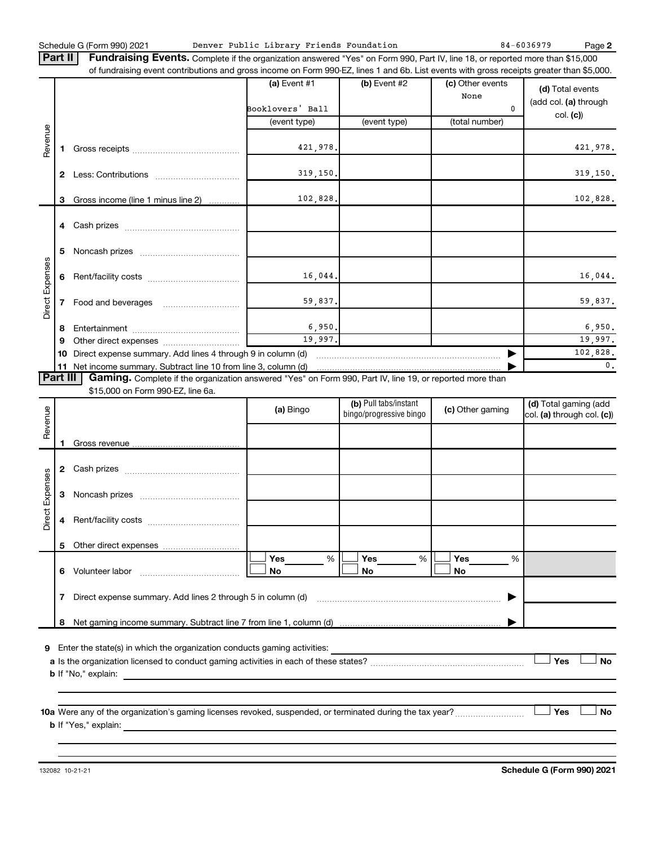Schedule G (Form 990) 2021 Page Denver Public Library Friends Foundation 84-6036979

**2**

Part II | Fundraising Events. Complete if the organization answered "Yes" on Form 990, Part IV, line 18, or reported more than \$15,000 of fundraising event contributions and gross income on Form 990-EZ, lines 1 and 6b. List events with gross receipts greater than \$5,000.

|                        |          |                                                                                                          | $(a)$ Event #1                    | (b) Event #2          | (c) Other events<br>None | (d) Total events                  |
|------------------------|----------|----------------------------------------------------------------------------------------------------------|-----------------------------------|-----------------------|--------------------------|-----------------------------------|
|                        |          |                                                                                                          | Booklovers' Ball                  |                       | $\Omega$                 | (add col. (a) through<br>col. (c) |
|                        |          |                                                                                                          | (event type)                      | (event type)          | (total number)           |                                   |
|                        |          |                                                                                                          |                                   |                       |                          |                                   |
| Revenue                |          |                                                                                                          | 421,978.                          |                       |                          | 421,978.                          |
|                        |          |                                                                                                          | 319, 150.                         |                       |                          | 319, 150.                         |
|                        | 2        |                                                                                                          |                                   |                       |                          |                                   |
|                        | 3        | Gross income (line 1 minus line 2)                                                                       | 102,828.                          |                       |                          | 102,828.                          |
|                        |          |                                                                                                          |                                   |                       |                          |                                   |
|                        | 4        |                                                                                                          |                                   |                       |                          |                                   |
|                        | 5        |                                                                                                          |                                   |                       |                          |                                   |
|                        |          |                                                                                                          |                                   |                       |                          |                                   |
| <b>Direct Expenses</b> | 6        |                                                                                                          | 16,044.                           |                       |                          | 16,044.                           |
|                        |          |                                                                                                          |                                   |                       |                          |                                   |
|                        |          |                                                                                                          | 59,837.                           |                       |                          | 59,837.                           |
|                        |          |                                                                                                          |                                   |                       |                          |                                   |
|                        | 8        |                                                                                                          | 6,950.<br>19,997.                 |                       |                          | 6,950.<br>19,997.                 |
|                        | 9        |                                                                                                          |                                   |                       |                          | 102,828.                          |
|                        | 10       | Direct expense summary. Add lines 4 through 9 in column (d)                                              |                                   |                       |                          | $\mathbf{0}$ .                    |
|                        | Part III |                                                                                                          |                                   |                       |                          |                                   |
|                        |          | Gaming. Complete if the organization answered "Yes" on Form 990, Part IV, line 19, or reported more than |                                   |                       |                          |                                   |
|                        |          | \$15,000 on Form 990-EZ, line 6a.                                                                        |                                   |                       |                          |                                   |
|                        |          |                                                                                                          | $\mathbf{r}$ , where $\mathbf{r}$ | (b) Pull tabs/instant | $\mathbf{r}$             | (d) Total gaming (add             |

| Revenue         |              |                                                             | (a) Bingo                    | (b) Pull tabs/instant<br>bingo/progressive bingo | (c) Other gaming      | (d) Total gaming (add<br>col. (a) through col. (c)) |
|-----------------|--------------|-------------------------------------------------------------|------------------------------|--------------------------------------------------|-----------------------|-----------------------------------------------------|
|                 |              |                                                             |                              |                                                  |                       |                                                     |
|                 | $\mathbf{2}$ |                                                             |                              |                                                  |                       |                                                     |
| Direct Expenses | 3            |                                                             |                              |                                                  |                       |                                                     |
|                 | 4            |                                                             |                              |                                                  |                       |                                                     |
|                 | 5            |                                                             |                              |                                                  |                       |                                                     |
|                 | 6            |                                                             | <b>Yes</b><br>%<br><b>No</b> | Yes<br>%<br><b>No</b>                            | Yes<br>%<br><b>No</b> |                                                     |
|                 |              | Direct expense summary. Add lines 2 through 5 in column (d) |                              |                                                  |                       |                                                     |
|                 | 8            |                                                             |                              |                                                  |                       |                                                     |
| 9               |              |                                                             |                              |                                                  |                       | Yes<br><b>No</b>                                    |
|                 |              | <b>b</b> If "Yes," explain:                                 |                              |                                                  |                       | Yes<br><b>No</b>                                    |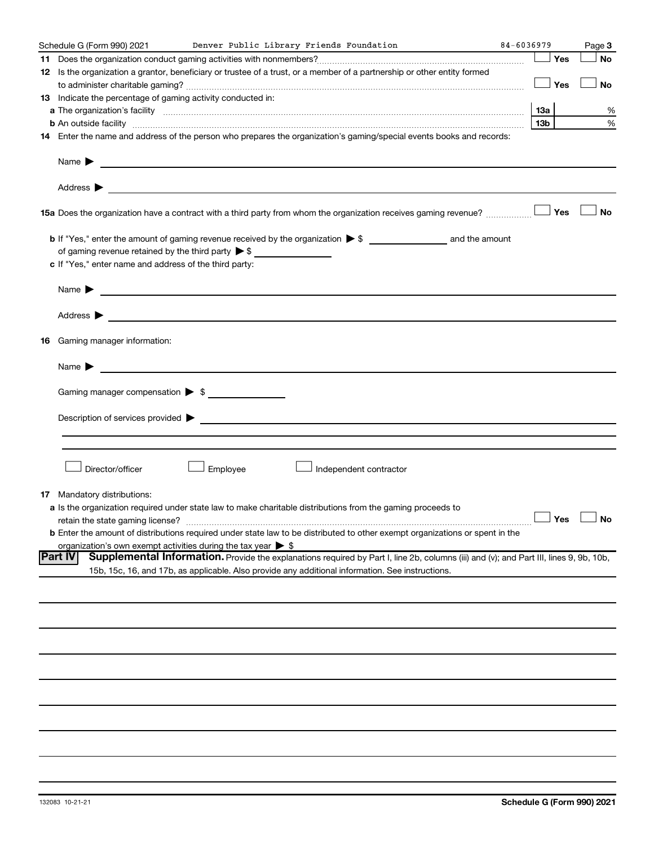| Schedule G (Form 990) 2021                                                   |          | Denver Public Library Friends Foundation                                                                                                                                                                                       | 84-6036979 |                 | Page 3    |
|------------------------------------------------------------------------------|----------|--------------------------------------------------------------------------------------------------------------------------------------------------------------------------------------------------------------------------------|------------|-----------------|-----------|
|                                                                              |          |                                                                                                                                                                                                                                |            | Yes             | <b>No</b> |
|                                                                              |          | 12 Is the organization a grantor, beneficiary or trustee of a trust, or a member of a partnership or other entity formed                                                                                                       |            |                 |           |
|                                                                              |          |                                                                                                                                                                                                                                |            | Yes             | No        |
| 13 Indicate the percentage of gaming activity conducted in:                  |          |                                                                                                                                                                                                                                |            |                 |           |
|                                                                              |          |                                                                                                                                                                                                                                |            | 13a             | %         |
|                                                                              |          |                                                                                                                                                                                                                                |            | 13 <sub>b</sub> | %         |
|                                                                              |          | 14 Enter the name and address of the person who prepares the organization's gaming/special events books and records:                                                                                                           |            |                 |           |
|                                                                              |          |                                                                                                                                                                                                                                |            |                 |           |
|                                                                              |          |                                                                                                                                                                                                                                |            |                 |           |
|                                                                              |          | 15a Does the organization have a contract with a third party from whom the organization receives gaming revenue?                                                                                                               |            | Yes             | No        |
|                                                                              |          |                                                                                                                                                                                                                                |            |                 |           |
|                                                                              |          |                                                                                                                                                                                                                                |            |                 |           |
| of gaming revenue retained by the third party $\triangleright$ \$            |          |                                                                                                                                                                                                                                |            |                 |           |
| c If "Yes," enter name and address of the third party:                       |          |                                                                                                                                                                                                                                |            |                 |           |
| Name $\blacktriangleright$ $\lrcorner$                                       |          |                                                                                                                                                                                                                                |            |                 |           |
|                                                                              |          |                                                                                                                                                                                                                                |            |                 |           |
|                                                                              |          |                                                                                                                                                                                                                                |            |                 |           |
| 16 Gaming manager information:                                               |          |                                                                                                                                                                                                                                |            |                 |           |
| Name $\sum$                                                                  |          |                                                                                                                                                                                                                                |            |                 |           |
|                                                                              |          |                                                                                                                                                                                                                                |            |                 |           |
| Gaming manager compensation > \$                                             |          |                                                                                                                                                                                                                                |            |                 |           |
|                                                                              |          |                                                                                                                                                                                                                                |            |                 |           |
|                                                                              |          | Description of services provided > example and the contract of the services provided > example and the contract of the contract of the contract of the contract of the contract of the contract of the contract of the contrac |            |                 |           |
|                                                                              |          |                                                                                                                                                                                                                                |            |                 |           |
|                                                                              |          |                                                                                                                                                                                                                                |            |                 |           |
| Director/officer                                                             | Employee | Independent contractor                                                                                                                                                                                                         |            |                 |           |
| <b>17</b> Mandatory distributions:                                           |          |                                                                                                                                                                                                                                |            |                 |           |
|                                                                              |          | a Is the organization required under state law to make charitable distributions from the gaming proceeds to                                                                                                                    |            |                 |           |
| retain the state gaming license?                                             |          | $\Box$ Yes $\Box$ No                                                                                                                                                                                                           |            |                 |           |
|                                                                              |          | <b>b</b> Enter the amount of distributions required under state law to be distributed to other exempt organizations or spent in the                                                                                            |            |                 |           |
| organization's own exempt activities during the tax year $\triangleright$ \$ |          |                                                                                                                                                                                                                                |            |                 |           |
| Part IV                                                                      |          | Supplemental Information. Provide the explanations required by Part I, line 2b, columns (iii) and (v); and Part III, lines 9, 9b, 10b,                                                                                         |            |                 |           |
|                                                                              |          | 15b, 15c, 16, and 17b, as applicable. Also provide any additional information. See instructions.                                                                                                                               |            |                 |           |
|                                                                              |          |                                                                                                                                                                                                                                |            |                 |           |
|                                                                              |          |                                                                                                                                                                                                                                |            |                 |           |
|                                                                              |          |                                                                                                                                                                                                                                |            |                 |           |
|                                                                              |          |                                                                                                                                                                                                                                |            |                 |           |
|                                                                              |          |                                                                                                                                                                                                                                |            |                 |           |
|                                                                              |          |                                                                                                                                                                                                                                |            |                 |           |
|                                                                              |          |                                                                                                                                                                                                                                |            |                 |           |
|                                                                              |          |                                                                                                                                                                                                                                |            |                 |           |
|                                                                              |          |                                                                                                                                                                                                                                |            |                 |           |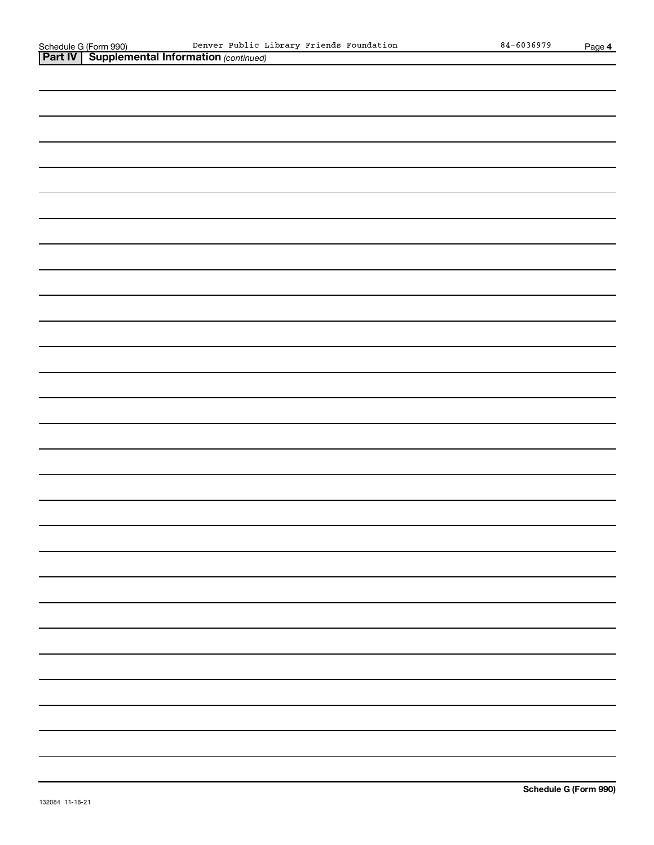| Schedule G (Form 990) Denver Public L<br>Part IV   Supplemental Information (continued) | Denver Public Library Friends Foundation | $84 - 6036979$ | Page 4 |
|-----------------------------------------------------------------------------------------|------------------------------------------|----------------|--------|
|                                                                                         |                                          |                |        |
|                                                                                         |                                          |                |        |
|                                                                                         |                                          |                |        |
|                                                                                         |                                          |                |        |
|                                                                                         |                                          |                |        |
|                                                                                         |                                          |                |        |
|                                                                                         |                                          |                |        |
|                                                                                         |                                          |                |        |
|                                                                                         |                                          |                |        |
|                                                                                         |                                          |                |        |
|                                                                                         |                                          |                |        |
|                                                                                         |                                          |                |        |
|                                                                                         |                                          |                |        |
|                                                                                         |                                          |                |        |
|                                                                                         |                                          |                |        |
|                                                                                         |                                          |                |        |
|                                                                                         |                                          |                |        |
|                                                                                         |                                          |                |        |
|                                                                                         |                                          |                |        |
|                                                                                         |                                          |                |        |
|                                                                                         |                                          |                |        |
|                                                                                         |                                          |                |        |
|                                                                                         |                                          |                |        |
|                                                                                         |                                          |                |        |
|                                                                                         |                                          |                |        |
|                                                                                         |                                          |                |        |
|                                                                                         |                                          |                |        |
|                                                                                         |                                          |                |        |
|                                                                                         |                                          |                |        |
|                                                                                         |                                          |                |        |
|                                                                                         |                                          |                |        |
|                                                                                         |                                          |                |        |
|                                                                                         |                                          |                |        |
|                                                                                         |                                          |                |        |
|                                                                                         |                                          |                |        |
|                                                                                         |                                          |                |        |
|                                                                                         |                                          |                |        |
|                                                                                         |                                          |                |        |
|                                                                                         |                                          |                |        |
|                                                                                         |                                          |                |        |
|                                                                                         |                                          |                |        |
|                                                                                         |                                          |                |        |
|                                                                                         |                                          |                |        |
|                                                                                         |                                          |                |        |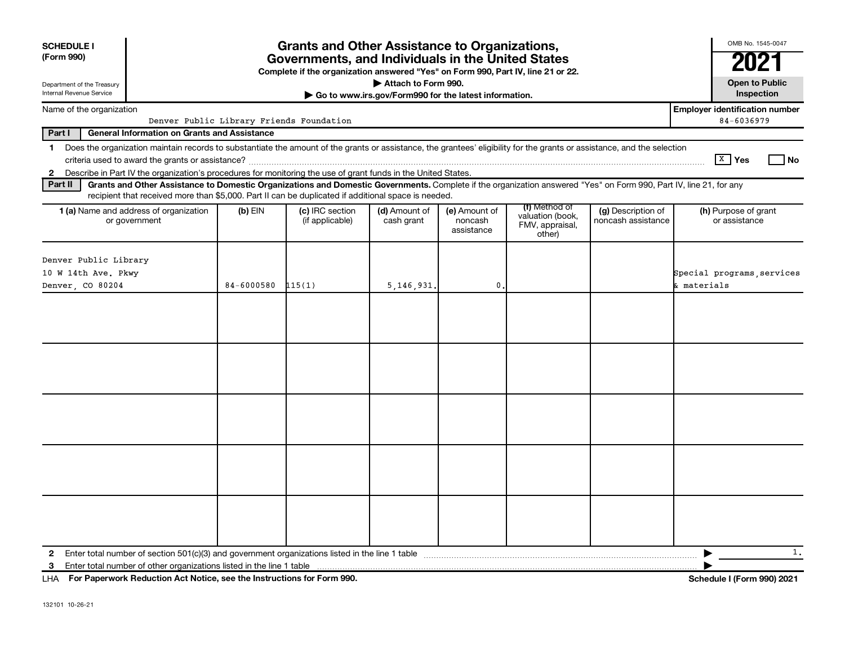| <b>SCHEDULE I</b><br>(Form 990)                                                   | <b>Grants and Other Assistance to Organizations,</b><br>Governments, and Individuals in the United States<br>Complete if the organization answered "Yes" on Form 990, Part IV, line 21 or 22. |            |                                                                                                               |                             |                                        |                                                                |                                                                                                                                                                          |                                                     |  |
|-----------------------------------------------------------------------------------|-----------------------------------------------------------------------------------------------------------------------------------------------------------------------------------------------|------------|---------------------------------------------------------------------------------------------------------------|-----------------------------|----------------------------------------|----------------------------------------------------------------|--------------------------------------------------------------------------------------------------------------------------------------------------------------------------|-----------------------------------------------------|--|
| Department of the Treasury                                                        |                                                                                                                                                                                               |            |                                                                                                               | Attach to Form 990.         |                                        |                                                                |                                                                                                                                                                          | <b>Open to Public</b>                               |  |
| Internal Revenue Service<br>Go to www.irs.gov/Form990 for the latest information. |                                                                                                                                                                                               |            |                                                                                                               |                             |                                        |                                                                |                                                                                                                                                                          |                                                     |  |
| Name of the organization                                                          |                                                                                                                                                                                               |            | Denver Public Library Friends Foundation                                                                      |                             |                                        |                                                                |                                                                                                                                                                          | <b>Employer identification number</b><br>84-6036979 |  |
| Part I                                                                            | <b>General Information on Grants and Assistance</b>                                                                                                                                           |            |                                                                                                               |                             |                                        |                                                                |                                                                                                                                                                          |                                                     |  |
| $\mathbf{1}$<br>$\overline{2}$                                                    |                                                                                                                                                                                               |            | Describe in Part IV the organization's procedures for monitoring the use of grant funds in the United States. |                             |                                        |                                                                | Does the organization maintain records to substantiate the amount of the grants or assistance, the grantees' eligibility for the grants or assistance, and the selection | $X$ Yes<br>l No                                     |  |
| Part II                                                                           |                                                                                                                                                                                               |            | recipient that received more than \$5,000. Part II can be duplicated if additional space is needed.           |                             |                                        |                                                                | Grants and Other Assistance to Domestic Organizations and Domestic Governments. Complete if the organization answered "Yes" on Form 990, Part IV, line 21, for any       |                                                     |  |
| 1 (a) Name and address of organization<br>or government                           |                                                                                                                                                                                               | $(b)$ EIN  | (c) IRC section<br>(if applicable)                                                                            | (d) Amount of<br>cash grant | (e) Amount of<br>noncash<br>assistance | (f) Method of<br>valuation (book,<br>FMV, appraisal,<br>other) | (g) Description of<br>noncash assistance                                                                                                                                 | (h) Purpose of grant<br>or assistance               |  |
| Denver Public Library<br>10 W 14th Ave. Pkwy<br>Denver, CO 80204                  |                                                                                                                                                                                               | 84-6000580 | 115(1)                                                                                                        | 5,146,931.                  | $\mathbf{0}$                           |                                                                |                                                                                                                                                                          | Special programs services<br>& materials            |  |
|                                                                                   |                                                                                                                                                                                               |            |                                                                                                               |                             |                                        |                                                                |                                                                                                                                                                          |                                                     |  |
|                                                                                   |                                                                                                                                                                                               |            |                                                                                                               |                             |                                        |                                                                |                                                                                                                                                                          |                                                     |  |
| $\mathbf{2}$                                                                      |                                                                                                                                                                                               |            |                                                                                                               |                             |                                        |                                                                |                                                                                                                                                                          | 1.<br>▶                                             |  |
| Enter total number of other organizations listed in the line 1 table<br>3         |                                                                                                                                                                                               |            |                                                                                                               |                             |                                        |                                                                |                                                                                                                                                                          |                                                     |  |

**For Paperwork Reduction Act Notice, see the Instructions for Form 990. Schedule I (Form 990) 2021** LHA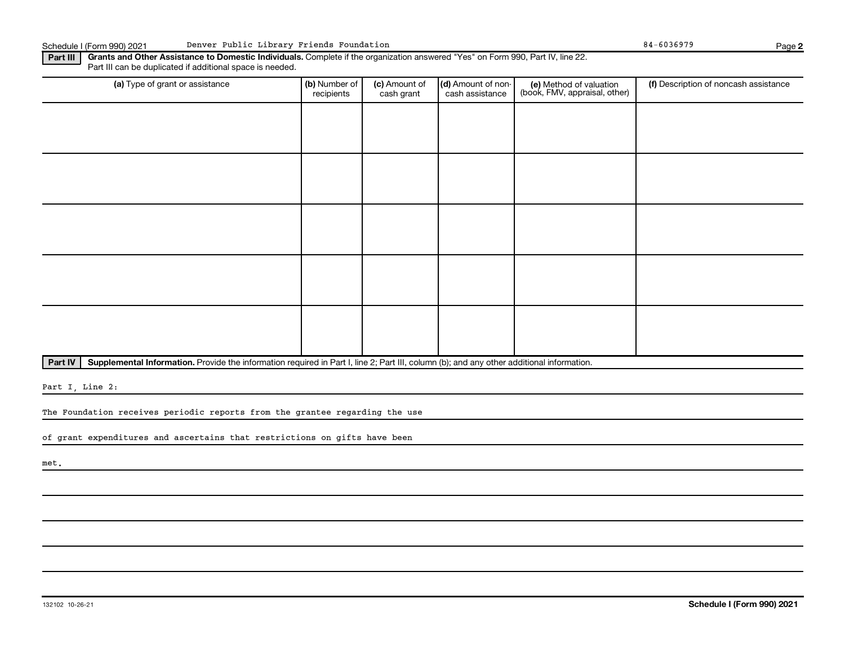Schedule I (Form 990) 2021 Denver Public Library Friends Foundation **84-6036979** 84-6036979 Page

**2**

**Part III | Grants and Other Assistance to Domestic Individuals.** Complete if the organization answered "Yes" on Form 990, Part IV, line 22. Part III can be duplicated if additional space is needed.

| (a) Type of grant or assistance | (b) Number of<br>recipients | (c) Amount of<br>cash grant | (d) Amount of non-<br>cash assistance | (e) Method of valuation<br>(book, FMV, appraisal, other) | (f) Description of noncash assistance |
|---------------------------------|-----------------------------|-----------------------------|---------------------------------------|----------------------------------------------------------|---------------------------------------|
|                                 |                             |                             |                                       |                                                          |                                       |
|                                 |                             |                             |                                       |                                                          |                                       |
|                                 |                             |                             |                                       |                                                          |                                       |
|                                 |                             |                             |                                       |                                                          |                                       |
|                                 |                             |                             |                                       |                                                          |                                       |
|                                 |                             |                             |                                       |                                                          |                                       |
|                                 |                             |                             |                                       |                                                          |                                       |
|                                 |                             |                             |                                       |                                                          |                                       |
|                                 |                             |                             |                                       |                                                          |                                       |
|                                 |                             |                             |                                       |                                                          |                                       |

Part IV | Supplemental Information. Provide the information required in Part I, line 2; Part III, column (b); and any other additional information.

Part I, Line 2:

The Foundation receives periodic reports from the grantee regarding the use

of grant expenditures and ascertains that restrictions on gifts have been

met.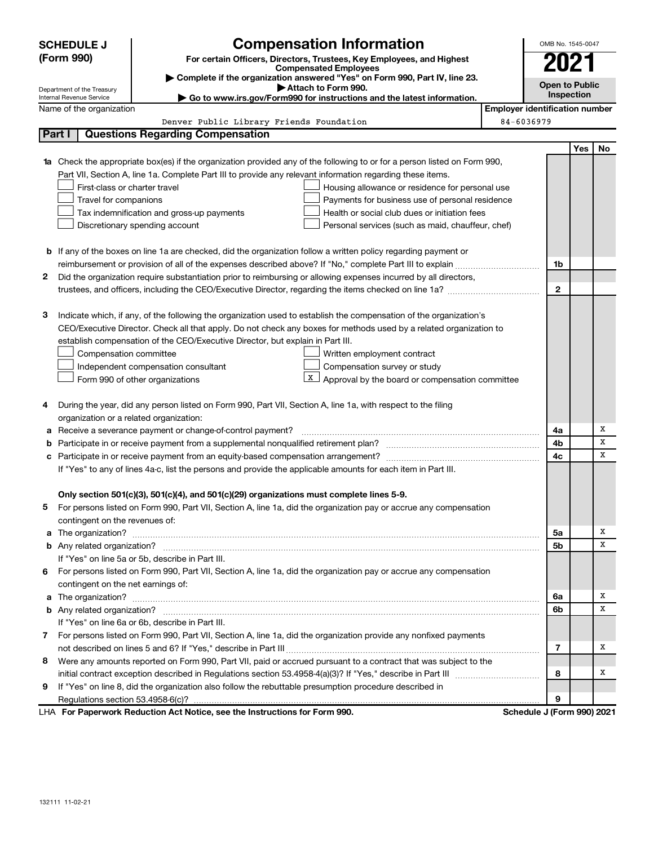|              | <b>Compensation Information</b><br><b>SCHEDULE J</b>                                                                             |            | OMB No. 1545-0047                     |           |  |  |
|--------------|----------------------------------------------------------------------------------------------------------------------------------|------------|---------------------------------------|-----------|--|--|
|              | (Form 990)<br>For certain Officers, Directors, Trustees, Key Employees, and Highest                                              |            |                                       |           |  |  |
|              | <b>Compensated Employees</b><br>Complete if the organization answered "Yes" on Form 990, Part IV, line 23.                       |            |                                       |           |  |  |
|              | Attach to Form 990.<br>Department of the Treasury                                                                                |            | <b>Open to Public</b><br>Inspection   |           |  |  |
|              | Go to www.irs.gov/Form990 for instructions and the latest information.<br>Internal Revenue Service                               |            |                                       |           |  |  |
|              | Name of the organization                                                                                                         |            | <b>Employer identification number</b> |           |  |  |
|              | Denver Public Library Friends Foundation                                                                                         | 84-6036979 |                                       |           |  |  |
|              | Part I<br><b>Questions Regarding Compensation</b>                                                                                |            |                                       |           |  |  |
|              |                                                                                                                                  |            |                                       | Yes<br>No |  |  |
|              | <b>1a</b> Check the appropriate box(es) if the organization provided any of the following to or for a person listed on Form 990, |            |                                       |           |  |  |
|              | Part VII, Section A, line 1a. Complete Part III to provide any relevant information regarding these items.                       |            |                                       |           |  |  |
|              | First-class or charter travel<br>Housing allowance or residence for personal use                                                 |            |                                       |           |  |  |
|              | Travel for companions<br>Payments for business use of personal residence                                                         |            |                                       |           |  |  |
|              | Tax indemnification and gross-up payments<br>Health or social club dues or initiation fees                                       |            |                                       |           |  |  |
|              | Discretionary spending account<br>Personal services (such as maid, chauffeur, chef)                                              |            |                                       |           |  |  |
|              | <b>b</b> If any of the boxes on line 1a are checked, did the organization follow a written policy regarding payment or           |            |                                       |           |  |  |
|              |                                                                                                                                  |            | 1b                                    |           |  |  |
| $\mathbf{2}$ | Did the organization require substantiation prior to reimbursing or allowing expenses incurred by all directors,                 |            |                                       |           |  |  |
|              |                                                                                                                                  |            | $\mathbf{2}$                          |           |  |  |
|              |                                                                                                                                  |            |                                       |           |  |  |
| з            | Indicate which, if any, of the following the organization used to establish the compensation of the organization's               |            |                                       |           |  |  |
|              | CEO/Executive Director. Check all that apply. Do not check any boxes for methods used by a related organization to               |            |                                       |           |  |  |
|              | establish compensation of the CEO/Executive Director, but explain in Part III.                                                   |            |                                       |           |  |  |
|              | Compensation committee<br>Written employment contract                                                                            |            |                                       |           |  |  |
|              | Compensation survey or study<br>Independent compensation consultant                                                              |            |                                       |           |  |  |
|              | $\mathbf{X}$<br>Approval by the board or compensation committee<br>Form 990 of other organizations                               |            |                                       |           |  |  |
|              |                                                                                                                                  |            |                                       |           |  |  |
| 4            | During the year, did any person listed on Form 990, Part VII, Section A, line 1a, with respect to the filing                     |            |                                       |           |  |  |
|              | organization or a related organization:                                                                                          |            |                                       |           |  |  |
| а            | Receive a severance payment or change-of-control payment?                                                                        |            | 4a                                    | Х         |  |  |
| b            |                                                                                                                                  |            | 4b                                    | х         |  |  |
| c            |                                                                                                                                  |            | 4c                                    | х         |  |  |
|              | If "Yes" to any of lines 4a-c, list the persons and provide the applicable amounts for each item in Part III.                    |            |                                       |           |  |  |
|              |                                                                                                                                  |            |                                       |           |  |  |
|              |                                                                                                                                  |            |                                       |           |  |  |
|              | Only section 501(c)(3), 501(c)(4), and 501(c)(29) organizations must complete lines 5-9.                                         |            |                                       |           |  |  |
|              | For persons listed on Form 990, Part VII, Section A, line 1a, did the organization pay or accrue any compensation                |            |                                       |           |  |  |
|              | contingent on the revenues of:                                                                                                   |            |                                       |           |  |  |
|              |                                                                                                                                  |            | 5a                                    | х         |  |  |
|              | a The organization? <b>Entitation</b> and the organization?                                                                      |            | 5b                                    | x         |  |  |
|              | If "Yes" on line 5a or 5b, describe in Part III.                                                                                 |            |                                       |           |  |  |
| 6            | For persons listed on Form 990, Part VII, Section A, line 1a, did the organization pay or accrue any compensation                |            |                                       |           |  |  |
|              | contingent on the net earnings of:                                                                                               |            |                                       |           |  |  |
|              | a The organization? <b>Entitation</b> and the organization?                                                                      |            | 6a                                    | х         |  |  |
|              |                                                                                                                                  |            | 6b                                    | x         |  |  |
|              | If "Yes" on line 6a or 6b, describe in Part III.                                                                                 |            |                                       |           |  |  |
|              | 7 For persons listed on Form 990, Part VII, Section A, line 1a, did the organization provide any nonfixed payments               |            |                                       |           |  |  |
|              |                                                                                                                                  |            | 7                                     | х         |  |  |
| 8            | Were any amounts reported on Form 990, Part VII, paid or accrued pursuant to a contract that was subject to the                  |            |                                       |           |  |  |
|              |                                                                                                                                  |            | 8                                     | x         |  |  |
| 9            | If "Yes" on line 8, did the organization also follow the rebuttable presumption procedure described in                           |            | 9                                     |           |  |  |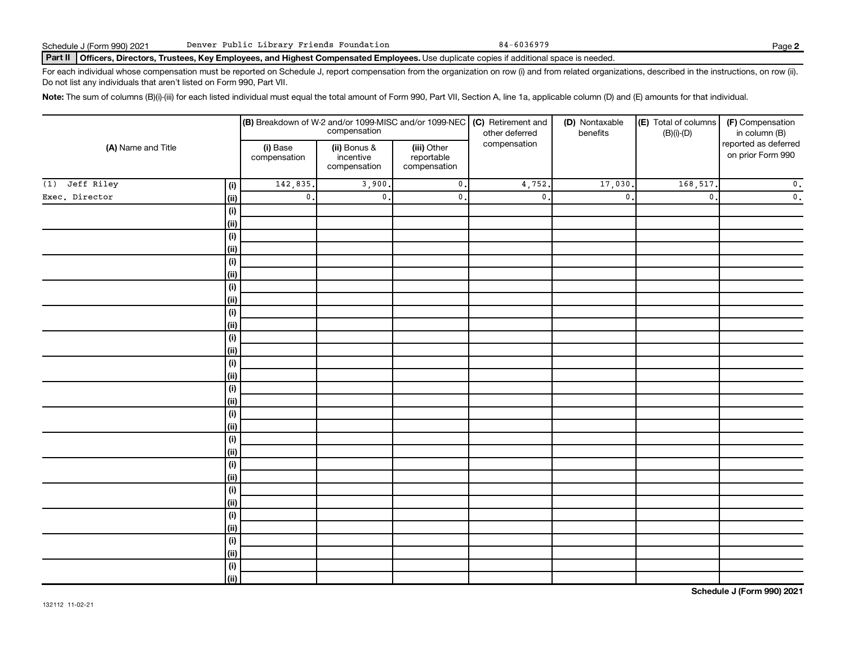#### Part II | Officers, Directors, Trustees, Key Employees, and Highest Compensated Employees. Use duplicate copies if additional space is needed.

For each individual whose compensation must be reported on Schedule J, report compensation from the organization on row (i) and from related organizations, described in the instructions, on row (ii). Do not list any individuals that aren't listed on Form 990, Part VII.

Note: The sum of columns (B)(i)-(iii) for each listed individual must equal the total amount of Form 990, Part VII, Section A, line 1a, applicable column (D) and (E) amounts for that individual.

| (A) Name and Title |                |                          |                                                                                                        |                           | <b>(B)</b> Breakdown of W-2 and/or 1099-MISC and/or 1099-NEC <b>(C)</b> Retirement and<br>compensation of the deferred<br>other deferred | (D) Nontaxable<br>benefits | (E) Total of columns<br>$(B)(i)$ - $(D)$  | (F) Compensation<br>in column (B) |  |
|--------------------|----------------|--------------------------|--------------------------------------------------------------------------------------------------------|---------------------------|------------------------------------------------------------------------------------------------------------------------------------------|----------------------------|-------------------------------------------|-----------------------------------|--|
|                    |                | (i) Base<br>compensation | compensation<br>(iii) Other<br>(ii) Bonus &<br>incentive<br>reportable<br>compensation<br>compensation |                           |                                                                                                                                          |                            | reported as deferred<br>on prior Form 990 |                                   |  |
| (1) Jeff Riley     | (i)            | 142,835.                 | 3,900.                                                                                                 | $\mathbf 0$ .             | 4,752                                                                                                                                    | 17,030.                    | 168,517                                   | $\mathbf 0$ .                     |  |
| Exec. Director     | (ii)           | $\mathbf{0}$ .           | $\overline{\mathbf{0}}$ .                                                                              | $\overline{\mathbf{0}}$ . | $\mathfrak o$ .                                                                                                                          | $\mathbf{0}$               | $\mathbf{0}$ .                            | $\overline{\mathbf{0}}$ .         |  |
|                    | (i)            |                          |                                                                                                        |                           |                                                                                                                                          |                            |                                           |                                   |  |
|                    | (ii)           |                          |                                                                                                        |                           |                                                                                                                                          |                            |                                           |                                   |  |
|                    | $(\mathsf{i})$ |                          |                                                                                                        |                           |                                                                                                                                          |                            |                                           |                                   |  |
|                    | $\vert$ (ii)   |                          |                                                                                                        |                           |                                                                                                                                          |                            |                                           |                                   |  |
|                    | $(\sf{i})$     |                          |                                                                                                        |                           |                                                                                                                                          |                            |                                           |                                   |  |
|                    | (ii)           |                          |                                                                                                        |                           |                                                                                                                                          |                            |                                           |                                   |  |
|                    | (i)            |                          |                                                                                                        |                           |                                                                                                                                          |                            |                                           |                                   |  |
|                    | (ii)           |                          |                                                                                                        |                           |                                                                                                                                          |                            |                                           |                                   |  |
|                    | $(\sf{i})$     |                          |                                                                                                        |                           |                                                                                                                                          |                            |                                           |                                   |  |
|                    | (ii)           |                          |                                                                                                        |                           |                                                                                                                                          |                            |                                           |                                   |  |
|                    | $(\sf{i})$     |                          |                                                                                                        |                           |                                                                                                                                          |                            |                                           |                                   |  |
|                    | (ii)           |                          |                                                                                                        |                           |                                                                                                                                          |                            |                                           |                                   |  |
|                    | (i)            |                          |                                                                                                        |                           |                                                                                                                                          |                            |                                           |                                   |  |
|                    | (ii)           |                          |                                                                                                        |                           |                                                                                                                                          |                            |                                           |                                   |  |
|                    | (i)            |                          |                                                                                                        |                           |                                                                                                                                          |                            |                                           |                                   |  |
|                    | (ii)           |                          |                                                                                                        |                           |                                                                                                                                          |                            |                                           |                                   |  |
|                    | (i)<br>(ii)    |                          |                                                                                                        |                           |                                                                                                                                          |                            |                                           |                                   |  |
|                    | (i)            |                          |                                                                                                        |                           |                                                                                                                                          |                            |                                           |                                   |  |
|                    | (ii)           |                          |                                                                                                        |                           |                                                                                                                                          |                            |                                           |                                   |  |
|                    | (i)            |                          |                                                                                                        |                           |                                                                                                                                          |                            |                                           |                                   |  |
|                    | (ii)           |                          |                                                                                                        |                           |                                                                                                                                          |                            |                                           |                                   |  |
|                    | (i)            |                          |                                                                                                        |                           |                                                                                                                                          |                            |                                           |                                   |  |
|                    | (i)            |                          |                                                                                                        |                           |                                                                                                                                          |                            |                                           |                                   |  |
|                    | (i)            |                          |                                                                                                        |                           |                                                                                                                                          |                            |                                           |                                   |  |
|                    | (ii)           |                          |                                                                                                        |                           |                                                                                                                                          |                            |                                           |                                   |  |
|                    | (i)            |                          |                                                                                                        |                           |                                                                                                                                          |                            |                                           |                                   |  |
|                    | (ii)           |                          |                                                                                                        |                           |                                                                                                                                          |                            |                                           |                                   |  |
|                    | (i)            |                          |                                                                                                        |                           |                                                                                                                                          |                            |                                           |                                   |  |
|                    | (ii)           |                          |                                                                                                        |                           |                                                                                                                                          |                            |                                           |                                   |  |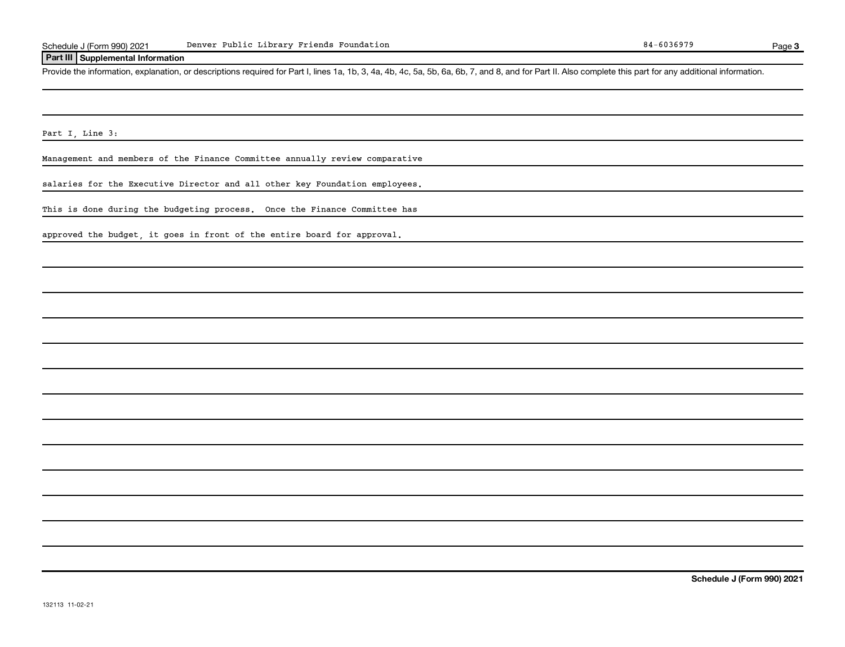#### **Part III Supplemental Information**

Provide the information, explanation, or descriptions required for Part I, lines 1a, 1b, 3, 4a, 4b, 4c, 5a, 5b, 6a, 6b, 7, and 8, and for Part II. Also complete this part for any additional information.

Part I, Line 3:

Management and members of the Finance Committee annually review comparative

salaries for the Executive Director and all other key Foundation employees.

This is done during the budgeting process. Once the Finance Committee has

approved the budget, it goes in front of the entire board for approval.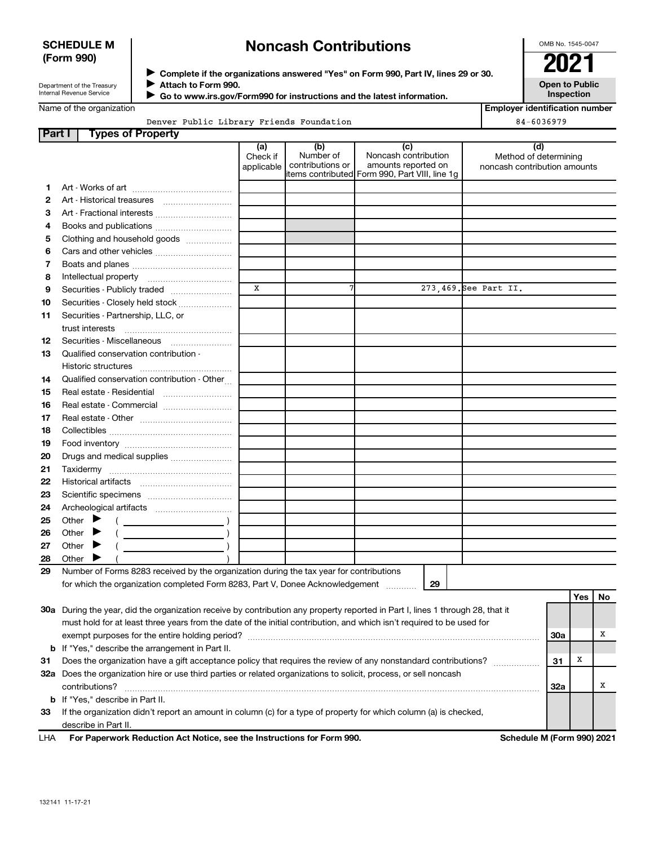#### **SCHEDULE M (Form 990)**

## **Noncash Contributions**

OMB No. 1545-0047

Department of the Treasury Internal Revenue Service

◆ Complete if the organizations answered "Yes" on Form 990, Part IV, lines 29 or 30.<br>▶ Complete if the organizations answered "Yes" on Form 990, Part IV, lines 29 or 30. **Attach to Form 990.**  $\blacktriangleright$ 

 **Go to www.irs.gov/Form990 for instructions and the latest information.**

**Open to Public Inspection**

|  | Name of the organization |
|--|--------------------------|
|--|--------------------------|

 $\blacktriangleright$ 

Denver Public Library Friends Foundation 84-6036979

| <b>Employer identification number</b> |  |
|---------------------------------------|--|
| 01 COOCOTO                            |  |

| Part I | <b>Types of Property</b>                                                                                                       |                               |                                      |                                                                                                      |                                                              |            |     |    |
|--------|--------------------------------------------------------------------------------------------------------------------------------|-------------------------------|--------------------------------------|------------------------------------------------------------------------------------------------------|--------------------------------------------------------------|------------|-----|----|
|        |                                                                                                                                | (a)<br>Check if<br>applicable | (b)<br>Number of<br>contributions or | (c)<br>Noncash contribution<br>amounts reported on<br>items contributed Form 990, Part VIII, line 1g | (d)<br>Method of determining<br>noncash contribution amounts |            |     |    |
| 1.     |                                                                                                                                |                               |                                      |                                                                                                      |                                                              |            |     |    |
| 2      |                                                                                                                                |                               |                                      |                                                                                                      |                                                              |            |     |    |
| 3      |                                                                                                                                |                               |                                      |                                                                                                      |                                                              |            |     |    |
| 4      | Books and publications                                                                                                         |                               |                                      |                                                                                                      |                                                              |            |     |    |
| 5      | Clothing and household goods                                                                                                   |                               |                                      |                                                                                                      |                                                              |            |     |    |
| 6      |                                                                                                                                |                               |                                      |                                                                                                      |                                                              |            |     |    |
| 7      |                                                                                                                                |                               |                                      |                                                                                                      |                                                              |            |     |    |
| 8      |                                                                                                                                |                               |                                      |                                                                                                      |                                                              |            |     |    |
| 9      | Securities - Publicly traded                                                                                                   | X                             | 7                                    |                                                                                                      | 273,469. See Part II.                                        |            |     |    |
| 10     | Securities - Closely held stock                                                                                                |                               |                                      |                                                                                                      |                                                              |            |     |    |
| 11     | Securities - Partnership, LLC, or<br>trust interests                                                                           |                               |                                      |                                                                                                      |                                                              |            |     |    |
| 12     | Securities - Miscellaneous                                                                                                     |                               |                                      |                                                                                                      |                                                              |            |     |    |
| 13     | Qualified conservation contribution -                                                                                          |                               |                                      |                                                                                                      |                                                              |            |     |    |
|        |                                                                                                                                |                               |                                      |                                                                                                      |                                                              |            |     |    |
| 14     | Qualified conservation contribution - Other                                                                                    |                               |                                      |                                                                                                      |                                                              |            |     |    |
| 15     | Real estate - Residential                                                                                                      |                               |                                      |                                                                                                      |                                                              |            |     |    |
| 16     | Real estate - Commercial                                                                                                       |                               |                                      |                                                                                                      |                                                              |            |     |    |
| 17     |                                                                                                                                |                               |                                      |                                                                                                      |                                                              |            |     |    |
| 18     |                                                                                                                                |                               |                                      |                                                                                                      |                                                              |            |     |    |
| 19     |                                                                                                                                |                               |                                      |                                                                                                      |                                                              |            |     |    |
| 20     | Drugs and medical supplies                                                                                                     |                               |                                      |                                                                                                      |                                                              |            |     |    |
| 21     |                                                                                                                                |                               |                                      |                                                                                                      |                                                              |            |     |    |
| 22     |                                                                                                                                |                               |                                      |                                                                                                      |                                                              |            |     |    |
| 23     |                                                                                                                                |                               |                                      |                                                                                                      |                                                              |            |     |    |
| 24     |                                                                                                                                |                               |                                      |                                                                                                      |                                                              |            |     |    |
| 25     | Other $\blacktriangleright$                                                                                                    |                               |                                      |                                                                                                      |                                                              |            |     |    |
| 26     | Other $\blacktriangleright$                                                                                                    |                               |                                      |                                                                                                      |                                                              |            |     |    |
| 27     | Other $\blacktriangleright$                                                                                                    |                               |                                      |                                                                                                      |                                                              |            |     |    |
| 28     | Other I                                                                                                                        |                               |                                      |                                                                                                      |                                                              |            |     |    |
| 29     | Number of Forms 8283 received by the organization during the tax year for contributions                                        |                               |                                      |                                                                                                      |                                                              |            |     |    |
|        | for which the organization completed Form 8283, Part V, Donee Acknowledgement                                                  |                               |                                      | 29                                                                                                   |                                                              |            | Yes | No |
|        | 30a During the year, did the organization receive by contribution any property reported in Part I, lines 1 through 28, that it |                               |                                      |                                                                                                      |                                                              |            |     |    |
|        | must hold for at least three years from the date of the initial contribution, and which isn't required to be used for          |                               |                                      |                                                                                                      |                                                              |            |     |    |
|        |                                                                                                                                |                               |                                      |                                                                                                      |                                                              | <b>30a</b> |     | х  |
|        | <b>b</b> If "Yes," describe the arrangement in Part II.                                                                        |                               |                                      |                                                                                                      |                                                              |            |     |    |
| 31     | Does the organization have a gift acceptance policy that requires the review of any nonstandard contributions?                 |                               |                                      |                                                                                                      |                                                              | 31         | х   |    |
|        | 32a Does the organization hire or use third parties or related organizations to solicit, process, or sell noncash              |                               |                                      |                                                                                                      |                                                              |            |     |    |
|        | contributions?                                                                                                                 |                               |                                      |                                                                                                      |                                                              | 32a        |     | х  |
| b      | If "Yes," describe in Part II.                                                                                                 |                               |                                      |                                                                                                      |                                                              |            |     |    |
| 33     | If the organization didn't report an amount in column (c) for a type of property for which column (a) is checked,              |                               |                                      |                                                                                                      |                                                              |            |     |    |
|        |                                                                                                                                |                               |                                      |                                                                                                      |                                                              |            |     |    |

describe in Part II.

For Paperwork Reduction Act Notice, see the Instructions for Form 990. Schedule M (Form 990) 2021 LHA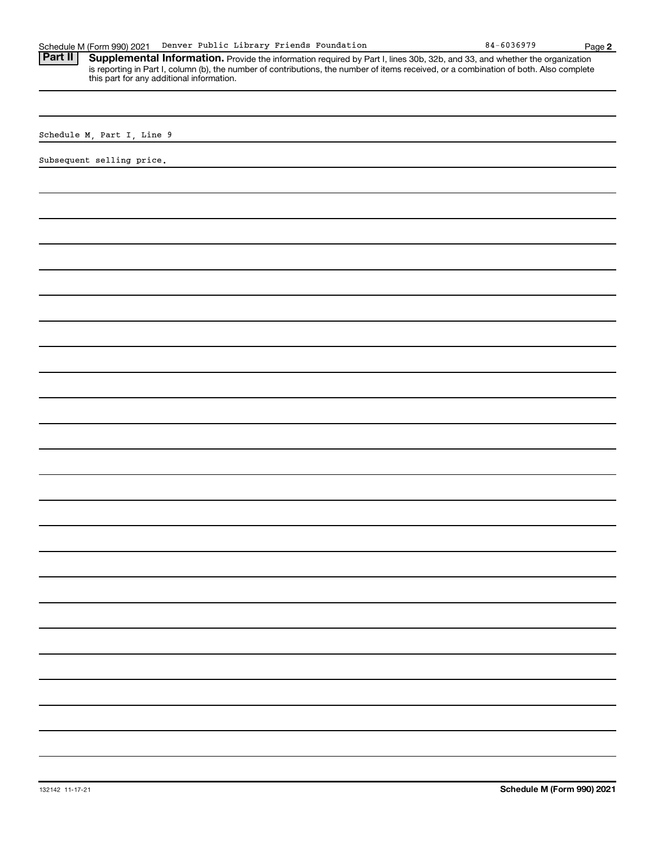| Denver Public Library Friends Foundation<br>Schedule M (Form 990) 2021                                                                                                                                                                                                                                                       | $84 - 6036979$ | Page 2 |
|------------------------------------------------------------------------------------------------------------------------------------------------------------------------------------------------------------------------------------------------------------------------------------------------------------------------------|----------------|--------|
| Part II<br>Supplemental Information. Provide the information required by Part I, lines 30b, 32b, and 33, and whether the organization<br>is reporting in Part I, column (b), the number of contributions, the number of items received, or a combination of both. Also complete<br>this part for any additional information. |                |        |
|                                                                                                                                                                                                                                                                                                                              |                |        |
| Schedule M, Part I, Line 9                                                                                                                                                                                                                                                                                                   |                |        |
| Subsequent selling price.                                                                                                                                                                                                                                                                                                    |                |        |
|                                                                                                                                                                                                                                                                                                                              |                |        |
|                                                                                                                                                                                                                                                                                                                              |                |        |
|                                                                                                                                                                                                                                                                                                                              |                |        |
|                                                                                                                                                                                                                                                                                                                              |                |        |
|                                                                                                                                                                                                                                                                                                                              |                |        |
|                                                                                                                                                                                                                                                                                                                              |                |        |
|                                                                                                                                                                                                                                                                                                                              |                |        |
|                                                                                                                                                                                                                                                                                                                              |                |        |
|                                                                                                                                                                                                                                                                                                                              |                |        |
|                                                                                                                                                                                                                                                                                                                              |                |        |
|                                                                                                                                                                                                                                                                                                                              |                |        |
|                                                                                                                                                                                                                                                                                                                              |                |        |
|                                                                                                                                                                                                                                                                                                                              |                |        |
|                                                                                                                                                                                                                                                                                                                              |                |        |
|                                                                                                                                                                                                                                                                                                                              |                |        |
|                                                                                                                                                                                                                                                                                                                              |                |        |
|                                                                                                                                                                                                                                                                                                                              |                |        |
|                                                                                                                                                                                                                                                                                                                              |                |        |
|                                                                                                                                                                                                                                                                                                                              |                |        |
|                                                                                                                                                                                                                                                                                                                              |                |        |
|                                                                                                                                                                                                                                                                                                                              |                |        |
|                                                                                                                                                                                                                                                                                                                              |                |        |
|                                                                                                                                                                                                                                                                                                                              |                |        |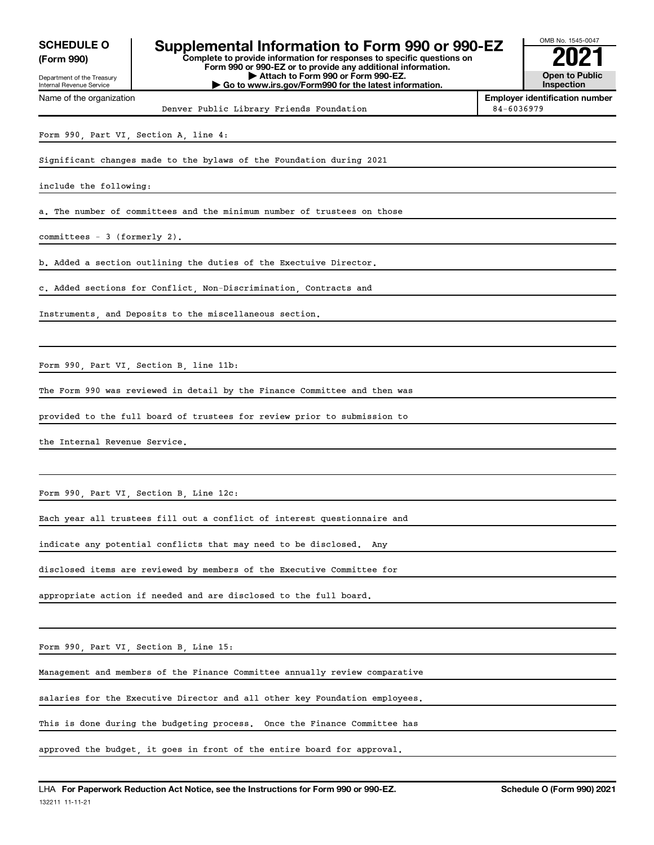**(Form 990)**

#### **Complete to provide information for responses to specific questions on Form 990 or 990-EZ or to provide any additional information.** SCHEDULE 0 | Supplemental Information to Form 990 or 990-EZ

Department of the Treasury Internal Revenue Service Name of the organization

**| Attach to Form 990 or Form 990-EZ. | Go to www.irs.gov/Form990 for the latest information.** OMB No. 1545-0047 **Open to Public Inspection**

Denver Public Library Friends Foundation 1984-6036979

**Employer identification number**

Form 990, Part VI, Section A, line 4:

Significant changes made to the bylaws of the Foundation during 2021

include the following:

a. The number of committees and the minimum number of trustees on those

committees - 3 (formerly 2).

b. Added a section outlining the duties of the Exectuive Director.

c. Added sections for Conflict, Non-Discrimination, Contracts and

Instruments, and Deposits to the miscellaneous section.

Form 990, Part VI, Section B, line 11b:

The Form 990 was reviewed in detail by the Finance Committee and then was

provided to the full board of trustees for review prior to submission to

the Internal Revenue Service.

Form 990, Part VI, Section B, Line 12c:

Each year all trustees fill out a conflict of interest questionnaire and

indicate any potential conflicts that may need to be disclosed. Any

disclosed items are reviewed by members of the Executive Committee for

appropriate action if needed and are disclosed to the full board.

Form 990, Part VI, Section B, Line 15:

Management and members of the Finance Committee annually review comparative

salaries for the Executive Director and all other key Foundation employees.

This is done during the budgeting process. Once the Finance Committee has

approved the budget, it goes in front of the entire board for approval.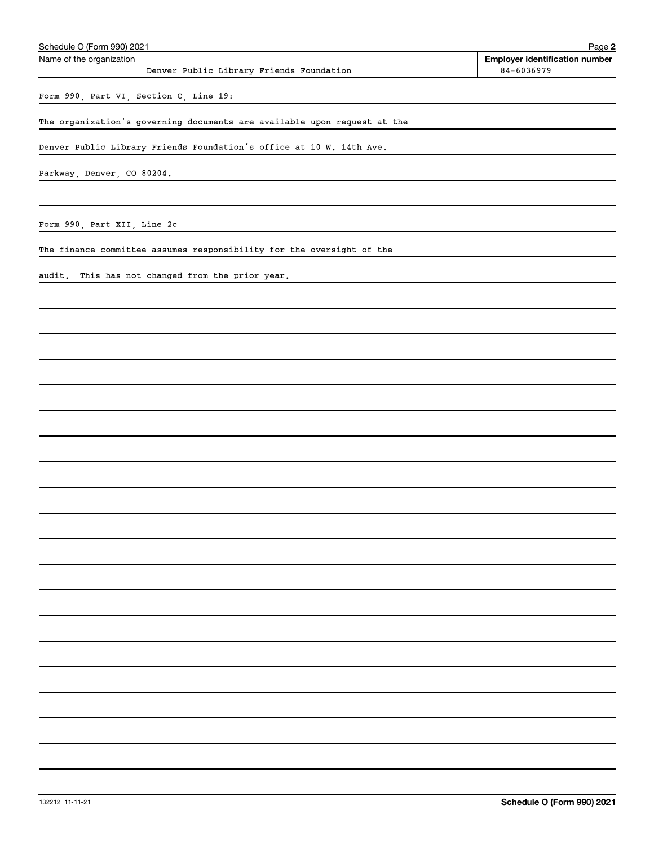| Schedule O (Form 990) 2021                                               | Page 2                                |
|--------------------------------------------------------------------------|---------------------------------------|
| Name of the organization                                                 | <b>Employer identification number</b> |
| Denver Public Library Friends Foundation                                 | 84-6036979                            |
| Form 990, Part VI, Section C, Line 19:                                   |                                       |
| The organization's governing documents are available upon request at the |                                       |
| Denver Public Library Friends Foundation's office at 10 W. 14th Ave.     |                                       |
| Parkway, Denver, CO 80204.                                               |                                       |
|                                                                          |                                       |
| Form 990, Part XII, Line 2c                                              |                                       |
| The finance committee assumes responsibility for the oversight of the    |                                       |
| audit. This has not changed from the prior year.                         |                                       |
|                                                                          |                                       |
|                                                                          |                                       |
|                                                                          |                                       |
|                                                                          |                                       |
|                                                                          |                                       |
|                                                                          |                                       |
|                                                                          |                                       |
|                                                                          |                                       |
|                                                                          |                                       |
|                                                                          |                                       |
|                                                                          |                                       |
|                                                                          |                                       |
|                                                                          |                                       |
|                                                                          |                                       |
|                                                                          |                                       |
|                                                                          |                                       |
|                                                                          |                                       |
|                                                                          |                                       |
|                                                                          |                                       |
|                                                                          |                                       |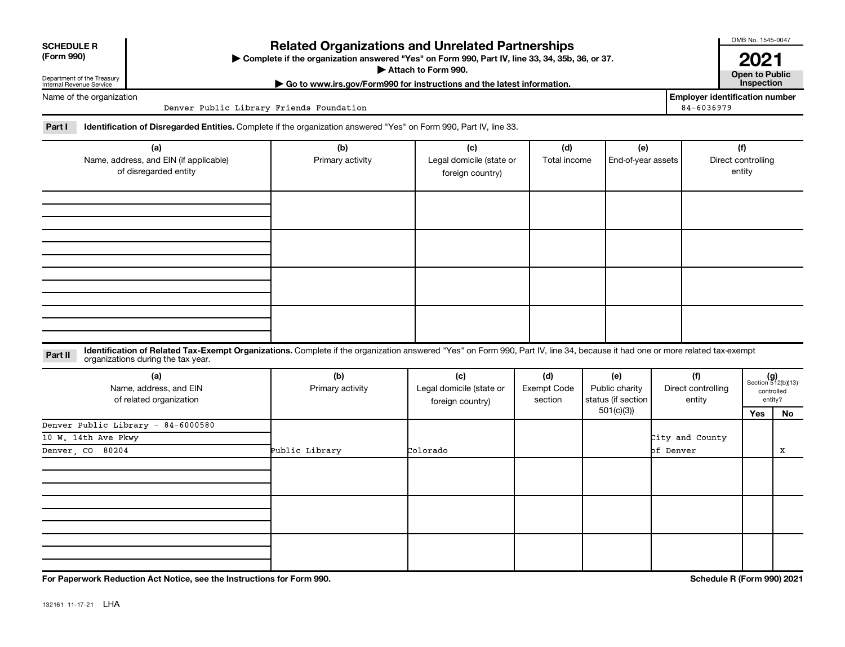| <b>SCHEDULE R</b> |
|-------------------|
|                   |

Department of the Treasury Internal Revenue Service

Name of the organization

### **Related Organizations and Unrelated Partnerships**

**(Form 990) Complete if the organization answered "Yes" on Form 990, Part IV, line 33, 34, 35b, 36, or 37.** |

▶ Attach to Form 990. **Open to Public** 

**| Go to www.irs.gov/Form990 for instructions and the latest information. Inspection**

**Employer identification number**<br>84-6036979

OMB No. 1545-0047

**2021**<br>Open to Public

Part I ldentification of Disregarded Entities. Complete if the organization answered "Yes" on Form 990, Part IV, line 33.

Denver Public Library Friends Foundation

| (a)<br>Name, address, and EIN (if applicable)<br>of disregarded entity | (b)<br>Primary activity | (c)<br>Legal domicile (state or<br>foreign country) | (d)<br>Total income | (e)<br>End-of-year assets | (f)<br>Direct controlling<br>entity |
|------------------------------------------------------------------------|-------------------------|-----------------------------------------------------|---------------------|---------------------------|-------------------------------------|
|                                                                        |                         |                                                     |                     |                           |                                     |
|                                                                        |                         |                                                     |                     |                           |                                     |
|                                                                        |                         |                                                     |                     |                           |                                     |
|                                                                        |                         |                                                     |                     |                           |                                     |

#### **Part II** Identification of Related Tax-Exempt Organizations. Complete if the organization answered "Yes" on Form 990, Part IV, line 34, because it had one or more related tax-exempt<br>Part II acconizations during the tax ye organizations during the tax year.

| (a)<br>Name, address, and EIN<br>of related organization | (b)<br>Primary activity | (c)<br>Legal domicile (state or<br>foreign country) | (d)<br>Exempt Code<br>section | (e)<br>Public charity<br>status (if section | (f)<br>Direct controlling<br>entity |     | $(g)$<br>Section 512(b)(13)<br>controlled<br>entity? |
|----------------------------------------------------------|-------------------------|-----------------------------------------------------|-------------------------------|---------------------------------------------|-------------------------------------|-----|------------------------------------------------------|
|                                                          |                         |                                                     |                               | 501(c)(3))                                  |                                     | Yes | No                                                   |
| Denver Public Library - 84-6000580                       |                         |                                                     |                               |                                             |                                     |     |                                                      |
| 10 W. 14th Ave Pkwy                                      |                         |                                                     |                               |                                             | City and County                     |     |                                                      |
| Denver, CO 80204                                         | Public Library          | Colorado                                            |                               |                                             | of Denver                           |     | X                                                    |
|                                                          |                         |                                                     |                               |                                             |                                     |     |                                                      |
|                                                          |                         |                                                     |                               |                                             |                                     |     |                                                      |
|                                                          |                         |                                                     |                               |                                             |                                     |     |                                                      |

**For Paperwork Reduction Act Notice, see the Instructions for Form 990. Schedule R (Form 990) 2021**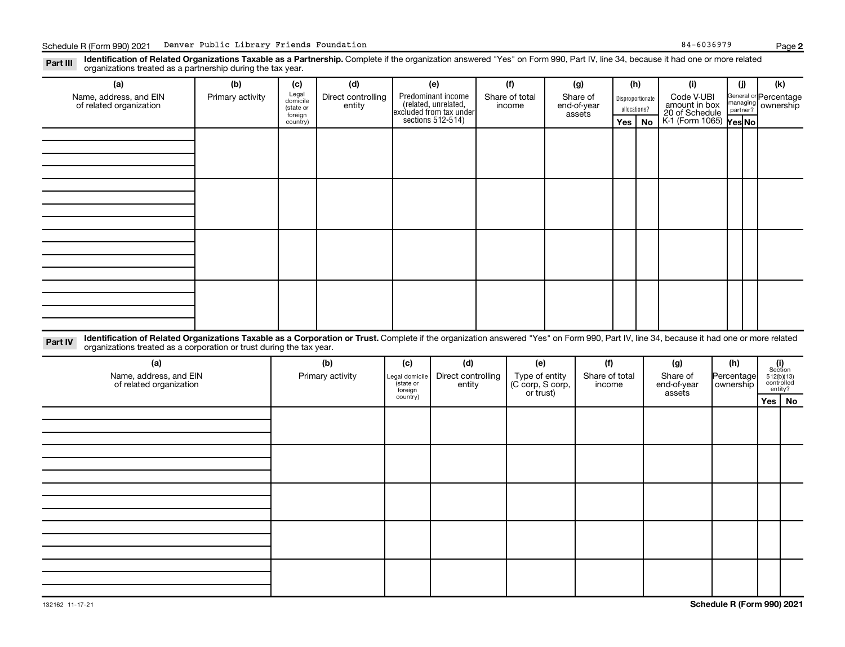Disproportionate allocations? Legal domicile (state or foreign country) General or Percentage managing partner? Section 512(b)(13) controlled entity? Legal domicile (state or foreign country) Part III Identification of Related Organizations Taxable as a Partnership. Complete if the organization answered "Yes" on Form 990, Part IV, line 34, because it had one or more related<br>Read to the organizations tracted as **(a) (b) (c) (d) (e) (f) (g) (h) (i) (j) (k) Yes No Yes No** K-1 (Form 1065) Part IV Identification of Related Organizations Taxable as a Corporation or Trust. Complete if the organization answered "Yes" on Form 990, Part IV, line 34, because it had one or more related **(a) (b) (c) (d) (e) (f) (g) (h) (i) Yes No** Predominant income (related, unrelated, excluded from tax under sections 512-514) organizations treated as a partnership during the tax year. Name, address, and EIN of related organization Primary activity  $\left| \begin{array}{c} \text{Legal} \\ \text{demi} \end{array} \right|$  Direct controlling entity Share of total income Share of end-of-year assets Code V-UBI<br>amount in box 20 of Schedule ownership organizations treated as a corporation or trust during the tax year. Name, address, and EIN of related organization Primary activity |Legal domicile | Direct controlling entity Type of entity (C corp, S corp, or trust) Share of total income Share of end-of-year assets Percentage ownership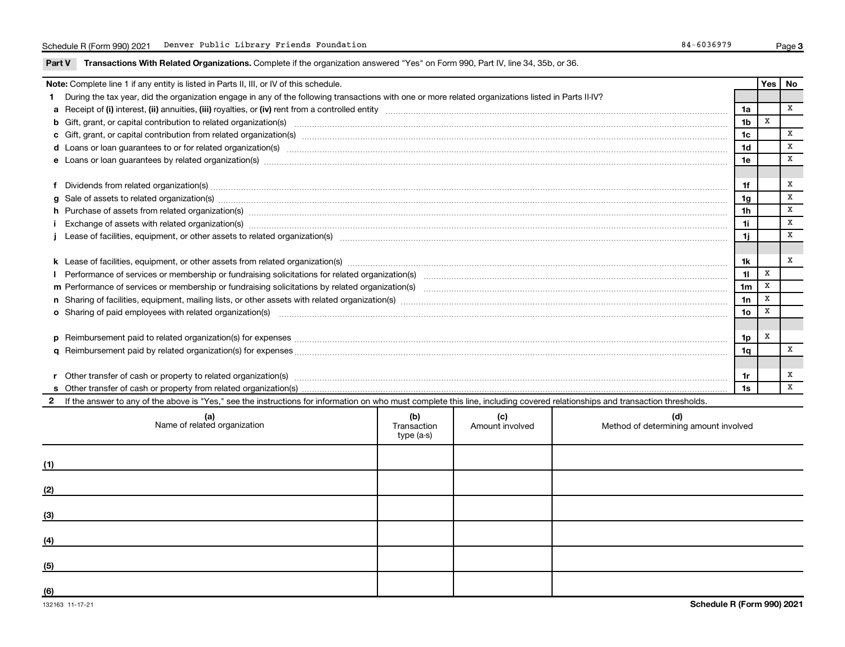Part V Transactions With Related Organizations. Complete if the organization answered "Yes" on Form 990, Part IV, line 34, 35b, or 36.

|   | Note: Complete line 1 if any entity is listed in Parts II, III, or IV of this schedule.                                                                                                                                        |                                  |                        |                                              |                 | Yes | No           |
|---|--------------------------------------------------------------------------------------------------------------------------------------------------------------------------------------------------------------------------------|----------------------------------|------------------------|----------------------------------------------|-----------------|-----|--------------|
|   | During the tax year, did the organization engage in any of the following transactions with one or more related organizations listed in Parts II-IV?                                                                            |                                  |                        |                                              |                 |     |              |
|   |                                                                                                                                                                                                                                |                                  |                        |                                              | 1a              |     | $\mathbf{x}$ |
| b | Gift, grant, or capital contribution to related organization(s) manufaction content and content and contribution to related organization(s) manufaction content and content and content and content and content and content an |                                  |                        |                                              | 1 <sub>b</sub>  | X   |              |
|   |                                                                                                                                                                                                                                |                                  |                        |                                              | 1 <sub>c</sub>  |     | $\, {\bf X}$ |
|   | d Loans or loan guarantees to or for related organization(s) manufaction contracts and continuum contracts and contracts are determined as a contract of the contract of the contract of the contract of the contract of the c |                                  |                        |                                              | 1 <sub>d</sub>  |     | x            |
|   |                                                                                                                                                                                                                                |                                  |                        |                                              | 1e              |     | X            |
|   |                                                                                                                                                                                                                                |                                  |                        |                                              |                 |     |              |
|   | Dividends from related organization(s) manufactured and contract and contract or produced and contract and contract and contract and contract and contract and contract and contract and contract and contract and contract an |                                  |                        |                                              | 1f              |     | x            |
| g | Sale of assets to related organization(s) www.assettion.com/www.assettion.com/www.assettion.com/www.assettion.com/www.assettion.com/www.assettion.com/www.assettion.com/www.assettion.com/www.assettion.com/www.assettion.com/ |                                  |                        |                                              | 1 <sub>g</sub>  |     | X            |
|   | h Purchase of assets from related organization(s) manufactured content to content the content of assets from related organization(s) manufactured content to content the content of the content of the content of the content  |                                  |                        |                                              | 1 <sub>h</sub>  |     | x            |
|   | Exchange of assets with related organization(s) macrocommutation control and account of the control of the control of the control of the control of the control of the control of the control of the control of the control of |                                  |                        |                                              | 11              |     | X            |
|   |                                                                                                                                                                                                                                |                                  |                        |                                              | 1j              |     | X            |
|   |                                                                                                                                                                                                                                |                                  |                        |                                              |                 |     |              |
|   |                                                                                                                                                                                                                                |                                  |                        |                                              | 1k              |     | X            |
|   |                                                                                                                                                                                                                                |                                  |                        |                                              |                 |     |              |
|   |                                                                                                                                                                                                                                |                                  |                        |                                              | 1 <sub>m</sub>  | x   |              |
|   |                                                                                                                                                                                                                                |                                  |                        |                                              | 1n              | X   |              |
|   | <b>o</b> Sharing of paid employees with related organization(s)                                                                                                                                                                |                                  |                        |                                              | 10 <sub>o</sub> | X   |              |
|   |                                                                                                                                                                                                                                |                                  |                        |                                              |                 |     |              |
|   | Reimbursement paid to related organization(s) for expenses [11111] Research Manuscritics Reimbursement paid to related organization(s) for expenses [11111] Manuscritics [1111] Manuscritics Reimbursement paid to related org |                                  |                        |                                              | 1p              | х   |              |
| a |                                                                                                                                                                                                                                |                                  |                        |                                              | 1q              |     | x            |
|   |                                                                                                                                                                                                                                |                                  |                        |                                              |                 |     |              |
|   | Other transfer of cash or property to related organization(s) www.communically.communically content transfer of cash or property to related organization(s)                                                                    |                                  |                        |                                              | 1r              |     | x            |
|   | 1s                                                                                                                                                                                                                             |                                  |                        |                                              |                 |     | $\mathbf{x}$ |
|   | 2 If the answer to any of the above is "Yes," see the instructions for information on who must complete this line, including covered relationships and transaction thresholds.                                                 |                                  |                        |                                              |                 |     |              |
|   | (a)<br>Name of related organization                                                                                                                                                                                            | (b)<br>Transaction<br>type (a-s) | (c)<br>Amount involved | (d)<br>Method of determining amount involved |                 |     |              |
|   |                                                                                                                                                                                                                                |                                  |                        |                                              |                 |     |              |

| (1) |  |  |
|-----|--|--|
| (2) |  |  |
| (3) |  |  |
| (4) |  |  |
| (5) |  |  |
| (6) |  |  |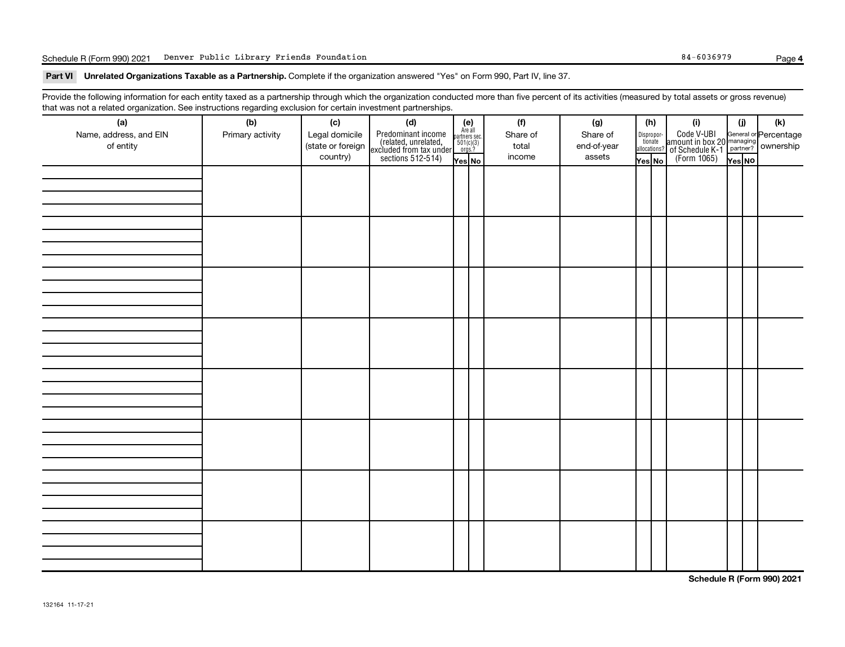Schedule R (Form 990) 2021 Denver Public Library Friends Foundation **84-6036979** Page

Part VI Unrelated Organizations Taxable as a Partnership. Complete if the organization answered "Yes" on Form 990, Part IV, line 37.

Provide the following information for each entity taxed as a partnership through which the organization conducted more than five percent of its activities (measured by total assets or gross revenue) that was not a related organization. See instructions regarding exclusion for certain investment partnerships.

| mat was not a related organization. Occ interactions regarding exclusion for cortain investment partnerships.<br>(a) | (b)              | (c)               | (d)                                                                                        |                                                          | (f)      | (g)         |        | (h)                   | (i)                                                                                          | (i)    | (k) |
|----------------------------------------------------------------------------------------------------------------------|------------------|-------------------|--------------------------------------------------------------------------------------------|----------------------------------------------------------|----------|-------------|--------|-----------------------|----------------------------------------------------------------------------------------------|--------|-----|
| Name, address, and EIN                                                                                               | Primary activity | Legal domicile    | Predominant income<br>(related, unrelated,<br>excluded from tax under<br>sections 512-514) | (e)<br>Are all<br>partners sec.<br>$501(c)(3)$<br>orgs.? | Share of | Share of    |        | Dispropor-<br>tionate | Code V-UBI<br>amount in box 20 managing<br>of Schedule K-1 partner?<br>(Form 1065)<br>ves No |        |     |
| of entity                                                                                                            |                  | (state or foreign |                                                                                            |                                                          | total    | end-of-year |        | allocations?          |                                                                                              |        |     |
|                                                                                                                      |                  | country)          |                                                                                            | Yes No                                                   | income   | assets      | Yes No |                       |                                                                                              | Yes NO |     |
|                                                                                                                      |                  |                   |                                                                                            |                                                          |          |             |        |                       |                                                                                              |        |     |
|                                                                                                                      |                  |                   |                                                                                            |                                                          |          |             |        |                       |                                                                                              |        |     |
|                                                                                                                      |                  |                   |                                                                                            |                                                          |          |             |        |                       |                                                                                              |        |     |
|                                                                                                                      |                  |                   |                                                                                            |                                                          |          |             |        |                       |                                                                                              |        |     |
|                                                                                                                      |                  |                   |                                                                                            |                                                          |          |             |        |                       |                                                                                              |        |     |
|                                                                                                                      |                  |                   |                                                                                            |                                                          |          |             |        |                       |                                                                                              |        |     |
|                                                                                                                      |                  |                   |                                                                                            |                                                          |          |             |        |                       |                                                                                              |        |     |
|                                                                                                                      |                  |                   |                                                                                            |                                                          |          |             |        |                       |                                                                                              |        |     |
|                                                                                                                      |                  |                   |                                                                                            |                                                          |          |             |        |                       |                                                                                              |        |     |
|                                                                                                                      |                  |                   |                                                                                            |                                                          |          |             |        |                       |                                                                                              |        |     |
|                                                                                                                      |                  |                   |                                                                                            |                                                          |          |             |        |                       |                                                                                              |        |     |
|                                                                                                                      |                  |                   |                                                                                            |                                                          |          |             |        |                       |                                                                                              |        |     |
|                                                                                                                      |                  |                   |                                                                                            |                                                          |          |             |        |                       |                                                                                              |        |     |
|                                                                                                                      |                  |                   |                                                                                            |                                                          |          |             |        |                       |                                                                                              |        |     |
|                                                                                                                      |                  |                   |                                                                                            |                                                          |          |             |        |                       |                                                                                              |        |     |
|                                                                                                                      |                  |                   |                                                                                            |                                                          |          |             |        |                       |                                                                                              |        |     |
|                                                                                                                      |                  |                   |                                                                                            |                                                          |          |             |        |                       |                                                                                              |        |     |
|                                                                                                                      |                  |                   |                                                                                            |                                                          |          |             |        |                       |                                                                                              |        |     |
|                                                                                                                      |                  |                   |                                                                                            |                                                          |          |             |        |                       |                                                                                              |        |     |
|                                                                                                                      |                  |                   |                                                                                            |                                                          |          |             |        |                       |                                                                                              |        |     |
|                                                                                                                      |                  |                   |                                                                                            |                                                          |          |             |        |                       |                                                                                              |        |     |
|                                                                                                                      |                  |                   |                                                                                            |                                                          |          |             |        |                       |                                                                                              |        |     |
|                                                                                                                      |                  |                   |                                                                                            |                                                          |          |             |        |                       |                                                                                              |        |     |
|                                                                                                                      |                  |                   |                                                                                            |                                                          |          |             |        |                       |                                                                                              |        |     |
|                                                                                                                      |                  |                   |                                                                                            |                                                          |          |             |        |                       |                                                                                              |        |     |
|                                                                                                                      |                  |                   |                                                                                            |                                                          |          |             |        |                       |                                                                                              |        |     |
|                                                                                                                      |                  |                   |                                                                                            |                                                          |          |             |        |                       |                                                                                              |        |     |
|                                                                                                                      |                  |                   |                                                                                            |                                                          |          |             |        |                       |                                                                                              |        |     |
|                                                                                                                      |                  |                   |                                                                                            |                                                          |          |             |        |                       |                                                                                              |        |     |
|                                                                                                                      |                  |                   |                                                                                            |                                                          |          |             |        |                       |                                                                                              |        |     |

**Schedule R (Form 990) 2021**